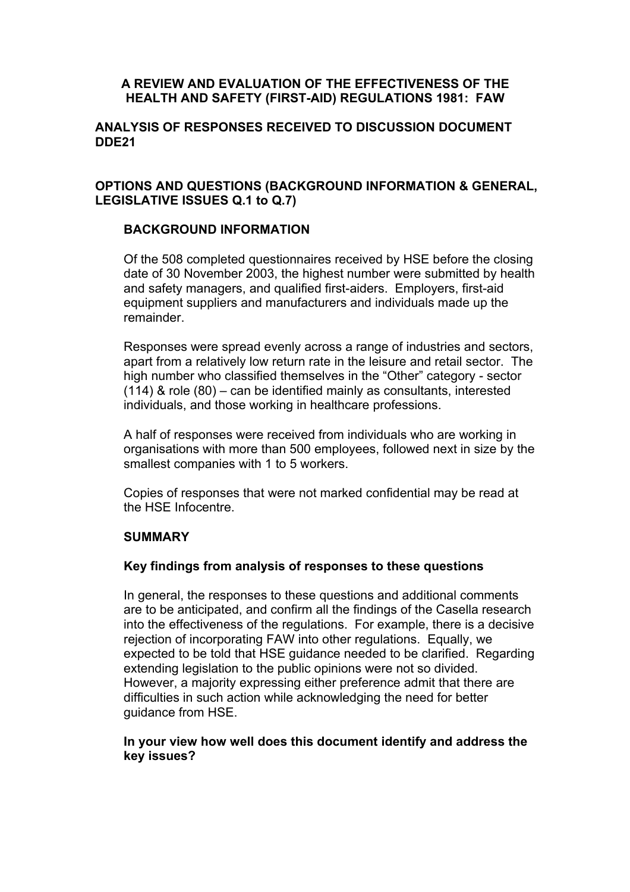#### **A REVIEW AND EVALUATION OF THE EFFECTIVENESS OF THE HEALTH AND SAFETY (FIRST-AID) REGULATIONS 1981: FAW**

#### **ANALYSIS OF RESPONSES RECEIVED TO DISCUSSION DOCUMENT DDE21**

## **OPTIONS AND QUESTIONS (BACKGROUND INFORMATION & GENERAL, LEGISLATIVE ISSUES Q.1 to Q.7)**

## **BACKGROUND INFORMATION**

Of the 508 completed questionnaires received by HSE before the closing date of 30 November 2003, the highest number were submitted by health and safety managers, and qualified first-aiders. Employers, first-aid equipment suppliers and manufacturers and individuals made up the remainder.

Responses were spread evenly across a range of industries and sectors, apart from a relatively low return rate in the leisure and retail sector. The high number who classified themselves in the "Other" category - sector (114) & role (80) – can be identified mainly as consultants, interested individuals, and those working in healthcare professions.

A half of responses were received from individuals who are working in organisations with more than 500 employees, followed next in size by the smallest companies with 1 to 5 workers.

Copies of responses that were not marked confidential may be read at the HSE Infocentre.

#### **SUMMARY**

#### **Key findings from analysis of responses to these questions**

In general, the responses to these questions and additional comments are to be anticipated, and confirm all the findings of the Casella research into the effectiveness of the regulations. For example, there is a decisive rejection of incorporating FAW into other regulations. Equally, we expected to be told that HSE guidance needed to be clarified. Regarding extending legislation to the public opinions were not so divided. However, a majority expressing either preference admit that there are difficulties in such action while acknowledging the need for better guidance from HSE.

#### **In your view how well does this document identify and address the key issues?**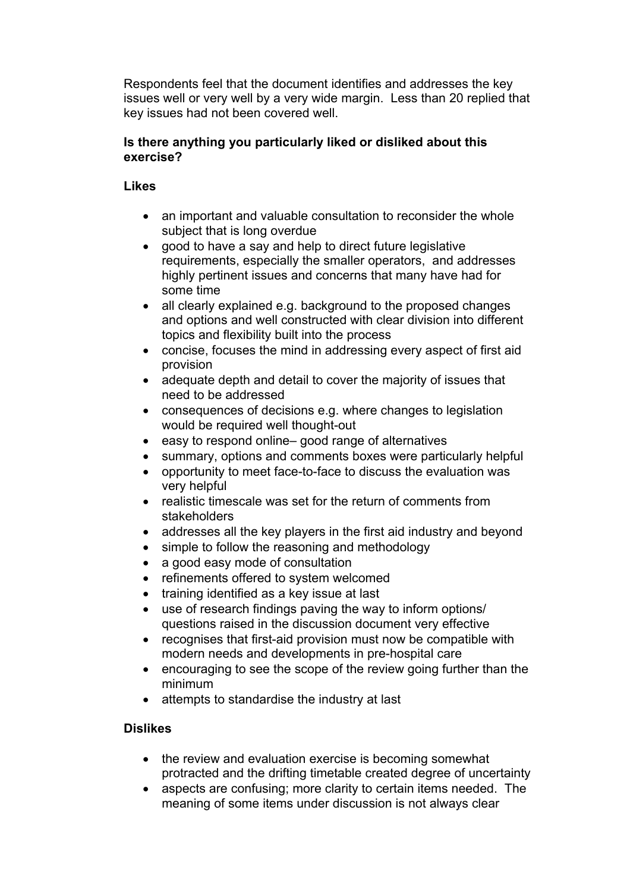Respondents feel that the document identifies and addresses the key issues well or very well by a very wide margin. Less than 20 replied that key issues had not been covered well.

## **Is there anything you particularly liked or disliked about this exercise?**

## **Likes**

- an important and valuable consultation to reconsider the whole subject that is long overdue
- good to have a say and help to direct future legislative requirements, especially the smaller operators, and addresses highly pertinent issues and concerns that many have had for some time
- all clearly explained e.g. background to the proposed changes and options and well constructed with clear division into different topics and flexibility built into the process
- concise, focuses the mind in addressing every aspect of first aid provision
- adequate depth and detail to cover the majority of issues that need to be addressed
- consequences of decisions e.g. where changes to legislation would be required well thought-out
- easy to respond online– good range of alternatives
- summary, options and comments boxes were particularly helpful
- opportunity to meet face-to-face to discuss the evaluation was very helpful
- realistic timescale was set for the return of comments from stakeholders
- addresses all the key players in the first aid industry and beyond
- simple to follow the reasoning and methodology
- a good easy mode of consultation
- refinements offered to system welcomed
- training identified as a key issue at last
- use of research findings paving the way to inform options/ questions raised in the discussion document very effective
- recognises that first-aid provision must now be compatible with modern needs and developments in pre-hospital care
- encouraging to see the scope of the review going further than the minimum
- attempts to standardise the industry at last

## **Dislikes**

- the review and evaluation exercise is becoming somewhat protracted and the drifting timetable created degree of uncertainty
- aspects are confusing; more clarity to certain items needed. The meaning of some items under discussion is not always clear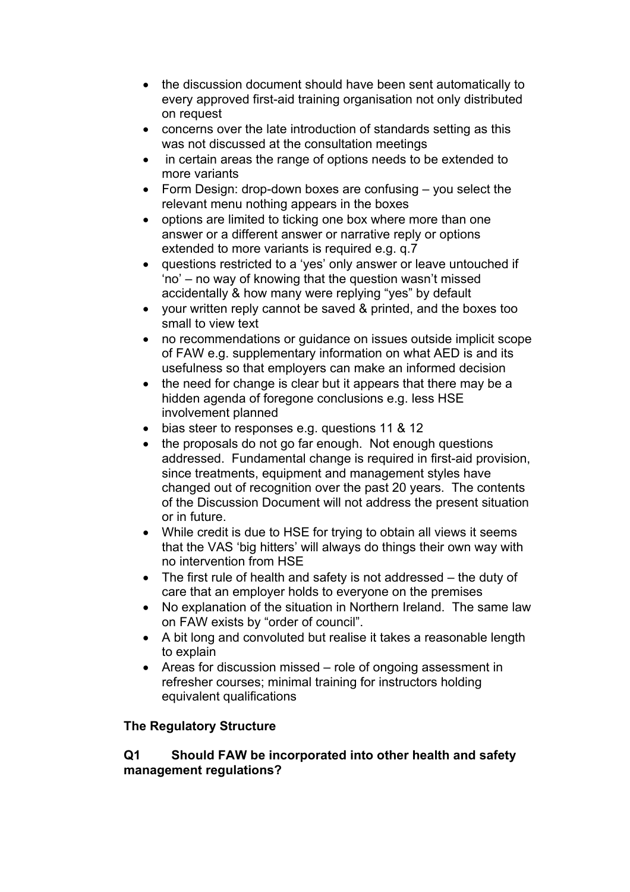- the discussion document should have been sent automatically to every approved first-aid training organisation not only distributed on request
- concerns over the late introduction of standards setting as this was not discussed at the consultation meetings
- in certain areas the range of options needs to be extended to more variants
- Form Design: drop-down boxes are confusing you select the relevant menu nothing appears in the boxes
- options are limited to ticking one box where more than one answer or a different answer or narrative reply or options extended to more variants is required e.g. q.7
- questions restricted to a 'yes' only answer or leave untouched if 'no' – no way of knowing that the question wasn't missed accidentally & how many were replying "yes" by default
- your written reply cannot be saved & printed, and the boxes too small to view text
- no recommendations or guidance on issues outside implicit scope of FAW e.g. supplementary information on what AED is and its usefulness so that employers can make an informed decision
- the need for change is clear but it appears that there may be a hidden agenda of foregone conclusions e.g. less HSE involvement planned
- bias steer to responses e.g. questions 11 & 12
- the proposals do not go far enough. Not enough questions addressed. Fundamental change is required in first-aid provision, since treatments, equipment and management styles have changed out of recognition over the past 20 years. The contents of the Discussion Document will not address the present situation or in future.
- While credit is due to HSE for trying to obtain all views it seems that the VAS 'big hitters' will always do things their own way with no intervention from HSE
- The first rule of health and safety is not addressed the duty of care that an employer holds to everyone on the premises
- No explanation of the situation in Northern Ireland. The same law on FAW exists by "order of council".
- A bit long and convoluted but realise it takes a reasonable length to explain
- Areas for discussion missed role of ongoing assessment in refresher courses; minimal training for instructors holding equivalent qualifications

## **The Regulatory Structure**

## **Q1 Should FAW be incorporated into other health and safety management regulations?**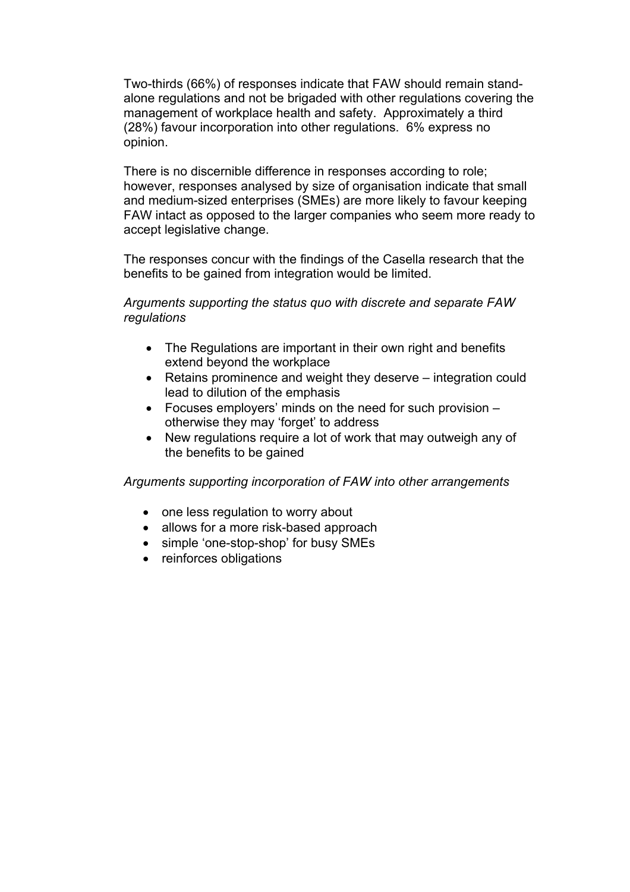Two-thirds (66%) of responses indicate that FAW should remain standalone regulations and not be brigaded with other regulations covering the management of workplace health and safety. Approximately a third (28%) favour incorporation into other regulations. 6% express no opinion.

There is no discernible difference in responses according to role; however, responses analysed by size of organisation indicate that small and medium-sized enterprises (SMEs) are more likely to favour keeping FAW intact as opposed to the larger companies who seem more ready to accept legislative change.

The responses concur with the findings of the Casella research that the benefits to be gained from integration would be limited.

*Arguments supporting the status quo with discrete and separate FAW regulations* 

- The Regulations are important in their own right and benefits extend beyond the workplace
- Retains prominence and weight they deserve integration could lead to dilution of the emphasis
- Focuses employers' minds on the need for such provision otherwise they may 'forget' to address
- New regulations require a lot of work that may outweigh any of the benefits to be gained

*Arguments supporting incorporation of FAW into other arrangements* 

- one less regulation to worry about
- allows for a more risk-based approach
- simple 'one-stop-shop' for busy SMEs
- reinforces obligations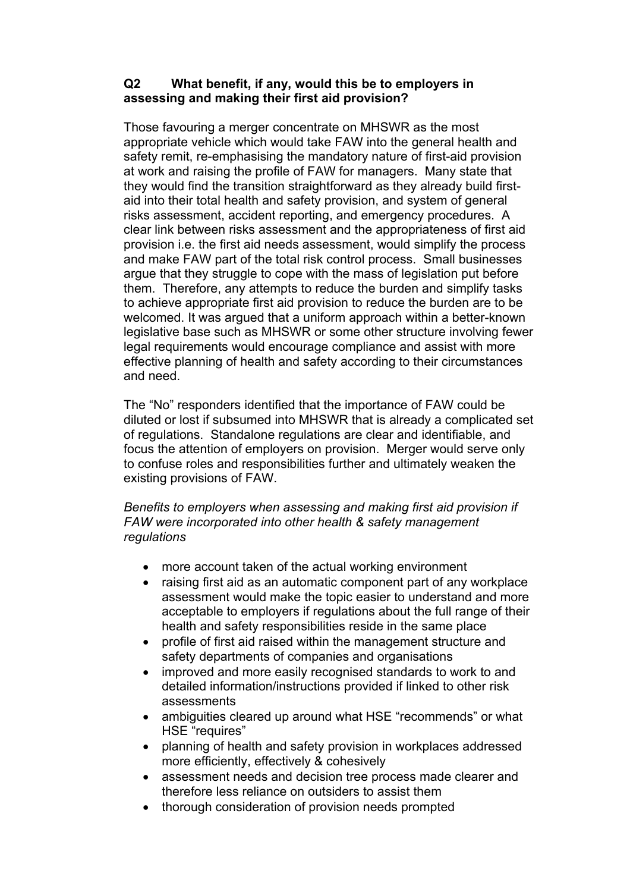## **Q2 What benefit, if any, would this be to employers in assessing and making their first aid provision?**

Those favouring a merger concentrate on MHSWR as the most appropriate vehicle which would take FAW into the general health and safety remit, re-emphasising the mandatory nature of first-aid provision at work and raising the profile of FAW for managers. Many state that they would find the transition straightforward as they already build firstaid into their total health and safety provision, and system of general risks assessment, accident reporting, and emergency procedures. A clear link between risks assessment and the appropriateness of first aid provision i.e. the first aid needs assessment, would simplify the process and make FAW part of the total risk control process. Small businesses argue that they struggle to cope with the mass of legislation put before them. Therefore, any attempts to reduce the burden and simplify tasks to achieve appropriate first aid provision to reduce the burden are to be welcomed. It was argued that a uniform approach within a better-known legislative base such as MHSWR or some other structure involving fewer legal requirements would encourage compliance and assist with more effective planning of health and safety according to their circumstances and need.

The "No" responders identified that the importance of FAW could be diluted or lost if subsumed into MHSWR that is already a complicated set of regulations. Standalone regulations are clear and identifiable, and focus the attention of employers on provision. Merger would serve only to confuse roles and responsibilities further and ultimately weaken the existing provisions of FAW.

*Benefits to employers when assessing and making first aid provision if FAW were incorporated into other health & safety management regulations* 

- more account taken of the actual working environment
- raising first aid as an automatic component part of any workplace assessment would make the topic easier to understand and more acceptable to employers if regulations about the full range of their health and safety responsibilities reside in the same place
- profile of first aid raised within the management structure and safety departments of companies and organisations
- improved and more easily recognised standards to work to and detailed information/instructions provided if linked to other risk assessments
- ambiguities cleared up around what HSE "recommends" or what HSE "requires"
- planning of health and safety provision in workplaces addressed more efficiently, effectively & cohesively
- assessment needs and decision tree process made clearer and therefore less reliance on outsiders to assist them
- thorough consideration of provision needs prompted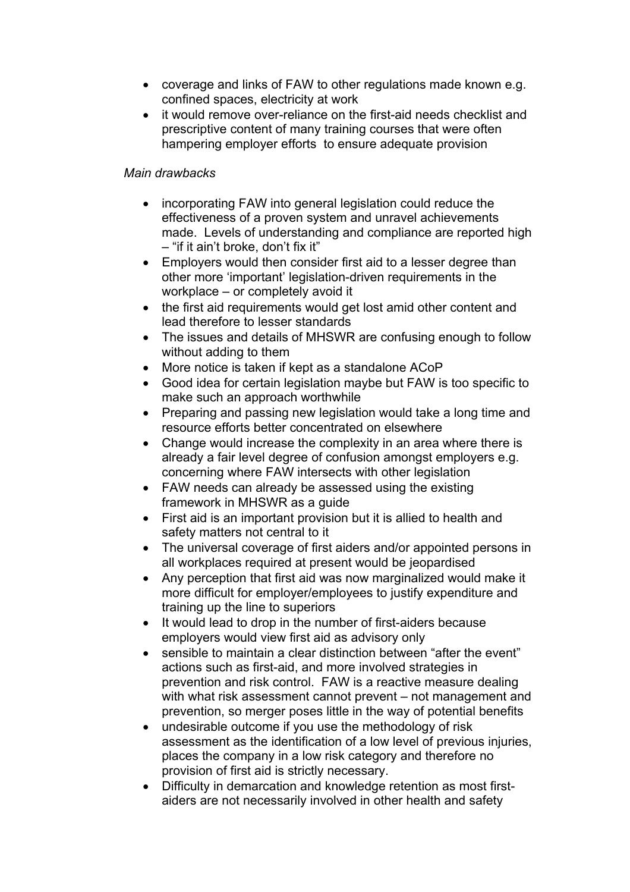- coverage and links of FAW to other regulations made known e.g. confined spaces, electricity at work
- it would remove over-reliance on the first-aid needs checklist and prescriptive content of many training courses that were often hampering employer efforts to ensure adequate provision

## *Main drawbacks*

- incorporating FAW into general legislation could reduce the effectiveness of a proven system and unravel achievements made. Levels of understanding and compliance are reported high – "if it ain't broke, don't fix it"
- Employers would then consider first aid to a lesser degree than other more 'important' legislation-driven requirements in the workplace – or completely avoid it
- the first aid requirements would get lost amid other content and lead therefore to lesser standards
- The issues and details of MHSWR are confusing enough to follow without adding to them
- More notice is taken if kept as a standalone ACoP
- Good idea for certain legislation maybe but FAW is too specific to make such an approach worthwhile
- Preparing and passing new legislation would take a long time and resource efforts better concentrated on elsewhere
- Change would increase the complexity in an area where there is already a fair level degree of confusion amongst employers e.g. concerning where FAW intersects with other legislation
- FAW needs can already be assessed using the existing framework in MHSWR as a guide
- First aid is an important provision but it is allied to health and safety matters not central to it
- The universal coverage of first aiders and/or appointed persons in all workplaces required at present would be jeopardised
- Any perception that first aid was now marginalized would make it more difficult for employer/employees to justify expenditure and training up the line to superiors
- It would lead to drop in the number of first-aiders because employers would view first aid as advisory only
- sensible to maintain a clear distinction between "after the event" actions such as first-aid, and more involved strategies in prevention and risk control. FAW is a reactive measure dealing with what risk assessment cannot prevent – not management and prevention, so merger poses little in the way of potential benefits
- undesirable outcome if you use the methodology of risk assessment as the identification of a low level of previous injuries, places the company in a low risk category and therefore no provision of first aid is strictly necessary.
- Difficulty in demarcation and knowledge retention as most firstaiders are not necessarily involved in other health and safety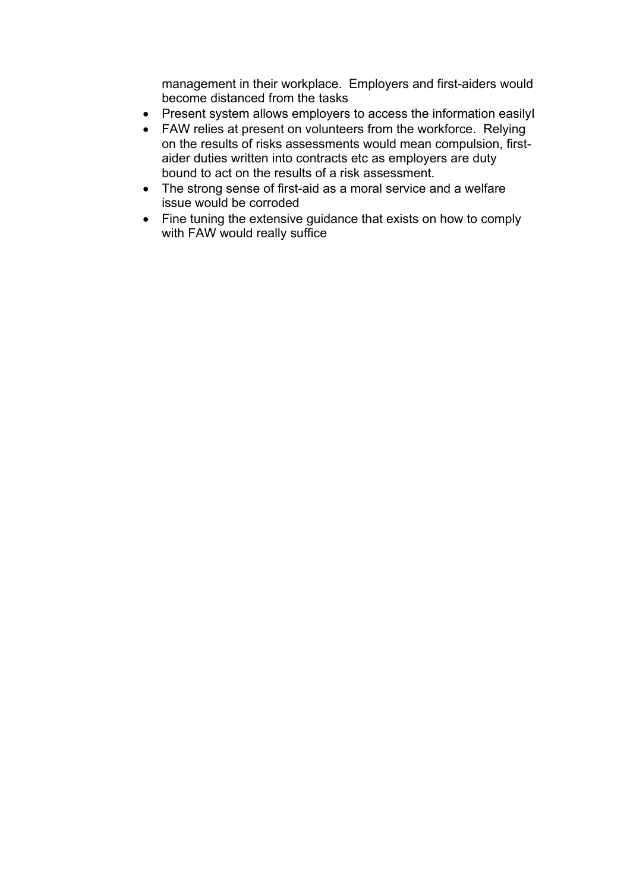management in their workplace. Employers and first-aiders would become distanced from the tasks

- Present system allows employers to access the information easilyI
- FAW relies at present on volunteers from the workforce. Relying on the results of risks assessments would mean compulsion, firstaider duties written into contracts etc as employers are duty bound to act on the results of a risk assessment.
- The strong sense of first-aid as a moral service and a welfare issue would be corroded
- Fine tuning the extensive guidance that exists on how to comply with FAW would really suffice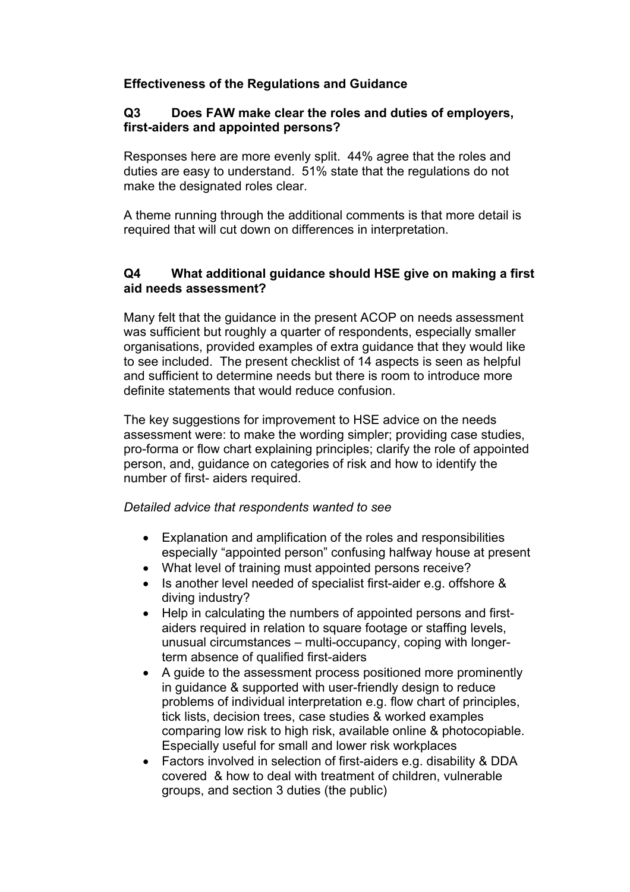## **Effectiveness of the Regulations and Guidance**

#### **Q3 Does FAW make clear the roles and duties of employers, first-aiders and appointed persons?**

Responses here are more evenly split. 44% agree that the roles and duties are easy to understand. 51% state that the regulations do not make the designated roles clear.

A theme running through the additional comments is that more detail is required that will cut down on differences in interpretation.

## **Q4 What additional guidance should HSE give on making a first aid needs assessment?**

Many felt that the guidance in the present ACOP on needs assessment was sufficient but roughly a quarter of respondents, especially smaller organisations, provided examples of extra guidance that they would like to see included. The present checklist of 14 aspects is seen as helpful and sufficient to determine needs but there is room to introduce more definite statements that would reduce confusion.

The key suggestions for improvement to HSE advice on the needs assessment were: to make the wording simpler; providing case studies, pro-forma or flow chart explaining principles; clarify the role of appointed person, and, guidance on categories of risk and how to identify the number of first- aiders required.

#### *Detailed advice that respondents wanted to see*

- Explanation and amplification of the roles and responsibilities especially "appointed person" confusing halfway house at present
- What level of training must appointed persons receive?
- Is another level needed of specialist first-aider e.g. offshore & diving industry?
- Help in calculating the numbers of appointed persons and firstaiders required in relation to square footage or staffing levels, unusual circumstances – multi-occupancy, coping with longerterm absence of qualified first-aiders
- A guide to the assessment process positioned more prominently in guidance & supported with user-friendly design to reduce problems of individual interpretation e.g. flow chart of principles, tick lists, decision trees, case studies & worked examples comparing low risk to high risk, available online & photocopiable. Especially useful for small and lower risk workplaces
- Factors involved in selection of first-aiders e.g. disability & DDA covered & how to deal with treatment of children, vulnerable groups, and section 3 duties (the public)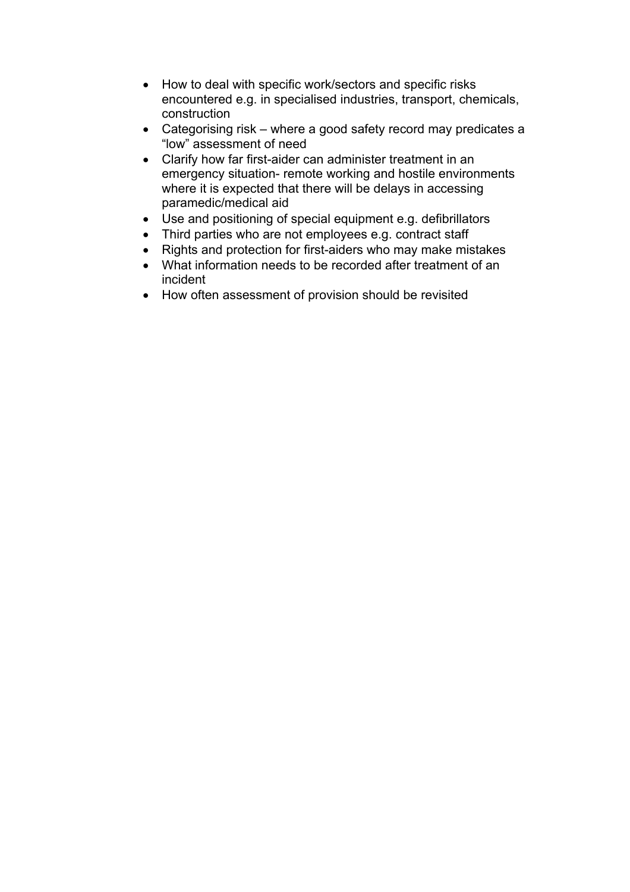- How to deal with specific work/sectors and specific risks encountered e.g. in specialised industries, transport, chemicals, construction
- Categorising risk where a good safety record may predicates a "low" assessment of need
- Clarify how far first-aider can administer treatment in an emergency situation- remote working and hostile environments where it is expected that there will be delays in accessing paramedic/medical aid
- Use and positioning of special equipment e.g. defibrillators
- Third parties who are not employees e.g. contract staff
- Rights and protection for first-aiders who may make mistakes
- What information needs to be recorded after treatment of an incident
- How often assessment of provision should be revisited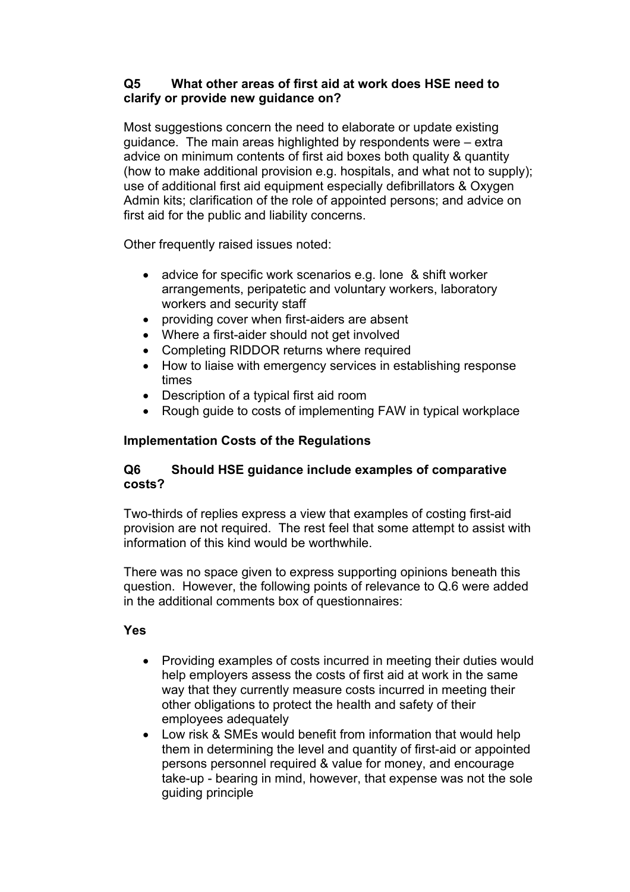## **Q5 What other areas of first aid at work does HSE need to clarify or provide new guidance on?**

Most suggestions concern the need to elaborate or update existing guidance. The main areas highlighted by respondents were – extra advice on minimum contents of first aid boxes both quality & quantity (how to make additional provision e.g. hospitals, and what not to supply); use of additional first aid equipment especially defibrillators & Oxygen Admin kits; clarification of the role of appointed persons; and advice on first aid for the public and liability concerns.

Other frequently raised issues noted:

- advice for specific work scenarios e.g. lone & shift worker arrangements, peripatetic and voluntary workers, laboratory workers and security staff
- providing cover when first-aiders are absent
- Where a first-aider should not get involved
- Completing RIDDOR returns where required
- How to liaise with emergency services in establishing response times
- Description of a typical first aid room
- Rough guide to costs of implementing FAW in typical workplace

## **Implementation Costs of the Regulations**

## **Q6 Should HSE guidance include examples of comparative costs?**

Two-thirds of replies express a view that examples of costing first-aid provision are not required. The rest feel that some attempt to assist with information of this kind would be worthwhile.

There was no space given to express supporting opinions beneath this question. However, the following points of relevance to Q.6 were added in the additional comments box of questionnaires:

## **Yes**

- Providing examples of costs incurred in meeting their duties would help employers assess the costs of first aid at work in the same way that they currently measure costs incurred in meeting their other obligations to protect the health and safety of their employees adequately
- Low risk & SMEs would benefit from information that would help them in determining the level and quantity of first-aid or appointed persons personnel required & value for money, and encourage take-up - bearing in mind, however, that expense was not the sole guiding principle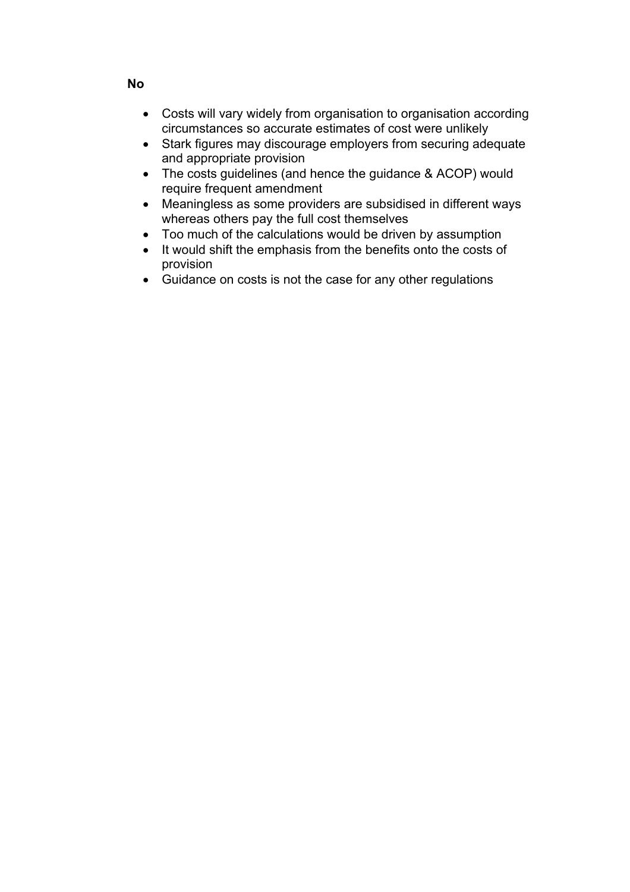- Costs will vary widely from organisation to organisation according circumstances so accurate estimates of cost were unlikely
- Stark figures may discourage employers from securing adequate and appropriate provision
- The costs guidelines (and hence the guidance & ACOP) would require frequent amendment
- Meaningless as some providers are subsidised in different ways whereas others pay the full cost themselves
- Too much of the calculations would be driven by assumption
- It would shift the emphasis from the benefits onto the costs of provision
- Guidance on costs is not the case for any other regulations

## **No**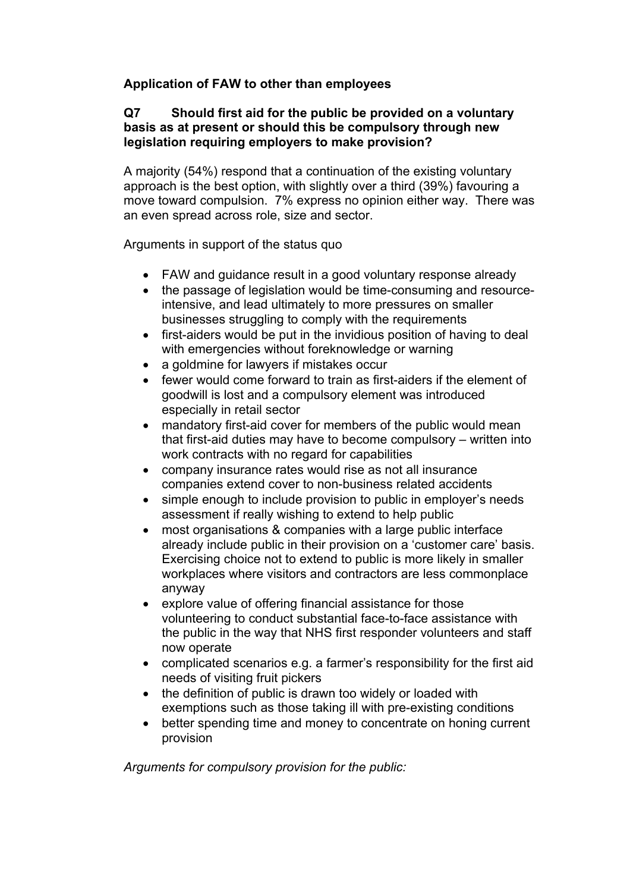## **Application of FAW to other than employees**

## **Q7 Should first aid for the public be provided on a voluntary basis as at present or should this be compulsory through new legislation requiring employers to make provision?**

A majority (54%) respond that a continuation of the existing voluntary approach is the best option, with slightly over a third (39%) favouring a move toward compulsion. 7% express no opinion either way. There was an even spread across role, size and sector.

Arguments in support of the status quo

- FAW and quidance result in a good voluntary response already
- the passage of legislation would be time-consuming and resourceintensive, and lead ultimately to more pressures on smaller businesses struggling to comply with the requirements
- first-aiders would be put in the invidious position of having to deal with emergencies without foreknowledge or warning
- a goldmine for lawyers if mistakes occur
- fewer would come forward to train as first-aiders if the element of goodwill is lost and a compulsory element was introduced especially in retail sector
- mandatory first-aid cover for members of the public would mean that first-aid duties may have to become compulsory – written into work contracts with no regard for capabilities
- company insurance rates would rise as not all insurance companies extend cover to non-business related accidents
- simple enough to include provision to public in employer's needs assessment if really wishing to extend to help public
- most organisations & companies with a large public interface already include public in their provision on a 'customer care' basis. Exercising choice not to extend to public is more likely in smaller workplaces where visitors and contractors are less commonplace anyway
- explore value of offering financial assistance for those volunteering to conduct substantial face-to-face assistance with the public in the way that NHS first responder volunteers and staff now operate
- complicated scenarios e.g. a farmer's responsibility for the first aid needs of visiting fruit pickers
- the definition of public is drawn too widely or loaded with exemptions such as those taking ill with pre-existing conditions
- better spending time and money to concentrate on honing current provision

*Arguments for compulsory provision for the public:*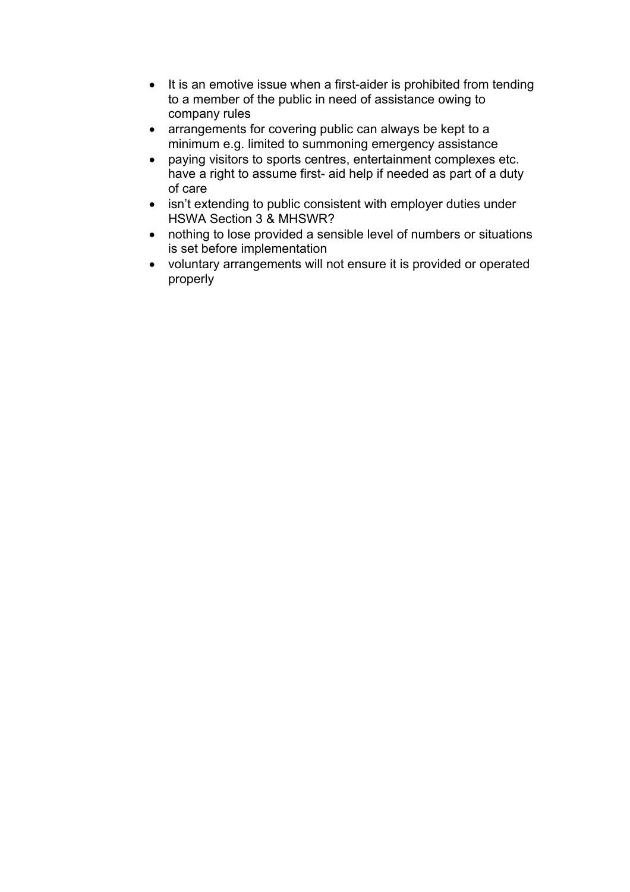- It is an emotive issue when a first-aider is prohibited from tending to a member of the public in need of assistance owing to company rules
- arrangements for covering public can always be kept to a minimum e.g. limited to summoning emergency assistance
- paying visitors to sports centres, entertainment complexes etc. have a right to assume first- aid help if needed as part of a duty of care
- isn't extending to public consistent with employer duties under HSWA Section 3 & MHSWR?
- nothing to lose provided a sensible level of numbers or situations is set before implementation
- voluntary arrangements will not ensure it is provided or operated properly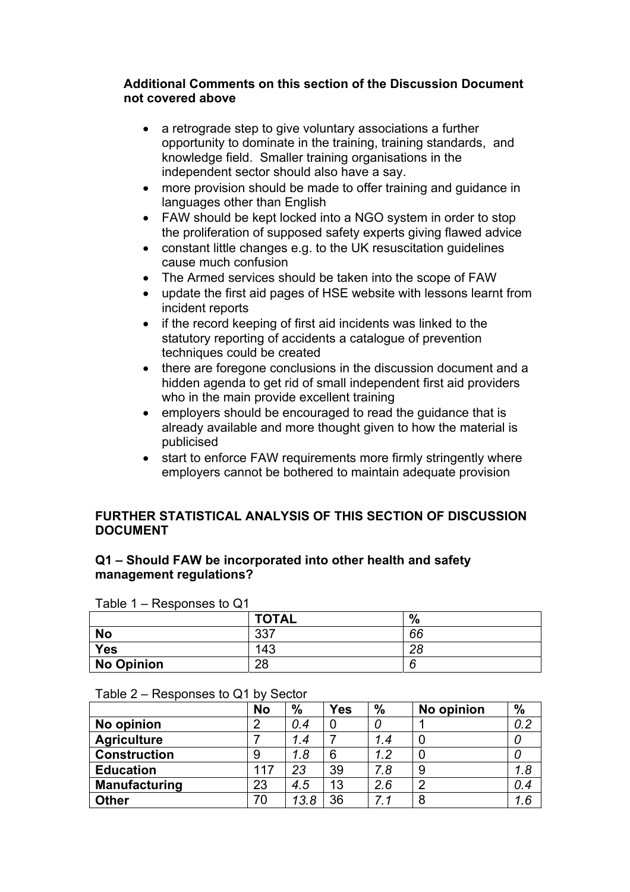#### **Additional Comments on this section of the Discussion Document not covered above**

- a retrograde step to give voluntary associations a further opportunity to dominate in the training, training standards, and knowledge field. Smaller training organisations in the independent sector should also have a say.
- more provision should be made to offer training and guidance in languages other than English
- FAW should be kept locked into a NGO system in order to stop the proliferation of supposed safety experts giving flawed advice
- constant little changes e.g. to the UK resuscitation guidelines cause much confusion
- The Armed services should be taken into the scope of FAW
- update the first aid pages of HSE website with lessons learnt from incident reports
- if the record keeping of first aid incidents was linked to the statutory reporting of accidents a catalogue of prevention techniques could be created
- there are foregone conclusions in the discussion document and a hidden agenda to get rid of small independent first aid providers who in the main provide excellent training
- employers should be encouraged to read the guidance that is already available and more thought given to how the material is publicised
- start to enforce FAW requirements more firmly stringently where employers cannot be bothered to maintain adequate provision

## **FURTHER STATISTICAL ANALYSIS OF THIS SECTION OF DISCUSSION DOCUMENT**

#### **Q1 – Should FAW be incorporated into other health and safety management regulations?**

| Table $1 -$ Responses to Q1 |              |    |  |  |  |  |  |  |
|-----------------------------|--------------|----|--|--|--|--|--|--|
|                             | <b>TOTAL</b> | %  |  |  |  |  |  |  |
| <b>No</b>                   | 337          | 66 |  |  |  |  |  |  |
| <b>Yes</b>                  | 143          | 28 |  |  |  |  |  |  |
| No Opinion                  | 28           |    |  |  |  |  |  |  |

| <b>res</b> |  |
|------------|--|
| No Opinion |  |
|            |  |

|                      | <b>No</b> | $\%$ | <b>Yes</b> | $\frac{9}{6}$ | No opinion | $\%$ |
|----------------------|-----------|------|------------|---------------|------------|------|
| No opinion           | 2         | 0.4  | 0          |               |            | 0.2  |
| <b>Agriculture</b>   |           | 1.4  |            | 1.4           |            |      |
| <b>Construction</b>  | 9         | 1.8  | 6          | 1.2           |            |      |
| <b>Education</b>     | 117       | 23   | 39         | 7.8           | 9          | 1.8  |
| <b>Manufacturing</b> | 23        | 4.5  | 13         | 2.6           | ာ          | 0.4  |
| <b>Other</b>         | 70        | 13.8 | 36         | 7.1           | 8          | 1.6  |

# Table 2 – Responses to Q1 by Sector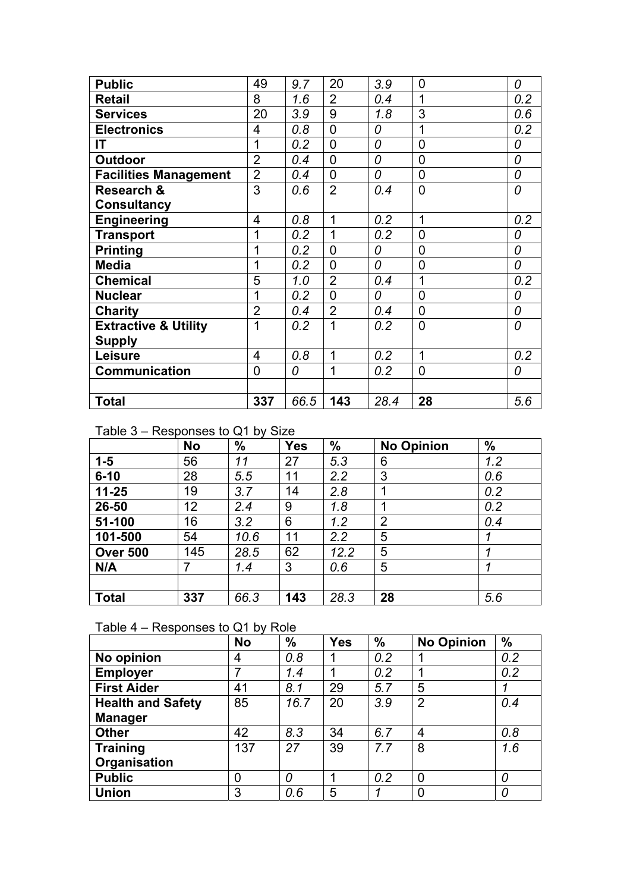| <b>Public</b>                   | 49             | 9.7  | 20             | 3.9  | $\mathbf 0$    | 0   |
|---------------------------------|----------------|------|----------------|------|----------------|-----|
| Retail                          | 8              | 1.6  | $\overline{2}$ | 0.4  |                | 0.2 |
| <b>Services</b>                 | 20             | 3.9  | 9              | 1.8  | 3              | 0.6 |
| <b>Electronics</b>              | 4              | 0.8  | $\overline{0}$ | 0    | 1              | 0.2 |
| IT                              | 1              | 0.2  | $\overline{0}$ | 0    | $\overline{0}$ | 0   |
| <b>Outdoor</b>                  | $\overline{2}$ | 0.4  | 0              | 0    | $\Omega$       | 0   |
| <b>Facilities Management</b>    | $\overline{2}$ | 0.4  | $\overline{0}$ | 0    | $\overline{0}$ | 0   |
| Research &                      | 3              | 0.6  | $\overline{2}$ | 0.4  | $\overline{0}$ | 0   |
| <b>Consultancy</b>              |                |      |                |      |                |     |
| <b>Engineering</b>              | 4              | 0.8  | 1              | 0.2  | 1              | 0.2 |
| <b>Transport</b>                | 1              | 0.2  | 1              | 0.2  | $\overline{0}$ | 0   |
| <b>Printing</b>                 | 1              | 0.2  | $\overline{0}$ | 0    | $\overline{0}$ | 0   |
| <b>Media</b>                    | 1              | 0.2  | $\overline{0}$ | 0    | $\overline{0}$ | 0   |
| <b>Chemical</b>                 | 5              | 1.0  | $\overline{2}$ | 0.4  | 1              | 0.2 |
| <b>Nuclear</b>                  | 1              | 0.2  | $\overline{0}$ | 0    | $\overline{0}$ | 0   |
| Charity                         | $\overline{2}$ | 0.4  | $\overline{2}$ | 0.4  | 0              | 0   |
| <b>Extractive &amp; Utility</b> | 1              | 0.2  | 1              | 0.2  | $\Omega$       | 0   |
| <b>Supply</b>                   |                |      |                |      |                |     |
| Leisure                         | 4              | 0.8  | 1              | 0.2  | 1              | 0.2 |
| <b>Communication</b>            | 0              | 0    | 1              | 0.2  | $\overline{0}$ | 0   |
|                                 |                |      |                |      |                |     |
| Total                           | 337            | 66.5 | 143            | 28.4 | 28             | 5.6 |

## Table 3 – Responses to Q1 by Size

|                 | <b>No</b> | $\frac{0}{0}$ | <b>Yes</b> | $\frac{0}{0}$ | <b>No Opinion</b> | $\frac{9}{6}$ |
|-----------------|-----------|---------------|------------|---------------|-------------------|---------------|
| $1-5$           | 56        | 11            | 27         | 5.3           | 6                 | 1.2           |
| $6 - 10$        | 28        | 5.5           | 11         | 2.2           | 3                 | 0.6           |
| $11 - 25$       | 19        | 3.7           | 14         | 2.8           | ◢                 | 0.2           |
| 26-50           | 12        | 2.4           | 9          | 1.8           |                   | 0.2           |
| 51-100          | 16        | 3.2           | 6          | 1.2           | $\overline{2}$    | 0.4           |
| 101-500         | 54        | 10.6          | 11         | 2.2           | 5                 | 1             |
| <b>Over 500</b> | 145       | 28.5          | 62         | 12.2          | 5                 | 1             |
| N/A             | 7         | 1.4           | 3          | 0.6           | 5                 | 1             |
|                 |           |               |            |               |                   |               |
| <b>Total</b>    | 337       | 66.3          | 143        | 28.3          | 28                | 5.6           |

## Table 4 – Responses to Q1 by Role

|                          | <b>No</b> | $\frac{0}{0}$ | <b>Yes</b> | $\frac{9}{6}$ | <b>No Opinion</b> | $\frac{0}{0}$ |
|--------------------------|-----------|---------------|------------|---------------|-------------------|---------------|
| No opinion               | 4         | 0.8           |            | 0.2           |                   | 0.2           |
| <b>Employer</b>          | 7         | 1.4           |            | 0.2           |                   | 0.2           |
| <b>First Aider</b>       | 41        | 8.1           | 29         | 5.7           | 5                 |               |
| <b>Health and Safety</b> | 85        | 16.7          | 20         | 3.9           | $\overline{2}$    | 0.4           |
| <b>Manager</b>           |           |               |            |               |                   |               |
| <b>Other</b>             | 42        | 8.3           | 34         | 6.7           | 4                 | 0,8           |
| <b>Training</b>          | 137       | 27            | 39         | 7.7           | 8                 | 1.6           |
| Organisation             |           |               |            |               |                   |               |
| <b>Public</b>            | 0         | 0             |            | 0.2           | 0                 | 0             |
| <b>Union</b>             | 3         | 0.6           | 5          |               |                   | 0             |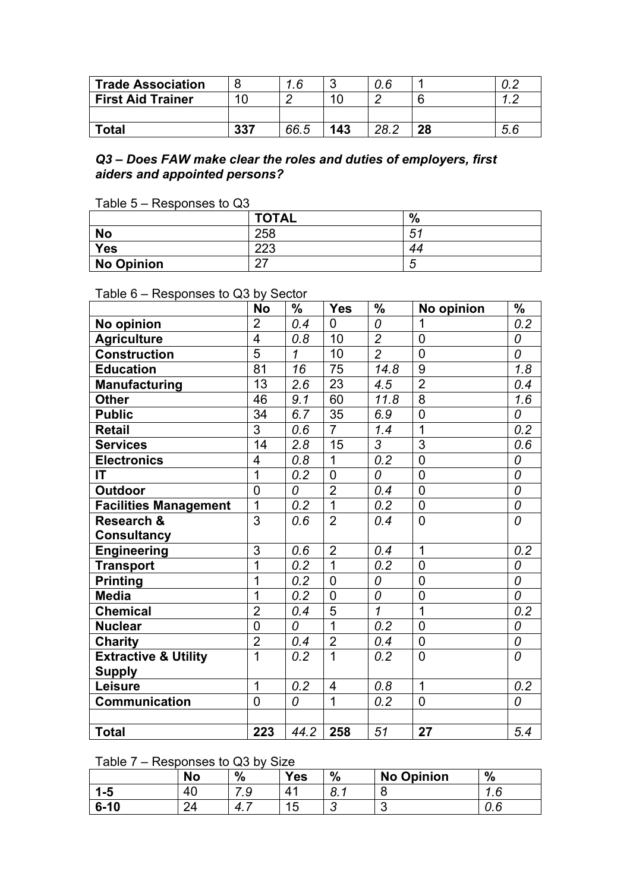| Trade Association        |     | <b>6</b> |     | 0.6  |    |          |
|--------------------------|-----|----------|-----|------|----|----------|
| <b>First Aid Trainer</b> |     |          |     |      |    |          |
|                          |     |          |     |      |    |          |
| <b>Total</b>             | 337 | 66.5     | 143 | 28.2 | 28 | <b>.</b> |

#### *Q3 – Does FAW make clear the roles and duties of employers, first aiders and appointed persons?*

|  | Table 5 - Responses to Q3 |  |
|--|---------------------------|--|
|  |                           |  |

|                   | <b>TOTAL</b> | %  |
|-------------------|--------------|----|
| <b>No</b>         | 258          | 51 |
| <b>Yes</b>        | ററാ<br>د∠ے   | 44 |
| <b>No Opinion</b> | ~-<br>- 1    |    |

## Table 6 – Responses to Q3 by Sector

|                                 | <b>No</b>      | $\%$ | <b>Yes</b>     | $\%$           | No opinion     | $\frac{0}{0}$ |
|---------------------------------|----------------|------|----------------|----------------|----------------|---------------|
| No opinion                      | $\overline{2}$ | 0.4  | 0              | 0              | 1              | 0.2           |
| <b>Agriculture</b>              | 4              | 0.8  | 10             | $\overline{2}$ | $\overline{0}$ | 0             |
| <b>Construction</b>             | $\overline{5}$ | 1    | 10             | $\overline{2}$ | $\overline{0}$ | 0             |
| <b>Education</b>                | 81             | 16   | 75             | 14.8           | 9              | 1.8           |
| <b>Manufacturing</b>            | 13             | 2.6  | 23             | 4.5            | $\overline{2}$ | 0.4           |
| <b>Other</b>                    | 46             | 9.1  | 60             | 11.8           | 8              | 1.6           |
| <b>Public</b>                   | 34             | 6.7  | 35             | 6.9            | $\overline{0}$ | 0             |
| Retail                          | 3              | 0.6  | $\overline{7}$ | 1.4            | $\overline{1}$ | 0.2           |
| <b>Services</b>                 | 14             | 2.8  | 15             | 3              | 3              | 0.6           |
| <b>Electronics</b>              | 4              | 0.8  | $\overline{1}$ | 0.2            | $\overline{0}$ | 0             |
| IT                              | $\overline{1}$ | 0.2  | $\overline{0}$ | 0              | $\overline{0}$ | 0             |
| <b>Outdoor</b>                  | $\overline{0}$ | 0    | $\overline{2}$ | 0.4            | $\overline{0}$ | 0             |
| <b>Facilities Management</b>    | $\mathbf{1}$   | 0.2  | $\overline{1}$ | 0.2            | $\overline{0}$ | 0             |
| <b>Research &amp;</b>           | 3              | 0.6  | $\overline{2}$ | 0.4            | $\overline{0}$ | 0             |
| <b>Consultancy</b>              |                |      |                |                |                |               |
| Engineering                     | 3              | 0.6  | $\overline{2}$ | 0.4            | $\mathbf 1$    | 0.2           |
| <b>Transport</b>                | 1              | 0.2  | $\overline{1}$ | 0.2            | $\overline{0}$ | 0             |
| <b>Printing</b>                 | 1              | 0.2  | $\overline{0}$ | 0              | $\overline{0}$ | 0             |
| <b>Media</b>                    | 1              | 0.2  | $\overline{0}$ | 0              | $\mathbf 0$    | 0             |
| <b>Chemical</b>                 | $\overline{2}$ | 0.4  | $\overline{5}$ | $\overline{1}$ | $\overline{1}$ | 0.2           |
| <b>Nuclear</b>                  | $\overline{0}$ | 0    | $\overline{1}$ | 0.2            | $\overline{0}$ | 0             |
| <b>Charity</b>                  | $\overline{2}$ | 0.4  | $\overline{2}$ | 0.4            | $\overline{0}$ | 0             |
| <b>Extractive &amp; Utility</b> | $\overline{1}$ | 0.2  | $\overline{1}$ | 0.2            | $\overline{0}$ | 0             |
| <b>Supply</b>                   |                |      |                |                |                |               |
| Leisure                         | $\mathbf{1}$   | 0.2  | $\overline{4}$ | 0.8            | 1              | 0.2           |
| Communication                   | $\overline{0}$ | 0    | $\overline{1}$ | 0.2            | $\overline{0}$ | 0             |
|                                 |                |      |                |                |                |               |
| <b>Total</b>                    | 223            | 44.2 | 258            | 51             | 27             | 5.4           |

## Table 7 – Responses to Q3 by Size

|          | <b>No</b> | $\frac{0}{0}$ | Yes                   | $\frac{0}{0}$                  | <b>No Opinion</b> | $\frac{0}{0}$ |
|----------|-----------|---------------|-----------------------|--------------------------------|-------------------|---------------|
| 1-5      | 40        | Q<br>ت. ت     | $\mathbf{A}^{\prime}$ | $\Omega$<br>$\cdot$ 0. $\cdot$ | 8                 | ۔<br>ں ،      |
| $6 - 10$ | 24<br>⊂⊐  | $\Delta$<br>. | 15<br>◡               |                                | ╭<br>N            | . E<br>v.u    |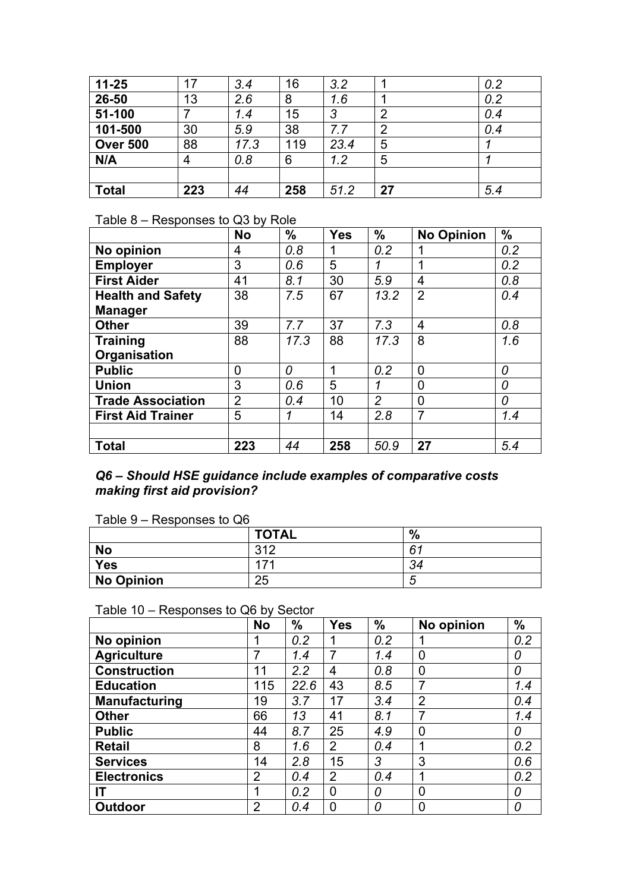| $11 - 25$       | 17  | 3.4  | 16  | 3.2  |                | 0.2 |
|-----------------|-----|------|-----|------|----------------|-----|
| 26-50           | 13  | 2.6  | 8   | 1.6  |                | 0.2 |
| 51-100          |     | 1.4  | 15  | 3    | $\overline{2}$ | 0.4 |
| 101-500         | 30  | 5.9  | 38  | 7.7  | $\overline{2}$ | 0.4 |
| <b>Over 500</b> | 88  | 17.3 | 119 | 23.4 | 5              |     |
| N/A             | 4   | 0.8  | 6   | 1.2  | 5              |     |
|                 |     |      |     |      |                |     |
| <b>Total</b>    | 223 | 44   | 258 | 51.2 | 27             | 5.4 |

## Table 8 – Responses to Q3 by Role

|                          | <b>No</b>      | $\frac{0}{0}$ | <b>Yes</b> | $\frac{0}{0}$  | <b>No Opinion</b> | $\frac{0}{0}$ |
|--------------------------|----------------|---------------|------------|----------------|-------------------|---------------|
| No opinion               | 4              | 0.8           |            | 0.2            |                   | 0.2           |
| <b>Employer</b>          | 3              | 0.6           | 5          | 1              | 1                 | 0.2           |
| <b>First Aider</b>       | 41             | 8.1           | 30         | 5.9            | 4                 | 0.8           |
| <b>Health and Safety</b> | 38             | 7.5           | 67         | 13.2           | $\overline{2}$    | 0.4           |
| <b>Manager</b>           |                |               |            |                |                   |               |
| <b>Other</b>             | 39             | 7.7           | 37         | 7.3            | 4                 | 0,8           |
| <b>Training</b>          | 88             | 17.3          | 88         | 17.3           | 8                 | 1.6           |
| Organisation             |                |               |            |                |                   |               |
| <b>Public</b>            | 0              | 0             | 1          | 0.2            | $\overline{0}$    | 0             |
| <b>Union</b>             | 3              | 0.6           | 5          | 1              | 0                 | 0             |
| <b>Trade Association</b> | $\overline{2}$ | 0.4           | 10         | $\overline{2}$ | $\overline{0}$    | 0             |
| <b>First Aid Trainer</b> | 5              | 1             | 14         | 2.8            | $\overline{7}$    | 1.4           |
|                          |                |               |            |                |                   |               |
| <b>Total</b>             | 223            | 44            | 258        | 50.9           | 27                | 5.4           |

#### *Q6 – Should HSE guidance include examples of comparative costs making first aid provision?*

Table 9 – Responses to Q6

|                   | <b>TOTAL</b> | $\frac{0}{0}$ |
|-------------------|--------------|---------------|
| <b>No</b>         | 312          | 61            |
| <b>Yes</b>        | 171          | 34            |
| <b>No Opinion</b> | 25           |               |

Table 10 – Responses to Q6 by Sector

|                      | <b>No</b>      | $\frac{9}{6}$ | <b>Yes</b>     | $\frac{0}{0}$ | No opinion     | $\frac{9}{6}$ |
|----------------------|----------------|---------------|----------------|---------------|----------------|---------------|
| No opinion           |                | 0.2           |                | 0.2           |                | 0.2           |
| <b>Agriculture</b>   | 7              | 1.4           | 7              | 1.4           | $\overline{0}$ | 0             |
| <b>Construction</b>  | 11             | 2.2           | 4              | 0.8           | $\overline{0}$ | 0             |
| <b>Education</b>     | 115            | 22.6          | 43             | 8.5           | 7              | 1.4           |
| <b>Manufacturing</b> | 19             | 3.7           | 17             | 3.4           | $\overline{2}$ | 0.4           |
| <b>Other</b>         | 66             | 13            | 41             | 8.1           | 7              | 1.4           |
| <b>Public</b>        | 44             | 8.7           | 25             | 4.9           | $\overline{0}$ | 0             |
| <b>Retail</b>        | 8              | 1.6           | $\overline{2}$ | 0.4           | ◢              | 0.2           |
| <b>Services</b>      | 14             | 2.8           | 15             | 3             | 3              | 0.6           |
| <b>Electronics</b>   | $\overline{2}$ | 0.4           | 2              | 0.4           | ◀              | 0.2           |
| ΙT                   |                | 0.2           | $\overline{0}$ | 0             | $\Omega$       | 0             |
| <b>Outdoor</b>       | $\overline{2}$ | 0.4           | 0              | 0             | $\overline{0}$ | 0             |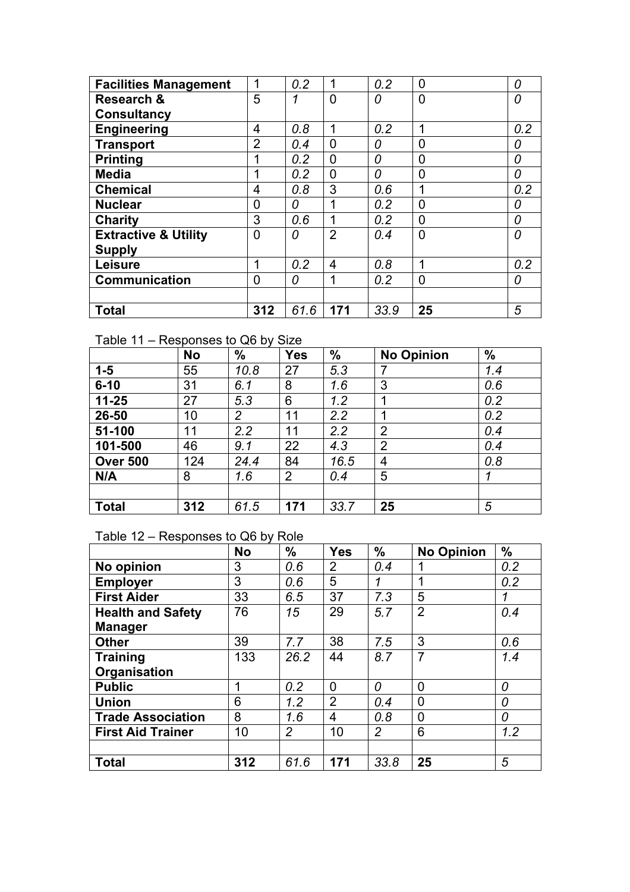| <b>Facilities Management</b>    | 1              | 0.2  | 1              | 0.2  | $\overline{0}$ | 0   |
|---------------------------------|----------------|------|----------------|------|----------------|-----|
| <b>Research &amp;</b>           | 5              | 1    | $\overline{0}$ | 0    | $\overline{0}$ | 0   |
| <b>Consultancy</b>              |                |      |                |      |                |     |
| <b>Engineering</b>              | 4              | 0.8  | 1              | 0.2  | 1              | 0.2 |
| <b>Transport</b>                | $\overline{2}$ | 0.4  | $\overline{0}$ | 0    | $\Omega$       | 0   |
| <b>Printing</b>                 |                | 0.2  | 0              | 0    | $\Omega$       | 0   |
| <b>Media</b>                    |                | 0.2  | 0              | 0    | $\Omega$       | 0   |
| <b>Chemical</b>                 | 4              | 0.8  | 3              | 0.6  |                | 0.2 |
| <b>Nuclear</b>                  | 0              | 0    |                | 0.2  | $\overline{0}$ | 0   |
| <b>Charity</b>                  | 3              | 0.6  | 1              | 0.2  | $\Omega$       | 0   |
| <b>Extractive &amp; Utility</b> | 0              | 0    | $\overline{2}$ | 0.4  | $\overline{0}$ | 0   |
| <b>Supply</b>                   |                |      |                |      |                |     |
| Leisure                         |                | 0.2  | 4              | 0.8  | 1              | 0.2 |
| <b>Communication</b>            | 0              | 0    | 1              | 0.2  | $\overline{0}$ | 0   |
|                                 |                |      |                |      |                |     |
| <b>Total</b>                    | 312            | 61.6 | 171            | 33.9 | 25             | 5   |

## Table 11 – Responses to Q6 by Size

|                 | <b>No</b> | $\frac{9}{6}$  | <b>Yes</b> | $\frac{0}{0}$ | <b>No Opinion</b> | $\frac{0}{0}$ |
|-----------------|-----------|----------------|------------|---------------|-------------------|---------------|
| $1 - 5$         | 55        | 10.8           | 27         | 5.3           | $\overline{7}$    | 1.4           |
| $6 - 10$        | 31        | 6.1            | 8          | 1.6           | 3                 | 0.6           |
| $11 - 25$       | 27        | 5.3            | 6          | 1.2           | 1                 | 0.2           |
| 26-50           | 10        | $\overline{2}$ | 11         | 2.2           | ◢                 | 0.2           |
| 51-100          | 11        | 2.2            | 11         | 2.2           | $\overline{2}$    | 0.4           |
| 101-500         | 46        | 9.1            | 22         | 4.3           | $\overline{2}$    | 0.4           |
| <b>Over 500</b> | 124       | 24.4           | 84         | 16.5          | 4                 | 0.8           |
| N/A             | 8         | 1.6            | 2          | 0.4           | 5                 | 1             |
|                 |           |                |            |               |                   |               |
| <b>Total</b>    | 312       | 61.5           | 171        | 33.7          | 25                | 5             |

## Table 12 – Responses to Q6 by Role

|                          | <b>No</b> | $\frac{0}{0}$ | <b>Yes</b>     | $\frac{0}{0}$  | <b>No Opinion</b> | $\frac{0}{0}$ |
|--------------------------|-----------|---------------|----------------|----------------|-------------------|---------------|
| No opinion               | 3         | 0.6           | 2              | 0.4            |                   | 0.2           |
| <b>Employer</b>          | 3         | 0.6           | 5              | 1              | 1                 | 0.2           |
| <b>First Aider</b>       | 33        | 6.5           | 37             | 7.3            | 5                 | 1             |
| <b>Health and Safety</b> | 76        | 15            | 29             | 5.7            | $\overline{2}$    | 0.4           |
| <b>Manager</b>           |           |               |                |                |                   |               |
| <b>Other</b>             | 39        | 7.7           | 38             | 7.5            | 3                 | 0.6           |
| <b>Training</b>          | 133       | 26.2          | 44             | 8.7            | 7                 | 1.4           |
| Organisation             |           |               |                |                |                   |               |
| <b>Public</b>            | 1         | 0.2           | $\mathbf 0$    | 0              | 0                 | 0             |
| <b>Union</b>             | 6         | 1.2           | $\overline{2}$ | 0.4            | 0                 | 0             |
| <b>Trade Association</b> | 8         | 1.6           | 4              | 0.8            | 0                 | 0             |
| <b>First Aid Trainer</b> | 10        | 2             | 10             | $\overline{2}$ | 6                 | 1.2           |
|                          |           |               |                |                |                   |               |
| <b>Total</b>             | 312       | 61.6          | 171            | 33.8           | 25                | 5             |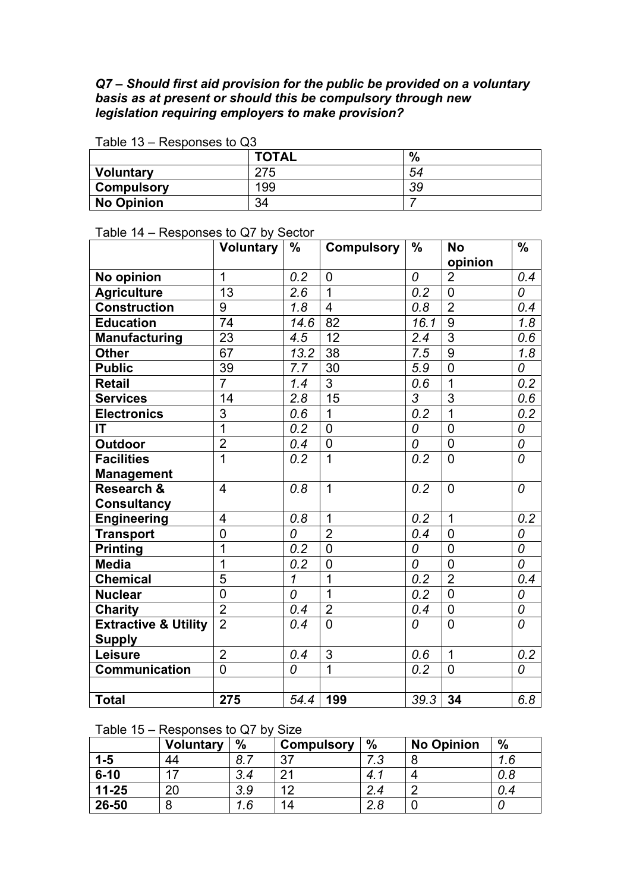### *Q7 – Should first aid provision for the public be provided on a voluntary basis as at present or should this be compulsory through new legislation requiring employers to make provision?*

| 1 UNIV 1 V<br>wooponoco to Qo |              |      |  |  |  |  |  |
|-------------------------------|--------------|------|--|--|--|--|--|
|                               | <b>TOTAL</b> | $\%$ |  |  |  |  |  |
| <b>Voluntary</b>              | 275          | 54   |  |  |  |  |  |
| <b>Compulsory</b>             | 199          | 39   |  |  |  |  |  |
| <b>No Opinion</b>             | 34           |      |  |  |  |  |  |

#### Table 13 – Responses to Q3

#### Table 14 – Responses to Q7 by Sector

|                                 | <b>Voluntary</b> | $\frac{0}{0}$ | <b>Compulsory</b> | $\frac{0}{0}$ | <b>No</b><br>opinion | $\frac{0}{0}$  |
|---------------------------------|------------------|---------------|-------------------|---------------|----------------------|----------------|
| No opinion                      | 1                | 0.2           | $\mathbf 0$       | 0             | $\overline{2}$       | 0.4            |
| <b>Agriculture</b>              | 13               | 2.6           | $\overline{1}$    | 0.2           | $\overline{0}$       | 0              |
| <b>Construction</b>             | 9                | 1.8           | $\overline{4}$    | 0.8           | $\overline{2}$       | 0.4            |
| <b>Education</b>                | $\overline{74}$  | 14.6          | 82                | 16.1          | 9                    | 1.8            |
| <b>Manufacturing</b>            | 23               | 4.5           | 12                | 2.4           | $\overline{3}$       | 0.6            |
| <b>Other</b>                    | 67               | 13.2          | 38                | 7.5           | 9                    | 1.8            |
| <b>Public</b>                   | $\overline{39}$  | 7.7           | 30                | 5.9           | $\overline{0}$       | 0              |
| <b>Retail</b>                   | $\overline{7}$   | 1.4           | 3                 | 0.6           | 1                    | 0.2            |
| <b>Services</b>                 | 14               | 2.8           | 15                | 3             | 3                    | 0.6            |
| <b>Electronics</b>              | $\overline{3}$   | 0.6           | 1                 | 0.2           | $\overline{1}$       | 0.2            |
| IT                              | $\overline{1}$   | 0.2           | $\overline{0}$    | 0             | $\overline{0}$       | 0              |
| <b>Outdoor</b>                  | $\overline{2}$   | 0.4           | $\overline{0}$    | 0             | $\overline{0}$       | $\overline{o}$ |
| <b>Facilities</b>               | $\overline{1}$   | 0.2           | 1                 | 0.2           | $\overline{0}$       | 0              |
| <b>Management</b>               |                  |               |                   |               |                      |                |
| <b>Research &amp;</b>           | $\overline{4}$   | 0.8           | $\overline{1}$    | 0.2           | $\overline{0}$       | 0              |
| <b>Consultancy</b>              |                  |               |                   |               |                      |                |
| <b>Engineering</b>              | 4                | 0.8           | $\overline{1}$    | 0.2           | $\mathbf{1}$         | 0.2            |
| <b>Transport</b>                | $\overline{0}$   | 0             | $\overline{2}$    | 0.4           | $\overline{0}$       | 0              |
| <b>Printing</b>                 | 1                | 0.2           | $\overline{0}$    | 0             | $\mathbf 0$          | 0              |
| <b>Media</b>                    | $\overline{1}$   | 0.2           | $\overline{0}$    | 0             | $\overline{0}$       | 0              |
| <b>Chemical</b>                 | $\overline{5}$   | 1             | 1                 | 0.2           | $\overline{2}$       | 0.4            |
| <b>Nuclear</b>                  | $\overline{0}$   | 0             | $\overline{1}$    | 0.2           | $\overline{0}$       | 0              |
| <b>Charity</b>                  | $\overline{2}$   | 0.4           | $\overline{2}$    | 0.4           | $\overline{0}$       | 0              |
| <b>Extractive &amp; Utility</b> | $\overline{2}$   | 0.4           | $\overline{0}$    | 0             | $\overline{0}$       | 0              |
| <b>Supply</b>                   |                  |               |                   |               |                      |                |
| Leisure                         | $\overline{2}$   | 0.4           | 3                 | 0.6           | 1                    | 0.2            |
| <b>Communication</b>            | $\overline{0}$   | 0             | 1                 | 0.2           | $\overline{0}$       | 0              |
|                                 |                  |               |                   |               |                      |                |
| <b>Total</b>                    | 275              | 54.4          | 199               | 39.3          | 34                   | 6.8            |

## Table 15 – Responses to Q7 by Size

|           | <b>Voluntary</b> | $\%$      | <b>Compulsory</b> | $\frac{0}{0}$ | <b>No Opinion</b> | $\frac{0}{0}$ |
|-----------|------------------|-----------|-------------------|---------------|-------------------|---------------|
| $1-5$     | 44               | $\circ$ 7 | 37                | ヮ へ           |                   |               |
| $6 - 10$  |                  | 3.4       | $\mathcal{D}$     | 4.            |                   |               |
| $11 - 25$ | nr.              | 3.9       | ィつ                | 2.4           |                   | 0.4           |
| 26-50     | O                | $.6\,$    | 14                | 2.8           |                   |               |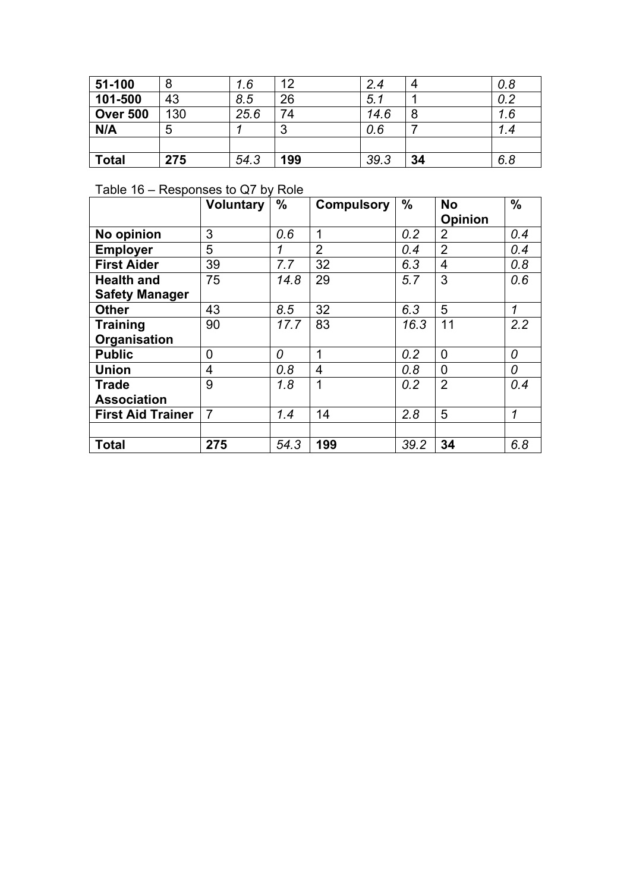| 51-100          |     | 1.6  | 12     | 2.4  | 4  | 0.8 |
|-----------------|-----|------|--------|------|----|-----|
| 101-500         | 43  | 8.5  | 26     | 5.1  |    | 0.2 |
| <b>Over 500</b> | 130 | 25.6 | 74     | 14.6 | 8  | 1.6 |
| N/A             | b   |      | ລ<br>J | 0.6  |    | 1.4 |
|                 |     |      |        |      |    |     |
| <b>Total</b>    | 275 | 54.3 | 199    | 39.3 | 34 | 6.8 |

## Table 16 – Responses to Q7 by Role

|                          | <b>Voluntary</b> | $\frac{0}{0}$ | <b>Compulsory</b> | $\%$ | <b>No</b>      | $\frac{0}{0}$ |
|--------------------------|------------------|---------------|-------------------|------|----------------|---------------|
|                          |                  |               |                   |      | <b>Opinion</b> |               |
| No opinion               | 3                | 0.6           | 1                 | 0.2  | $\overline{2}$ | 0.4           |
| <b>Employer</b>          | 5                | 1             | $\overline{2}$    | 0.4  | $\overline{2}$ | 0.4           |
| <b>First Aider</b>       | 39               | 7.7           | 32                | 6.3  | 4              | 0.8           |
| <b>Health and</b>        | 75               | 14.8          | 29                | 5.7  | 3              | 0.6           |
| <b>Safety Manager</b>    |                  |               |                   |      |                |               |
| <b>Other</b>             | 43               | 8.5           | 32                | 6.3  | 5              | 1             |
| <b>Training</b>          | 90               | 17.7          | 83                | 16.3 | 11             | 2.2           |
| Organisation             |                  |               |                   |      |                |               |
| <b>Public</b>            | $\overline{0}$   | 0             | 1                 | 0.2  | $\overline{0}$ | 0             |
| <b>Union</b>             | 4                | 0.8           | 4                 | 0.8  | $\overline{0}$ | 0             |
| <b>Trade</b>             | 9                | 1.8           | 1                 | 0.2  | $\overline{2}$ | 0.4           |
| <b>Association</b>       |                  |               |                   |      |                |               |
| <b>First Aid Trainer</b> | $\overline{7}$   | 1.4           | 14                | 2.8  | 5              | 1             |
|                          |                  |               |                   |      |                |               |
| <b>Total</b>             | 275              | 54.3          | 199               | 39.2 | 34             | 6.8           |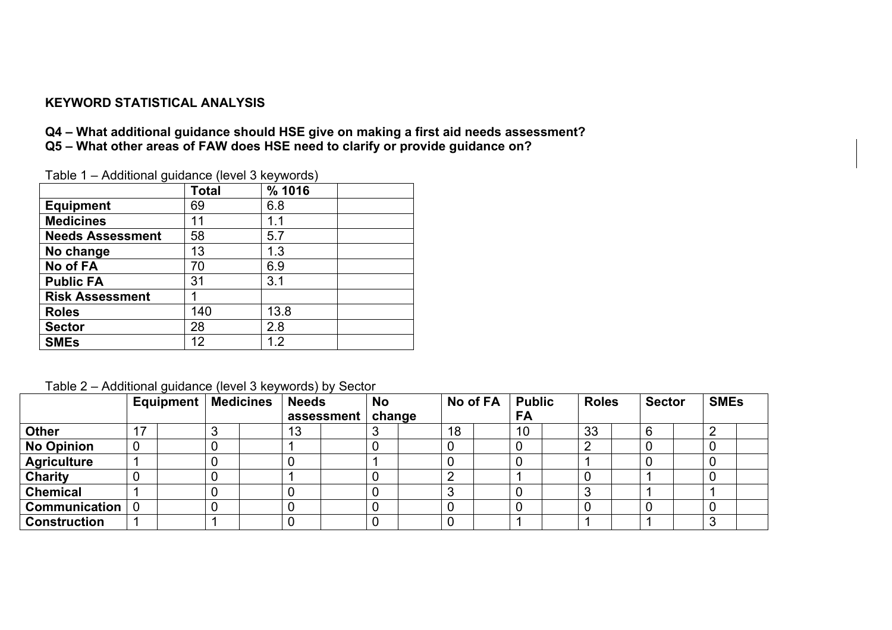## **KEYWORD STATISTICAL ANALYSIS**

**Q4 – What additional guidance should HSE give on making a first aid needs assessment? Q5 – What other areas of FAW does HSE need to clarify or provide guidance on?** 

| $1$ able $1 -$ Additional guidance (level 5 $key$ words) |              |        |  |  |  |  |
|----------------------------------------------------------|--------------|--------|--|--|--|--|
|                                                          | <b>Total</b> | % 1016 |  |  |  |  |
| <b>Equipment</b>                                         | 69           | 6.8    |  |  |  |  |
| <b>Medicines</b>                                         | 11           | 1.1    |  |  |  |  |
| <b>Needs Assessment</b>                                  | 58           | 5.7    |  |  |  |  |
| No change                                                | 13           | 1.3    |  |  |  |  |
| No of FA                                                 | 70           | 6.9    |  |  |  |  |
| <b>Public FA</b>                                         | 31           | 3.1    |  |  |  |  |
| <b>Risk Assessment</b>                                   |              |        |  |  |  |  |
| <b>Roles</b>                                             | 140          | 13.8   |  |  |  |  |
| <b>Sector</b>                                            | 28           | 2.8    |  |  |  |  |
| <b>SMEs</b>                                              | 12           | 1.2    |  |  |  |  |

Table 1 – Additional guidance (level 3 keywords)

Table 2 – Additional guidance (level 3 keywords) by Sector

|                     | <b>Equipment   Medicines</b> |   | <b>Needs</b> | - - - , - , - - - - -<br>assessment | <b>No</b><br>change | No of FA | <b>Public</b><br>FA | <b>Roles</b>   | <b>Sector</b> | <b>SMEs</b> |  |
|---------------------|------------------------------|---|--------------|-------------------------------------|---------------------|----------|---------------------|----------------|---------------|-------------|--|
| <b>Other</b>        | 17                           | J | 13           |                                     |                     | 18       | 10                  | 33             | 6             |             |  |
| <b>No Opinion</b>   | 0                            | U |              |                                     |                     |          | 0                   | $\overline{2}$ |               |             |  |
| <b>Agriculture</b>  |                              | υ |              |                                     |                     |          | 0                   |                |               |             |  |
| <b>Charity</b>      |                              |   |              |                                     |                     |          |                     |                |               |             |  |
| <b>Chemical</b>     |                              |   |              |                                     |                     |          |                     | 3              |               |             |  |
| Communication       | $\overline{0}$               | υ |              |                                     |                     |          |                     |                |               |             |  |
| <b>Construction</b> |                              |   |              |                                     |                     |          |                     |                |               |             |  |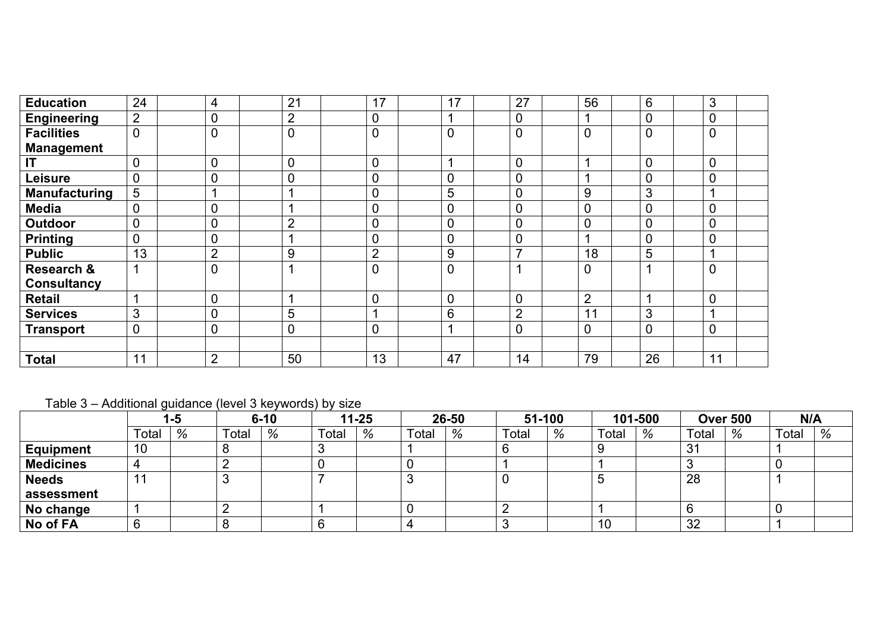| <b>Education</b>      | 24             | 4              | 21             | 17             | 17             | 27                      | 56             | 6              | 3              |  |
|-----------------------|----------------|----------------|----------------|----------------|----------------|-------------------------|----------------|----------------|----------------|--|
| <b>Engineering</b>    | $\overline{2}$ | 0              | $\overline{2}$ | $\overline{0}$ |                | $\Omega$                |                | 0              | $\overline{0}$ |  |
| <b>Facilities</b>     | $\overline{0}$ | $\overline{0}$ | $\overline{0}$ | $\overline{0}$ | $\overline{0}$ | $\overline{0}$          | 0              | $\overline{0}$ | $\Omega$       |  |
| <b>Management</b>     |                |                |                |                |                |                         |                |                |                |  |
| IT                    | $\overline{0}$ | 0              | 0              | $\overline{0}$ |                | $\overline{0}$          |                | $\overline{0}$ | $\overline{0}$ |  |
| Leisure               | 0              | 0              | 0              | 0              | $\overline{0}$ | $\overline{0}$          |                | $\overline{0}$ | $\mathbf{0}$   |  |
| <b>Manufacturing</b>  | 5              |                |                | $\overline{0}$ | 5              | $\overline{0}$          | 9              | 3              |                |  |
| <b>Media</b>          | 0              | 0              |                | 0              | $\overline{0}$ | $\mathbf{0}$            | 0              | $\overline{0}$ | $\overline{0}$ |  |
| <b>Outdoor</b>        | 0              | 0              | $\overline{2}$ | $\overline{0}$ | $\overline{0}$ | $\mathbf{0}$            | 0              | 0              | 0              |  |
| <b>Printing</b>       | 0              | 0              |                | $\overline{0}$ | $\overline{0}$ | $\overline{0}$          |                | $\overline{0}$ | $\overline{0}$ |  |
| <b>Public</b>         | 13             | $\overline{2}$ | 9              | $\overline{2}$ | 9              | $\overline{7}$          | 18             | 5              |                |  |
| <b>Research &amp;</b> |                | 0              |                | $\overline{0}$ | $\overline{0}$ | $\overline{\mathbf{A}}$ | 0              |                | $\overline{0}$ |  |
| <b>Consultancy</b>    |                |                |                |                |                |                         |                |                |                |  |
| <b>Retail</b>         |                | 0              |                | 0              | $\overline{0}$ | $\overline{0}$          | $\overline{2}$ |                | $\overline{0}$ |  |
| <b>Services</b>       | 3              | 0              | 5              | и              | 6              | $\overline{2}$          | 11             | 3              |                |  |
| <b>Transport</b>      | $\overline{0}$ | $\Omega$       | 0              | $\overline{0}$ | и              | $\overline{0}$          | 0              | $\Omega$       | $\mathbf{0}$   |  |
|                       |                |                |                |                |                |                         |                |                |                |  |
| <b>Total</b>          | 11             | $\overline{2}$ | 50             | 13             | 47             | 14                      | 79             | 26             | 11             |  |

## Table 3 – Additional guidance (level 3 keywords) by size

|                  |             | l -5 |       |   |       | $6 - 10$ |       | $11 - 25$ |       | 26-50 |       | $51 - 100$ |       | 101-500 |       | <b>Over 500</b> | N/A |  |
|------------------|-------------|------|-------|---|-------|----------|-------|-----------|-------|-------|-------|------------|-------|---------|-------|-----------------|-----|--|
|                  | $\tau$ otal | %    | Total | % | Total | %        | Total | %         | Total | %     | Total | %          | Total | %       | Total | %               |     |  |
| <b>Equipment</b> | 10          |      |       |   |       |          |       |           |       |       |       |            | 31    |         |       |                 |     |  |
| <b>Medicines</b> |             |      |       |   |       |          |       |           |       |       |       |            |       |         |       |                 |     |  |
| <b>Needs</b>     |             |      |       |   |       |          |       |           |       |       | ັ     |            | 28    |         |       |                 |     |  |
| assessment       |             |      |       |   |       |          |       |           |       |       |       |            |       |         |       |                 |     |  |
| No change        |             |      |       |   |       |          |       |           |       |       |       |            | O     |         |       |                 |     |  |
| No of FA         |             |      |       |   |       |          |       |           |       |       | 10    |            | 32    |         |       |                 |     |  |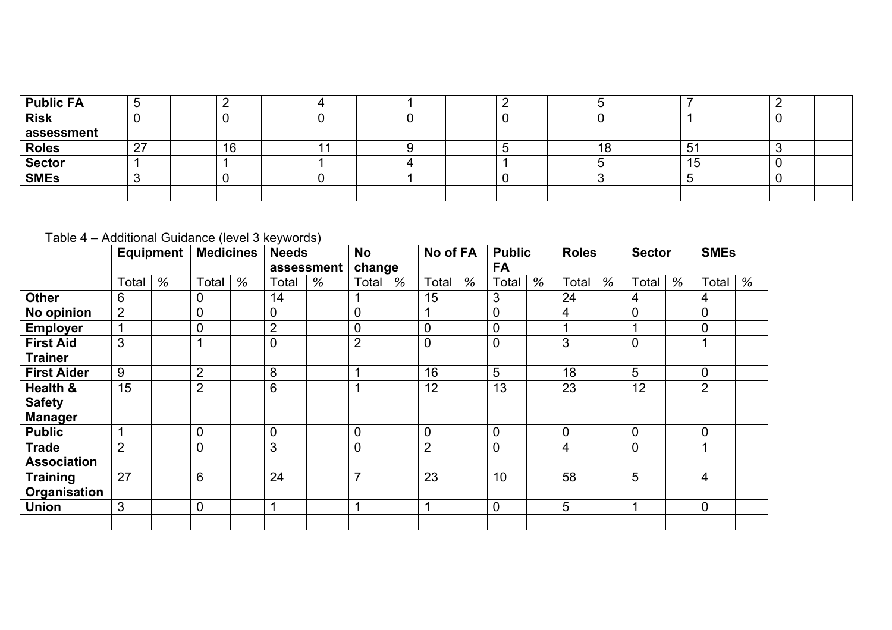| Public FA     | ∽<br>◡        | -  |  |  |  |    |    |  |  |
|---------------|---------------|----|--|--|--|----|----|--|--|
| <b>Risk</b>   |               |    |  |  |  |    |    |  |  |
| assessment    |               |    |  |  |  |    |    |  |  |
| <b>Roles</b>  | ົດສ<br>$\sim$ | 16 |  |  |  | 10 | 51 |  |  |
| <b>Sector</b> |               |    |  |  |  |    | ျခ |  |  |
| <b>SMEs</b>   |               |    |  |  |  |    |    |  |  |
|               |               |    |  |  |  |    |    |  |  |

## Table 4 – Additional Guidance (level 3 keywords)

|                    |       | Equipment | <b>Medicines</b> |   | <b>Needs</b>   |            | <b>No</b>                |      | No of FA       |   | <b>Public</b>  |      | <b>Roles</b>   |      | <b>Sector</b>  |   | <b>SMEs</b>    |      |
|--------------------|-------|-----------|------------------|---|----------------|------------|--------------------------|------|----------------|---|----------------|------|----------------|------|----------------|---|----------------|------|
|                    |       |           |                  |   |                | assessment | change                   |      |                |   | <b>FA</b>      |      |                |      |                |   |                |      |
|                    | Total | $\%$      | Total            | % | Total          | $\%$       | Total                    | $\%$ | Total          | % | Total          | $\%$ | Total          | $\%$ | Total          | % | Total          | $\%$ |
| Other              | 6     |           | 0                |   | 14             |            |                          |      | 15             |   | 3              |      | 24             |      | 4              |   | 4              |      |
| No opinion         | 2     |           | 0                |   | $\mathbf 0$    |            | 0                        |      |                |   | $\mathbf 0$    |      | 4              |      | $\mathbf 0$    |   | 0              |      |
| <b>Employer</b>    | 1     |           | 0                |   | $\overline{2}$ |            | 0                        |      | $\overline{0}$ |   | $\mathbf 0$    |      |                |      |                |   | 0              |      |
| <b>First Aid</b>   | 3     |           |                  |   | $\overline{0}$ |            | $\overline{2}$           |      | $\overline{0}$ |   | $\mathbf 0$    |      | 3              |      | $\overline{0}$ |   |                |      |
| <b>Trainer</b>     |       |           |                  |   |                |            |                          |      |                |   |                |      |                |      |                |   |                |      |
| <b>First Aider</b> | 9     |           | $\overline{2}$   |   | 8              |            |                          |      | 16             |   | 5              |      | 18             |      | 5              |   | 0              |      |
| Health &           | 15    |           | $\overline{2}$   |   | 6              |            |                          |      | 12             |   | 13             |      | 23             |      | 12             |   | $\overline{2}$ |      |
| <b>Safety</b>      |       |           |                  |   |                |            |                          |      |                |   |                |      |                |      |                |   |                |      |
| <b>Manager</b>     |       |           |                  |   |                |            |                          |      |                |   |                |      |                |      |                |   |                |      |
| <b>Public</b>      |       |           | 0                |   | $\mathbf 0$    |            | $\mathbf 0$              |      | $\mathbf{0}$   |   | $\overline{0}$ |      | $\overline{0}$ |      | $\overline{0}$ |   | 0              |      |
| <b>Trade</b>       | 2     |           | $\mathbf 0$      |   | 3              |            | $\mathbf 0$              |      | $\overline{2}$ |   | $\overline{0}$ |      | 4              |      | $\overline{0}$ |   |                |      |
| <b>Association</b> |       |           |                  |   |                |            |                          |      |                |   |                |      |                |      |                |   |                |      |
| <b>Training</b>    | 27    |           | 6                |   | 24             |            | $\overline{\phantom{a}}$ |      | 23             |   | 10             |      | 58             |      | 5              |   | 4              |      |
| Organisation       |       |           |                  |   |                |            |                          |      |                |   |                |      |                |      |                |   |                |      |
| <b>Union</b>       | 3     |           | $\mathbf 0$      |   | 1              |            |                          |      | 1              |   | $\overline{0}$ |      | 5              |      | 4              |   | 0              |      |
|                    |       |           |                  |   |                |            |                          |      |                |   |                |      |                |      |                |   |                |      |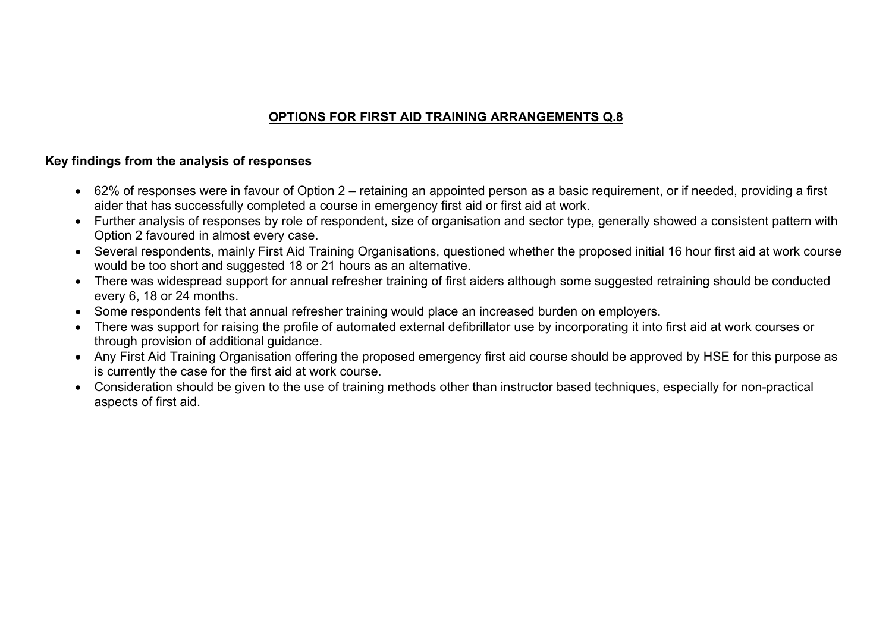## **OPTIONS FOR FIRST AID TRAINING ARRANGEMENTS Q.8**

## **Key findings from the analysis of responses**

- 62% of responses were in favour of Option 2 retaining an appointed person as a basic requirement, or if needed, providing a first aider that has successfully completed a course in emergency first aid or first aid at work.
- Further analysis of responses by role of respondent, size of organisation and sector type, generally showed a consistent pattern with Option 2 favoured in almost every case.
- Several respondents, mainly First Aid Training Organisations, questioned whether the proposed initial 16 hour first aid at work course would be too short and suggested 18 or 21 hours as an alternative.
- There was widespread support for annual refresher training of first aiders although some suggested retraining should be conducted every 6, 18 or 24 months.
- Some respondents felt that annual refresher training would place an increased burden on employers.
- There was support for raising the profile of automated external defibrillator use by incorporating it into first aid at work courses or through provision of additional guidance.
- Any First Aid Training Organisation offering the proposed emergency first aid course should be approved by HSE for this purpose as is currently the case for the first aid at work course.
- Consideration should be given to the use of training methods other than instructor based techniques, especially for non-practical aspects of first aid.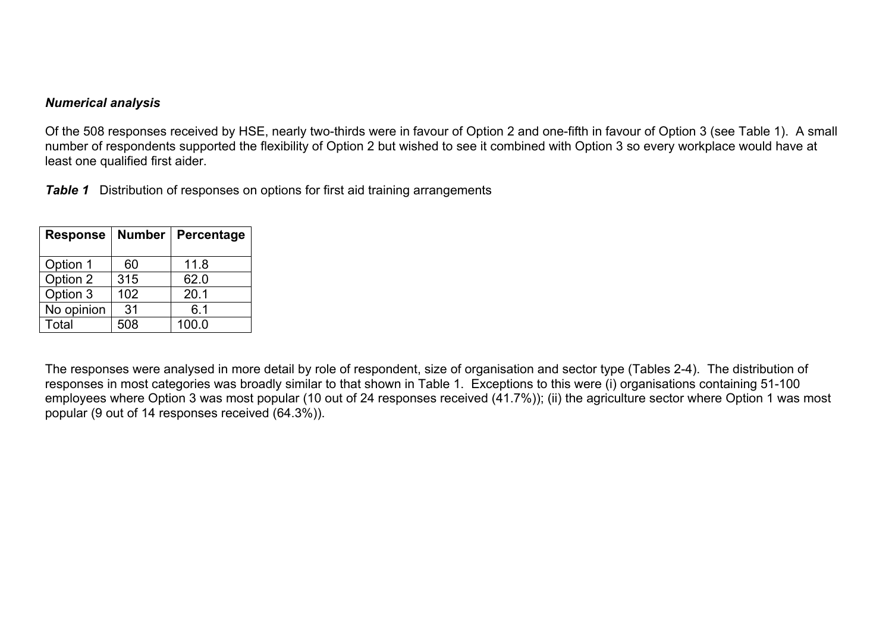#### *Numerical analysis*

Of the 508 responses received by HSE, nearly two-thirds were in favour of Option 2 and one-fifth in favour of Option 3 (see Table 1). A small number of respondents supported the flexibility of Option 2 but wished to see it combined with Option 3 so every workplace would have at least one qualified first aider.

*Table 1* Distribution of responses on options for first aid training arrangements

| <b>Response</b> | <b>Number</b> | Percentage |
|-----------------|---------------|------------|
| Option 1        | 60            | 11.8       |
| Option 2        | 315           | 62.0       |
| Option 3        | 102           | 20.1       |
| No opinion      | 31            | 6.1        |
| Total           | 508           | 100.0      |

The responses were analysed in more detail by role of respondent, size of organisation and sector type (Tables 2-4). The distribution of responses in most categories was broadly similar to that shown in Table 1. Exceptions to this were (i) organisations containing 51-100 employees where Option 3 was most popular (10 out of 24 responses received (41.7%)); (ii) the agriculture sector where Option 1 was most popular (9 out of 14 responses received (64.3%)).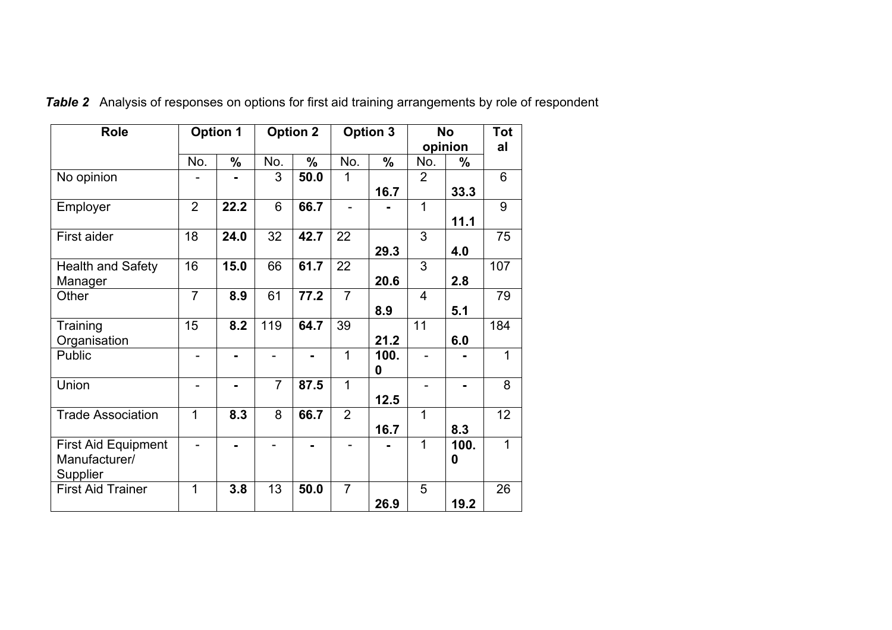| <b>Role</b>                | <b>Option 1</b> |                |                | <b>Option 2</b> |                | <b>Option 3</b> |                | <b>No</b> | <b>Tot</b>     |
|----------------------------|-----------------|----------------|----------------|-----------------|----------------|-----------------|----------------|-----------|----------------|
|                            |                 |                |                |                 |                |                 |                | opinion   | al             |
|                            | No.             | $\frac{0}{0}$  | No.            | $\frac{0}{0}$   | No.            | $\frac{0}{0}$   | No.            | $\%$      |                |
| No opinion                 |                 | $\blacksquare$ | 3              | 50.0            | 1              |                 | $\overline{2}$ |           | 6              |
|                            |                 |                |                |                 |                | 16.7            |                | 33.3      |                |
| Employer                   | $\overline{2}$  | 22.2           | 6              | 66.7            |                |                 | 1              |           | 9              |
|                            |                 |                |                |                 |                |                 |                | 11.1      |                |
| First aider                | 18              | 24.0           | 32             | 42.7            | 22             |                 | 3              |           | 75             |
|                            |                 |                |                |                 |                | 29.3            |                | 4.0       |                |
| <b>Health and Safety</b>   | 16              | 15.0           | 66             | 61.7            | 22             |                 | 3              |           | 107            |
| Manager                    |                 |                |                |                 |                | 20.6            |                | 2.8       |                |
| Other                      | $\overline{7}$  | 8.9            | 61             | 77.2            | $\overline{7}$ |                 | $\overline{4}$ |           | 79             |
|                            |                 |                |                |                 |                | 8.9             |                | 5.1       |                |
| Training                   | 15              | 8.2            | 119            | 64.7            | 39             |                 | 11             |           | 184            |
| Organisation               |                 |                |                |                 |                | 21.2            |                | 6.0       |                |
| Public                     | $\blacksquare$  | $\blacksquare$ | $\blacksquare$ | $\blacksquare$  | 1              | 100.            | ÷.             |           | 1              |
|                            |                 |                |                |                 |                | 0               |                |           |                |
| Union                      | $\blacksquare$  | $\blacksquare$ | $\overline{7}$ | 87.5            | 1              |                 |                | ۰.        | 8              |
|                            |                 |                |                |                 |                | 12.5            |                |           |                |
| <b>Trade Association</b>   | 1               | 8.3            | 8              | 66.7            | $\overline{2}$ |                 | 1              |           | 12             |
|                            |                 |                |                |                 |                | 16.7            |                | 8.3       |                |
| <b>First Aid Equipment</b> |                 |                |                |                 |                |                 | $\mathbf 1$    | 100.      | $\overline{1}$ |
| Manufacturer/              |                 |                |                |                 |                |                 |                | 0         |                |
| Supplier                   |                 |                |                |                 |                |                 |                |           |                |
| <b>First Aid Trainer</b>   | 1               | 3.8            | 13             | 50.0            | $\overline{7}$ |                 | 5              |           | 26             |
|                            |                 |                |                |                 |                | 26.9            |                | 19.2      |                |

*Table 2* Analysis of responses on options for first aid training arrangements by role of respondent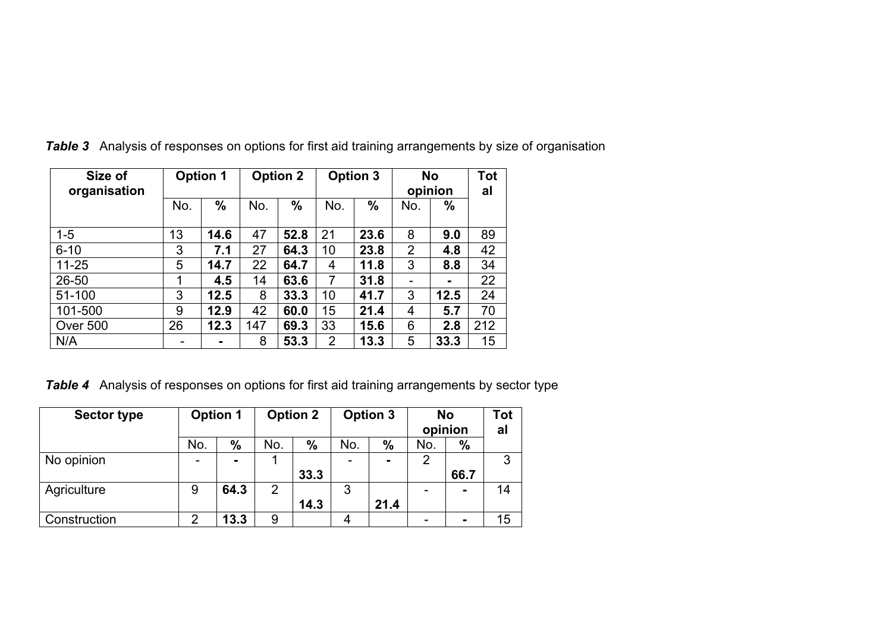| Size of<br>organisation |     | <b>Option 1</b> |     | <b>Option 2</b> |                | <b>Option 3</b> |     | <b>No</b><br>opinion | Tot<br>al |
|-------------------------|-----|-----------------|-----|-----------------|----------------|-----------------|-----|----------------------|-----------|
|                         | No. | $\frac{0}{0}$   | No. | $\frac{0}{0}$   | No.            | $\frac{0}{0}$   | No. | $\frac{0}{0}$        |           |
| $1 - 5$                 | 13  | 14.6            | 47  | 52.8            | 21             | 23.6            | 8   | 9.0                  | 89        |
| $6 - 10$                | 3   | 7.1             | 27  | 64.3            | 10             | 23.8            | 2   | 4.8                  | 42        |
| $11 - 25$               | 5   | 14.7            | 22  | 64.7            | 4              | 11.8            | 3   | 8.8                  | 34        |
| 26-50                   | 1   | 4.5             | 14  | 63.6            | 7              | 31.8            | -   |                      | 22        |
| 51-100                  | 3   | 12.5            | 8   | 33.3            | 10             | 41.7            | 3   | 12.5                 | 24        |
| 101-500                 | 9   | 12.9            | 42  | 60.0            | 15             | 21.4            | 4   | 5.7                  | 70        |
| Over 500                | 26  | 12.3            | 147 | 69.3            | 33             | 15.6            | 6   | 2.8                  | 212       |
| N/A                     |     |                 | 8   | 53.3            | $\overline{2}$ | 13.3            | 5   | 33.3                 | 15        |

*Table 3* Analysis of responses on options for first aid training arrangements by size of organisation

*Table 4* Analysis of responses on options for first aid training arrangements by sector type

| <b>Sector type</b> | <b>Option 1</b> |                | <b>Option 2</b> |      |     | <b>Option 3</b> | <b>No</b><br>opinion |                | <b>Tot</b><br>al |
|--------------------|-----------------|----------------|-----------------|------|-----|-----------------|----------------------|----------------|------------------|
|                    | No.             | $\frac{0}{0}$  | No.             | $\%$ | No. | $\frac{0}{0}$   | No.                  | $\frac{0}{0}$  |                  |
| No opinion         |                 | $\blacksquare$ |                 |      |     | $\blacksquare$  |                      |                | 3                |
|                    |                 |                |                 | 33.3 |     |                 |                      | 66.7           |                  |
| Agriculture        | 9               | 64.3           | $\overline{2}$  |      | 3   |                 |                      | $\blacksquare$ | 14               |
|                    |                 |                |                 | 14.3 |     | 21.4            |                      |                |                  |
| Construction       | 2               | 13.3           | 9               |      |     |                 |                      |                | 15               |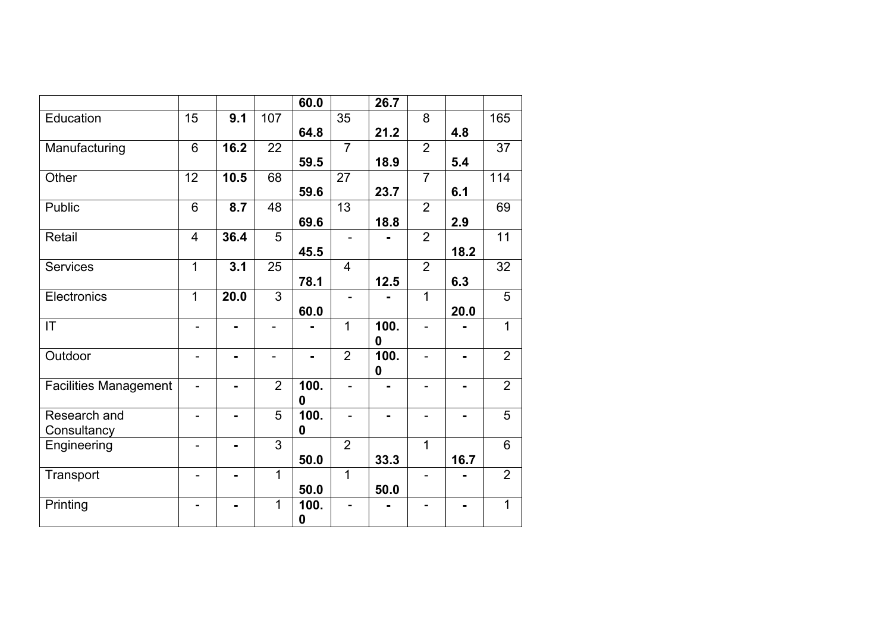|                              |                          |                |                          | 60.0           |                          | 26.7           |                |                |                |
|------------------------------|--------------------------|----------------|--------------------------|----------------|--------------------------|----------------|----------------|----------------|----------------|
| Education                    | 15                       | 9.1            | 107                      |                | 35                       |                | 8              |                | 165            |
|                              |                          |                |                          | 64.8           |                          | 21.2           |                | 4.8            |                |
| Manufacturing                | 6                        | 16.2           | 22                       |                | $\overline{7}$           |                | $\overline{2}$ |                | 37             |
|                              |                          |                |                          | 59.5           |                          | 18.9           |                | 5.4            |                |
| Other                        | $\overline{12}$          | 10.5           | 68                       |                | 27                       |                | $\overline{7}$ |                | 114            |
|                              |                          |                |                          | 59.6           |                          | 23.7           |                | 6.1            |                |
| Public                       | 6                        | 8.7            | 48                       |                | 13                       |                | $\overline{2}$ |                | 69             |
|                              |                          |                |                          | 69.6           |                          | 18.8           |                | 2.9            |                |
| Retail                       | $\overline{4}$           | 36.4           | 5                        |                |                          |                | $\overline{2}$ |                | 11             |
|                              |                          |                |                          | 45.5           |                          |                |                | 18.2           |                |
| <b>Services</b>              | $\mathbf{1}$             | 3.1            | 25                       |                | $\overline{4}$           |                | $\overline{2}$ |                | 32             |
|                              |                          |                |                          | 78.1           |                          | 12.5           |                | 6.3            |                |
| Electronics                  | $\mathbf{1}$             | 20.0           | 3                        |                | -                        |                | $\mathbf{1}$   |                | 5              |
|                              |                          |                |                          | 60.0           |                          |                |                | 20.0           |                |
| IT                           | $\overline{\phantom{a}}$ | $\blacksquare$ | $\overline{\phantom{a}}$ |                | $\mathbf{1}$             | 100.           |                |                | $\overline{1}$ |
|                              |                          |                |                          |                |                          | 0              |                |                |                |
| Outdoor                      | $\overline{\phantom{a}}$ | $\blacksquare$ | $\overline{\phantom{a}}$ | $\blacksquare$ | $\overline{2}$           | 100.           |                | Ξ.             | $\overline{2}$ |
|                              |                          |                |                          |                |                          | 0              |                |                |                |
| <b>Facilities Management</b> | $\qquad \qquad -$        | $\blacksquare$ | $\overline{2}$           | 100.           | -                        | $\blacksquare$ | -              | $\blacksquare$ | $\overline{2}$ |
|                              |                          |                |                          | 0              |                          |                |                |                |                |
| Research and                 | $\overline{\phantom{0}}$ | $\blacksquare$ | 5                        | 100.           | $\overline{\phantom{0}}$ |                |                |                | 5              |
| Consultancy                  |                          |                |                          | $\mathbf 0$    |                          |                |                |                |                |
| Engineering                  | $\blacksquare$           |                | 3                        |                | $\overline{2}$           |                | $\overline{1}$ |                | 6              |
|                              |                          |                |                          | 50.0           |                          | 33.3           |                | 16.7           |                |
| Transport                    | $\blacksquare$           | $\blacksquare$ | $\overline{1}$           |                | $\mathbf 1$              |                |                |                | $\overline{2}$ |
|                              |                          |                |                          | 50.0           |                          | 50.0           |                |                |                |
| Printing                     | $\blacksquare$           | $\blacksquare$ | 1                        | 100.           | ÷.                       |                |                |                | 1              |
|                              |                          |                |                          | $\mathbf 0$    |                          |                |                |                |                |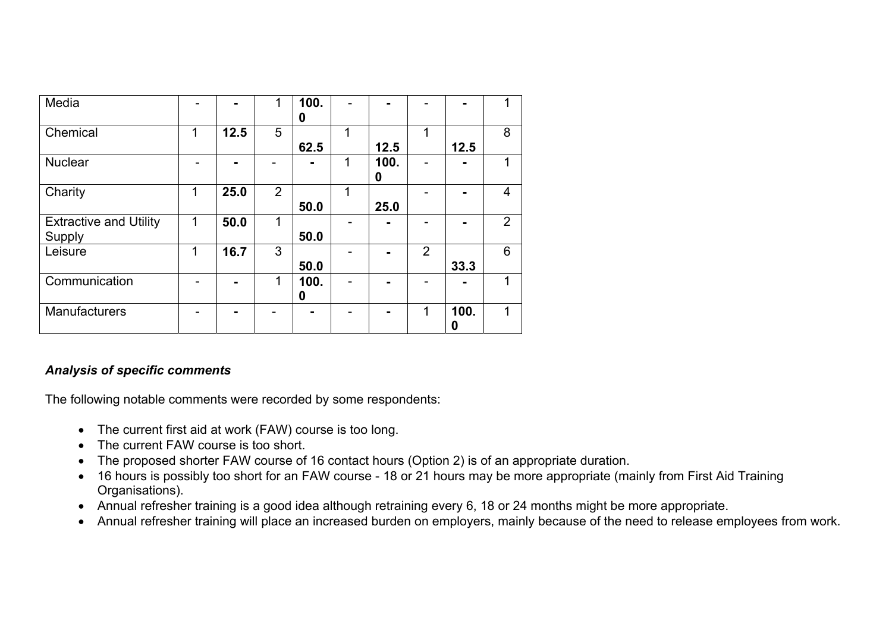| Media                                   |   | $\blacksquare$ | 1              | 100.<br>0 |   |           |                |           |   |
|-----------------------------------------|---|----------------|----------------|-----------|---|-----------|----------------|-----------|---|
| Chemical                                | 1 | 12.5           | 5              | 62.5      | 1 | 12.5      | 1              | 12.5      | 8 |
| <b>Nuclear</b>                          |   |                |                |           | 1 | 100.<br>0 |                |           |   |
| Charity                                 | 1 | 25.0           | $\overline{2}$ | 50.0      | 1 | 25.0      |                |           | 4 |
| <b>Extractive and Utility</b><br>Supply | 1 | 50.0           | 1              | 50.0      |   |           |                |           | 2 |
| Leisure                                 | 1 | 16.7           | 3              | 50.0      |   |           | $\overline{2}$ | 33.3      | 6 |
| Communication                           |   | $\blacksquare$ | 1              | 100.<br>0 |   |           |                |           |   |
| Manufacturers                           |   |                |                |           |   |           | 1              | 100.<br>0 |   |

## *Analysis of specific comments*

The following notable comments were recorded by some respondents:

- The current first aid at work (FAW) course is too long.
- The current FAW course is too short.
- The proposed shorter FAW course of 16 contact hours (Option 2) is of an appropriate duration.
- 16 hours is possibly too short for an FAW course 18 or 21 hours may be more appropriate (mainly from First Aid Training Organisations).
- Annual refresher training is a good idea although retraining every 6, 18 or 24 months might be more appropriate.
- Annual refresher training will place an increased burden on employers, mainly because of the need to release employees from work.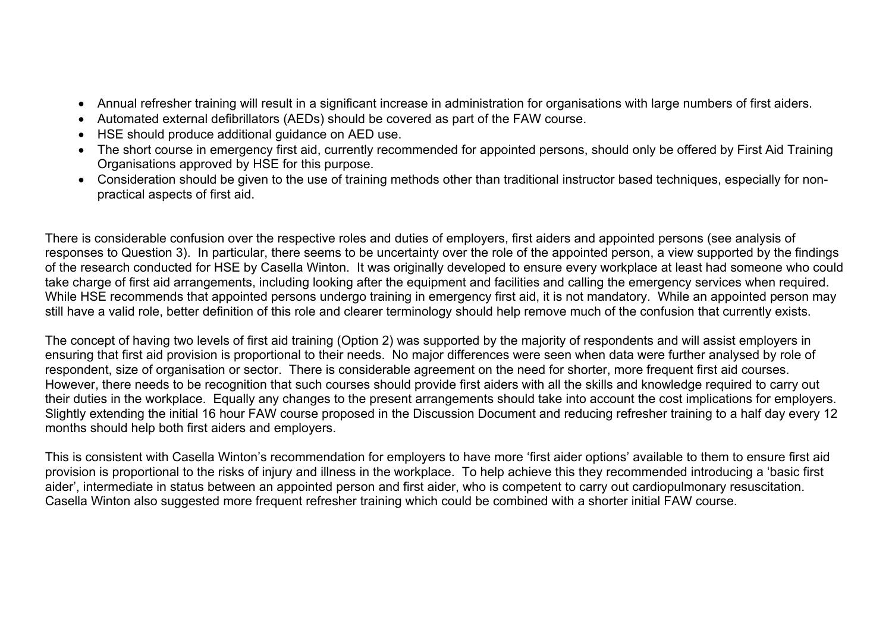- Annual refresher training will result in a significant increase in administration for organisations with large numbers of first aiders.
- Automated external defibrillators (AEDs) should be covered as part of the FAW course.
- HSE should produce additional guidance on AED use.
- The short course in emergency first aid, currently recommended for appointed persons, should only be offered by First Aid Training Organisations approved by HSE for this purpose.
- Consideration should be given to the use of training methods other than traditional instructor based techniques, especially for nonpractical aspects of first aid.

There is considerable confusion over the respective roles and duties of employers, first aiders and appointed persons (see analysis of responses to Question 3). In particular, there seems to be uncertainty over the role of the appointed person, a view supported by the findings of the research conducted for HSE by Casella Winton. It was originally developed to ensure every workplace at least had someone who could take charge of first aid arrangements, including looking after the equipment and facilities and calling the emergency services when required. While HSE recommends that appointed persons undergo training in emergency first aid, it is not mandatory. While an appointed person may still have a valid role, better definition of this role and clearer terminology should help remove much of the confusion that currently exists.

The concept of having two levels of first aid training (Option 2) was supported by the majority of respondents and will assist employers in ensuring that first aid provision is proportional to their needs. No major differences were seen when data were further analysed by role of respondent, size of organisation or sector. There is considerable agreement on the need for shorter, more frequent first aid courses. However, there needs to be recognition that such courses should provide first aiders with all the skills and knowledge required to carry out their duties in the workplace. Equally any changes to the present arrangements should take into account the cost implications for employers. Slightly extending the initial 16 hour FAW course proposed in the Discussion Document and reducing refresher training to a half day every 12 months should help both first aiders and employers.

This is consistent with Casella Winton's recommendation for employers to have more 'first aider options' available to them to ensure first aid provision is proportional to the risks of injury and illness in the workplace. To help achieve this they recommended introducing a 'basic first aider', intermediate in status between an appointed person and first aider, who is competent to carry out cardiopulmonary resuscitation. Casella Winton also suggested more frequent refresher training which could be combined with a shorter initial FAW course.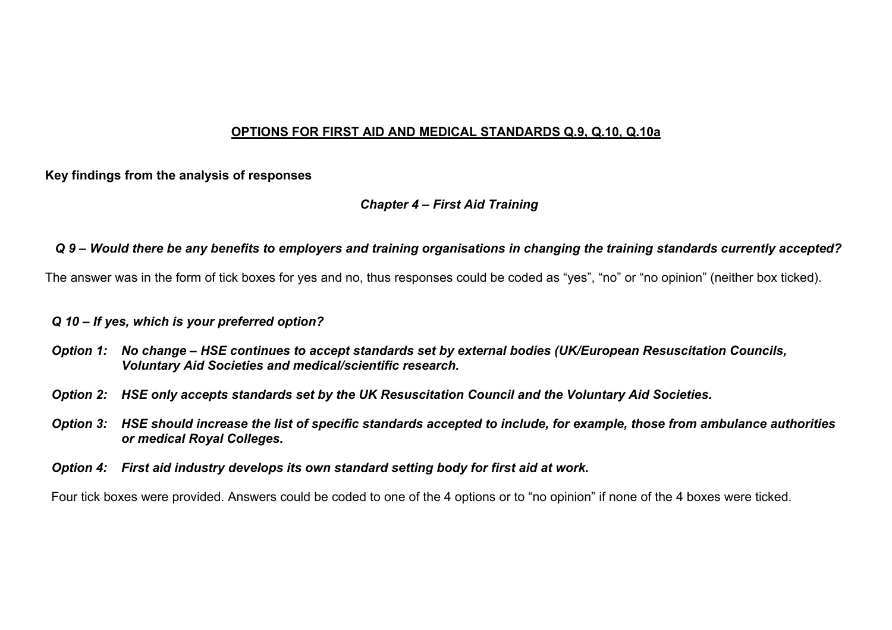#### **OPTIONS FOR FIRST AID AND MEDICAL STANDARDS Q.9, Q.10, Q.10a**

#### **Key findings from the analysis of responses**

#### *Chapter 4 – First Aid Training*

#### *Q 9 – Would there be any benefits to employers and training organisations in changing the training standards currently accepted?*

The answer was in the form of tick boxes for yes and no, thus responses could be coded as "yes", "no" or "no opinion" (neither box ticked).

#### *Q 10 – If yes, which is your preferred option?*

- *Option 1: No change HSE continues to accept standards set by external bodies (UK/European Resuscitation Councils, Voluntary Aid Societies and medical/scientific research.*
- *Option 2: HSE only accepts standards set by the UK Resuscitation Council and the Voluntary Aid Societies.*
- *Option 3: HSE should increase the list of specific standards accepted to include, for example, those from ambulance authorities or medical Royal Colleges.*
- *Option 4: First aid industry develops its own standard setting body for first aid at work.*

Four tick boxes were provided. Answers could be coded to one of the 4 options or to "no opinion" if none of the 4 boxes were ticked.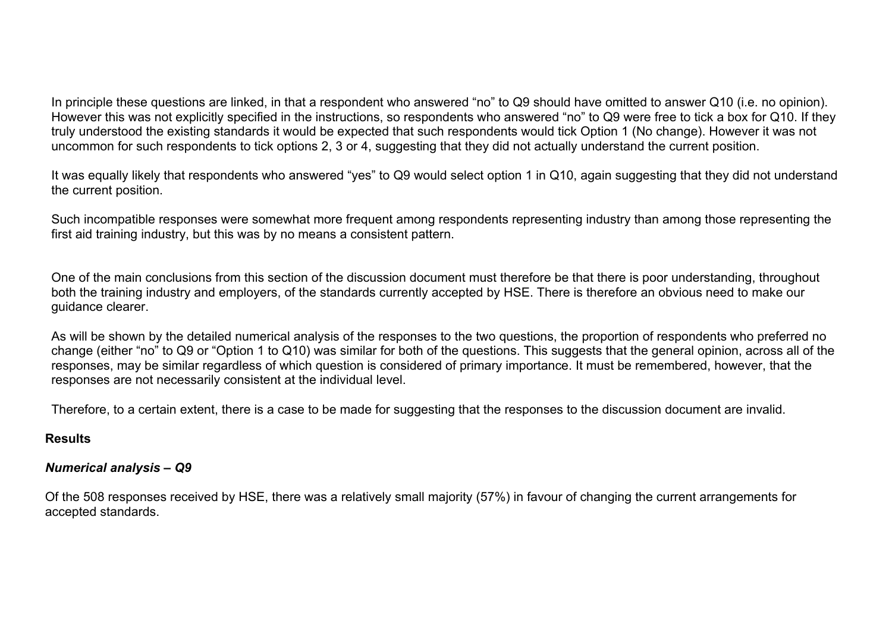In principle these questions are linked, in that a respondent who answered "no" to Q9 should have omitted to answer Q10 (i.e. no opinion). However this was not explicitly specified in the instructions, so respondents who answered "no" to Q9 were free to tick a box for Q10. If they truly understood the existing standards it would be expected that such respondents would tick Option 1 (No change). However it was not uncommon for such respondents to tick options 2, 3 or 4, suggesting that they did not actually understand the current position.

It was equally likely that respondents who answered "yes" to Q9 would select option 1 in Q10, again suggesting that they did not understand the current position.

Such incompatible responses were somewhat more frequent among respondents representing industry than among those representing the first aid training industry, but this was by no means a consistent pattern.

One of the main conclusions from this section of the discussion document must therefore be that there is poor understanding, throughout both the training industry and employers, of the standards currently accepted by HSE. There is therefore an obvious need to make our guidance clearer.

As will be shown by the detailed numerical analysis of the responses to the two questions, the proportion of respondents who preferred no change (either "no" to Q9 or "Option 1 to Q10) was similar for both of the questions. This suggests that the general opinion, across all of the responses, may be similar regardless of which question is considered of primary importance. It must be remembered, however, that the responses are not necessarily consistent at the individual level.

Therefore, to a certain extent, there is a case to be made for suggesting that the responses to the discussion document are invalid.

#### **Results**

## *Numerical analysis – Q9*

Of the 508 responses received by HSE, there was a relatively small majority (57%) in favour of changing the current arrangements for accepted standards.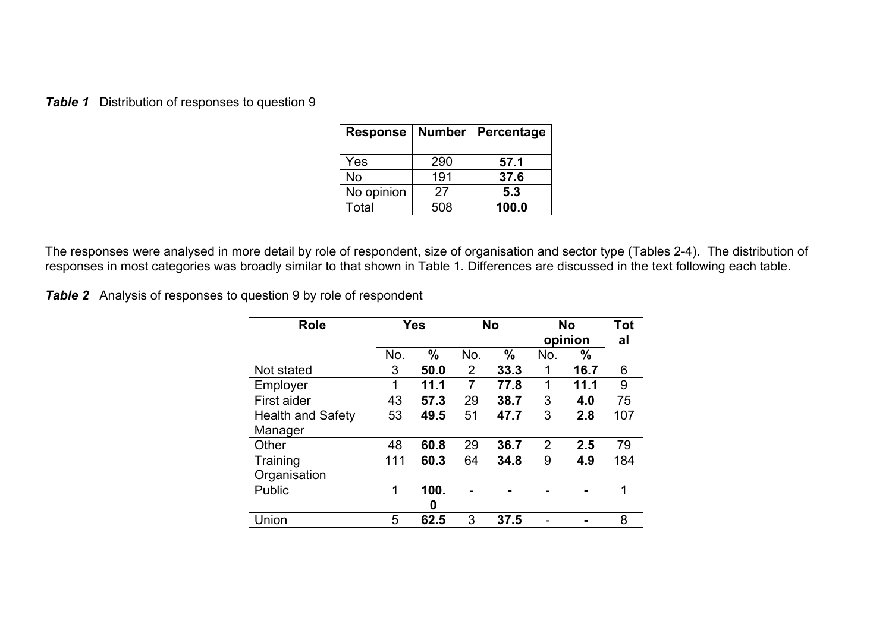**Table 1** Distribution of responses to question 9

| <b>Response</b> | <b>Number</b> | Percentage |
|-----------------|---------------|------------|
| Yes             | 290           | 57.1       |
| No              | 191           | 37.6       |
| No opinion      | 27            | 5.3        |
| Total           | 508           | 100.0      |

The responses were analysed in more detail by role of respondent, size of organisation and sector type (Tables 2-4). The distribution of responses in most categories was broadly similar to that shown in Table 1. Differences are discussed in the text following each table.

**Table 2** Analysis of responses to question 9 by role of respondent

| <b>Role</b>              |     | <b>Yes</b> |                | <b>No</b> | <b>No</b><br>opinion | <b>Tot</b><br>al |     |
|--------------------------|-----|------------|----------------|-----------|----------------------|------------------|-----|
|                          | No. | $\%$       | No.            | $\%$      | No.                  | $\%$             |     |
| Not stated               | 3   | 50.0       | $\overline{2}$ | 33.3      | 1                    | 16.7             | 6   |
| Employer                 | 1   | 11.1       | $\overline{7}$ | 77.8      | 1                    | 11.1             | 9   |
| First aider              | 43  | 57.3       | 29             | 38.7      | 3                    | 4.0              | 75  |
| <b>Health and Safety</b> | 53  | 49.5       | 51             | 47.7      | 3                    | 2.8              | 107 |
| Manager                  |     |            |                |           |                      |                  |     |
| Other                    | 48  | 60.8       | 29             | 36.7      | $\overline{2}$       | 2.5              | 79  |
| Training                 | 111 | 60.3       | 64             | 34.8      | 9                    | 4.9              | 184 |
| Organisation             |     |            |                |           |                      |                  |     |
| <b>Public</b>            | 1   | 100.       |                |           |                      |                  | 1   |
|                          |     | 0          |                |           |                      |                  |     |
| Union                    | 5   | 62.5       | 3              | 37.5      |                      |                  | 8   |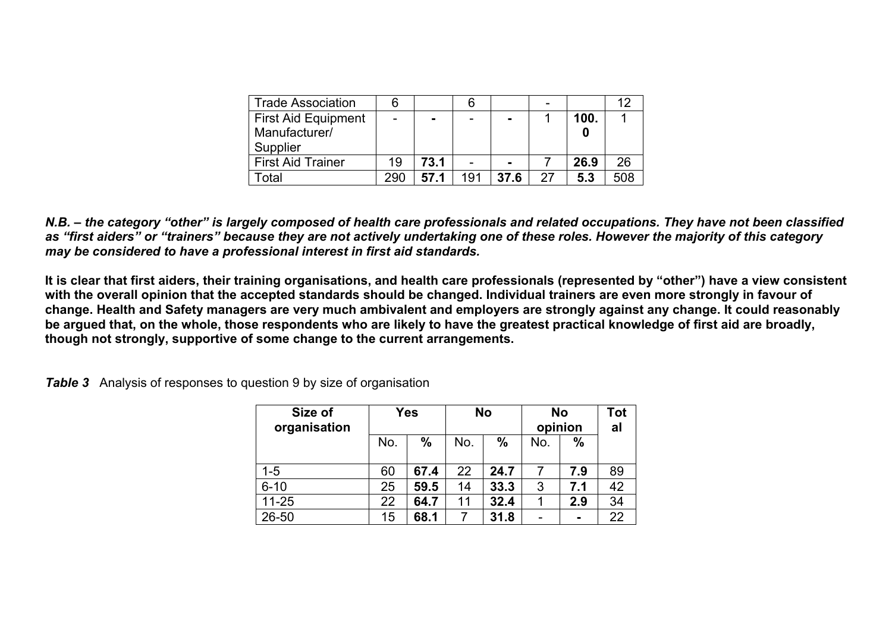| <b>Trade Association</b>   | 6   |          |     |                |    |      | 12  |
|----------------------------|-----|----------|-----|----------------|----|------|-----|
| <b>First Aid Equipment</b> |     | <b>.</b> |     | -              |    | 100. |     |
| Manufacturer/              |     |          |     |                |    |      |     |
| Supplier                   |     |          |     |                |    |      |     |
| <b>First Aid Trainer</b>   | 19  | 73.1     |     | $\blacksquare$ |    | 26.9 | 26  |
| otal                       | 290 | 57.1     | 191 | 37.6           | 27 | 5.3  | 508 |

*N.B. – the category "other" is largely composed of health care professionals and related occupations. They have not been classified as "first aiders" or "trainers" because they are not actively undertaking one of these roles. However the majority of this category may be considered to have a professional interest in first aid standards.* 

**It is clear that first aiders, their training organisations, and health care professionals (represented by "other") have a view consistent with the overall opinion that the accepted standards should be changed. Individual trainers are even more strongly in favour of change. Health and Safety managers are very much ambivalent and employers are strongly against any change. It could reasonably be argued that, on the whole, those respondents who are likely to have the greatest practical knowledge of first aid are broadly, though not strongly, supportive of some change to the current arrangements.** 

*Table 3* Analysis of responses to question 9 by size of organisation

| Size of<br>organisation |     | <b>Yes</b>    |     | <b>No</b>     | <b>No</b><br>opinion | Tot<br>al      |    |
|-------------------------|-----|---------------|-----|---------------|----------------------|----------------|----|
|                         | No. | $\frac{0}{0}$ | No. | $\frac{0}{0}$ | No.                  | $\frac{0}{0}$  |    |
| $1 - 5$                 | 60  | 67.4          | 22  | 24.7          |                      | 7.9            | 89 |
| $6 - 10$                | 25  | 59.5          | 14  | 33.3          | 3                    | 7.1            | 42 |
| $11 - 25$               | 22  | 64.7          | 11  | 32.4          |                      | 2.9            | 34 |
| $26 - 50$               | 15  | 68.1          |     | 31.8          |                      | $\blacksquare$ | 22 |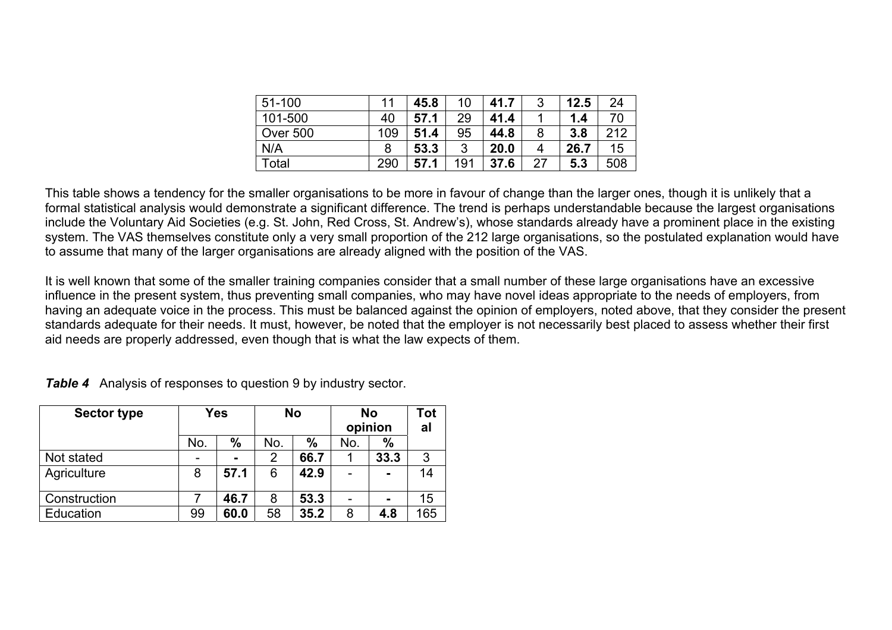| 51-100          | 11  | 45.8 | 10  | 41.7 | ્ર<br>J | 12.5 | 24  |
|-----------------|-----|------|-----|------|---------|------|-----|
| 101-500         | 40  | 57.1 | 29  | 41.4 |         | 1.4  | 70  |
| <b>Over 500</b> | 109 | 51.4 | 95  | 44.8 | 8       | 3.8  | 212 |
| N/A             | 8   | 53.3 | 3   | 20.0 | 4       | 26.7 | 15  |
| Total           | 290 | 57.1 | 191 | 37.6 | 27      | 5.3  | 508 |

This table shows a tendency for the smaller organisations to be more in favour of change than the larger ones, though it is unlikely that a formal statistical analysis would demonstrate a significant difference. The trend is perhaps understandable because the largest organisations include the Voluntary Aid Societies (e.g. St. John, Red Cross, St. Andrew's), whose standards already have a prominent place in the existing system. The VAS themselves constitute only a very small proportion of the 212 large organisations, so the postulated explanation would have to assume that many of the larger organisations are already aligned with the position of the VAS.

It is well known that some of the smaller training companies consider that a small number of these large organisations have an excessive influence in the present system, thus preventing small companies, who may have novel ideas appropriate to the needs of employers, from having an adequate voice in the process. This must be balanced against the opinion of employers, noted above, that they consider the present standards adequate for their needs. It must, however, be noted that the employer is not necessarily best placed to assess whether their first aid needs are properly addressed, even though that is what the law expects of them.

| <b>Sector type</b> |     | Yes           |     | <b>No</b> | <b>No</b><br>opinion |                | Tot<br>al |
|--------------------|-----|---------------|-----|-----------|----------------------|----------------|-----------|
|                    | No. | $\frac{0}{0}$ | No. | $\%$      | No.                  | $\frac{0}{0}$  |           |
| Not stated         |     |               | 2   | 66.7      |                      | 33.3           | 3         |
| Agriculture        | 8   | 57.1          | 6   | 42.9      |                      | $\blacksquare$ | 14        |
| Construction       |     | 46.7          | 8   | 53.3      |                      |                | 15        |
| Education          | 99  | 60.0          | 58  | 35.2      | 8                    | 4.8            | 165       |

*Table 4* Analysis of responses to question 9 by industry sector.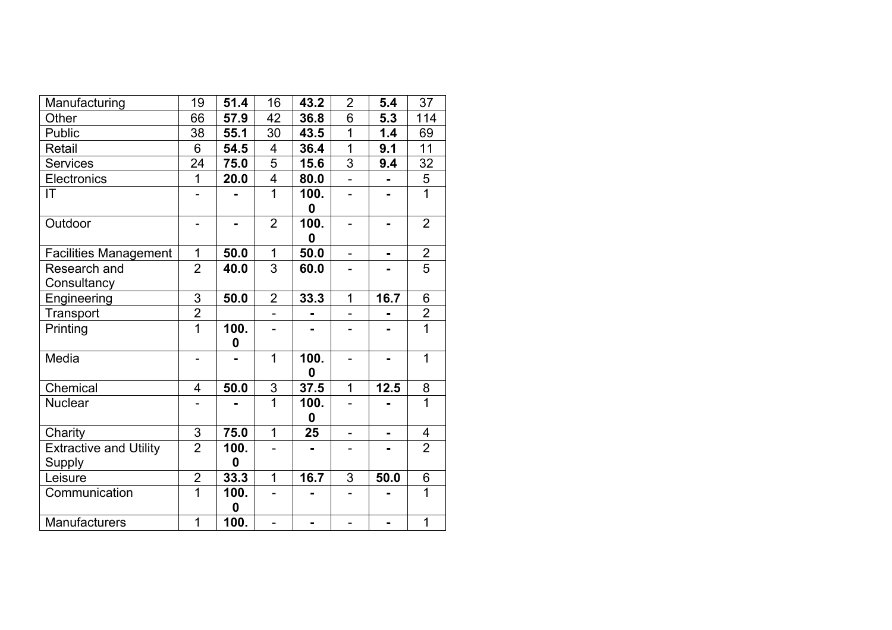| Manufacturing                 | 19             | 51.4           | 16                      | 43.2             | $\overline{2}$           | 5.4            | 37             |
|-------------------------------|----------------|----------------|-------------------------|------------------|--------------------------|----------------|----------------|
| Other                         | 66             | 57.9           | 42                      | 36.8             | 6                        | 5.3            | 114            |
| Public                        | 38             | 55.1           | 30                      | 43.5             | $\overline{1}$           | 1.4            | 69             |
| Retail                        | 6              | 54.5           | 4                       | 36.4             | 1                        | 9.1            | 11             |
| <b>Services</b>               | 24             | 75.0           | 5                       | 15.6             | 3                        | 9.4            | 32             |
| Electronics                   | 1              | 20.0           | $\overline{\mathbf{4}}$ | 80.0             |                          |                | $\frac{5}{1}$  |
| IT.                           |                |                | $\overline{1}$          | 100.             | $\overline{\phantom{0}}$ |                |                |
|                               |                |                |                         | $\boldsymbol{0}$ |                          |                |                |
| Outdoor                       | -              | $\blacksquare$ | $\overline{2}$          | 100.             | $\overline{\phantom{0}}$ |                | $\overline{2}$ |
|                               |                |                |                         | 0                |                          |                |                |
| <b>Facilities Management</b>  | 1              | 50.0           | 1                       | 50.0             | $\overline{a}$           | $\blacksquare$ | $\overline{2}$ |
| Research and                  | $\overline{2}$ | 40.0           | 3                       | 60.0             |                          |                | $\overline{5}$ |
| Consultancy                   |                |                |                         |                  |                          |                |                |
| Engineering                   | 3              | 50.0           | $\overline{2}$          | 33.3             | $\overline{1}$           | 16.7           | 6              |
| Transport                     | $\overline{2}$ |                | $\overline{a}$          | $\blacksquare$   |                          |                | $\overline{2}$ |
| Printing                      | $\overline{1}$ | 100.           |                         |                  |                          |                | $\overline{1}$ |
|                               |                | 0              |                         |                  |                          |                |                |
| Media                         |                |                | $\overline{1}$          | 100.             |                          |                | $\overline{1}$ |
|                               |                |                |                         | 0                |                          |                |                |
| Chemical                      | 4              | 50.0           | 3                       | 37.5             | $\mathbf{1}$             | 12.5           | 8              |
| <b>Nuclear</b>                |                |                | $\overline{1}$          | 100.             | $\overline{\phantom{0}}$ |                | $\overline{1}$ |
|                               |                |                |                         | $\boldsymbol{0}$ |                          |                |                |
| Charity                       | 3              | 75.0           | $\mathbf 1$             | 25               | $\overline{\phantom{0}}$ | $\blacksquare$ | 4              |
| <b>Extractive and Utility</b> | $\overline{2}$ | 100.           |                         |                  |                          |                | $\overline{2}$ |
| <b>Supply</b>                 |                | $\bf{0}$       |                         |                  |                          |                |                |
| Leisure                       | $\overline{2}$ | 33.3           | $\overline{1}$          | 16.7             | 3                        | 50.0           | 6              |
| Communication                 | $\overline{1}$ | 100.           |                         |                  |                          |                | $\overline{1}$ |
|                               |                | 0              |                         |                  |                          |                |                |
| <b>Manufacturers</b>          | 1              | 100.           |                         |                  |                          |                | $\mathbf{1}$   |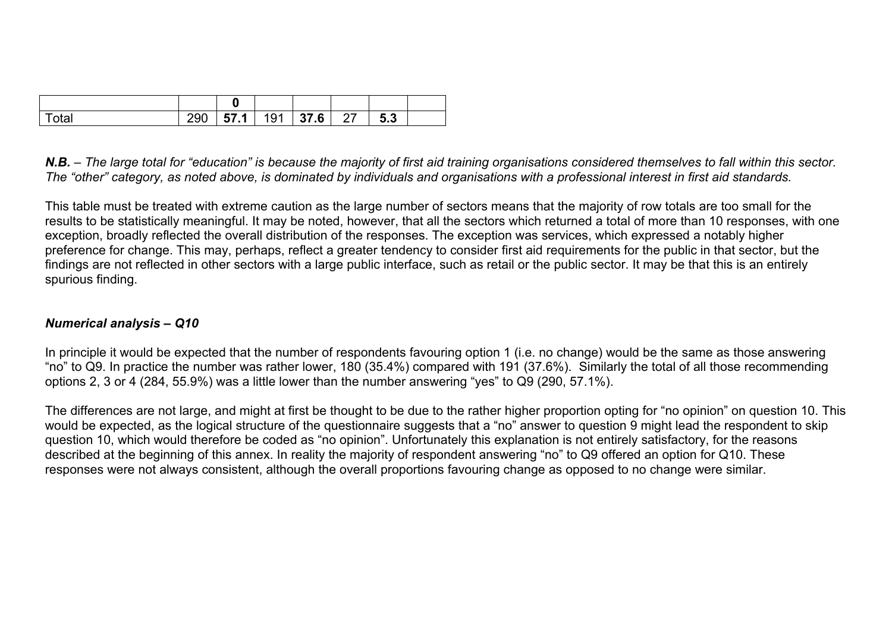| Total | 290 |  | 57.1   191   37.6   27 | 5.3 |  |
|-------|-----|--|------------------------|-----|--|

*N.B. – The large total for "education" is because the majority of first aid training organisations considered themselves to fall within this sector. The "other" category, as noted above, is dominated by individuals and organisations with a professional interest in first aid standards.* 

This table must be treated with extreme caution as the large number of sectors means that the majority of row totals are too small for the results to be statistically meaningful. It may be noted, however, that all the sectors which returned a total of more than 10 responses, with one exception, broadly reflected the overall distribution of the responses. The exception was services, which expressed a notably higher preference for change. This may, perhaps, reflect a greater tendency to consider first aid requirements for the public in that sector, but the findings are not reflected in other sectors with a large public interface, such as retail or the public sector. It may be that this is an entirely spurious finding.

## *Numerical analysis – Q10*

In principle it would be expected that the number of respondents favouring option 1 (i.e. no change) would be the same as those answering "no" to Q9. In practice the number was rather lower, 180 (35.4%) compared with 191 (37.6%). Similarly the total of all those recommending options 2, 3 or 4 (284, 55.9%) was a little lower than the number answering "yes" to Q9 (290, 57.1%).

The differences are not large, and might at first be thought to be due to the rather higher proportion opting for "no opinion" on question 10. This would be expected, as the logical structure of the questionnaire suggests that a "no" answer to question 9 might lead the respondent to skip question 10, which would therefore be coded as "no opinion". Unfortunately this explanation is not entirely satisfactory, for the reasons described at the beginning of this annex. In reality the majority of respondent answering "no" to Q9 offered an option for Q10. These responses were not always consistent, although the overall proportions favouring change as opposed to no change were similar.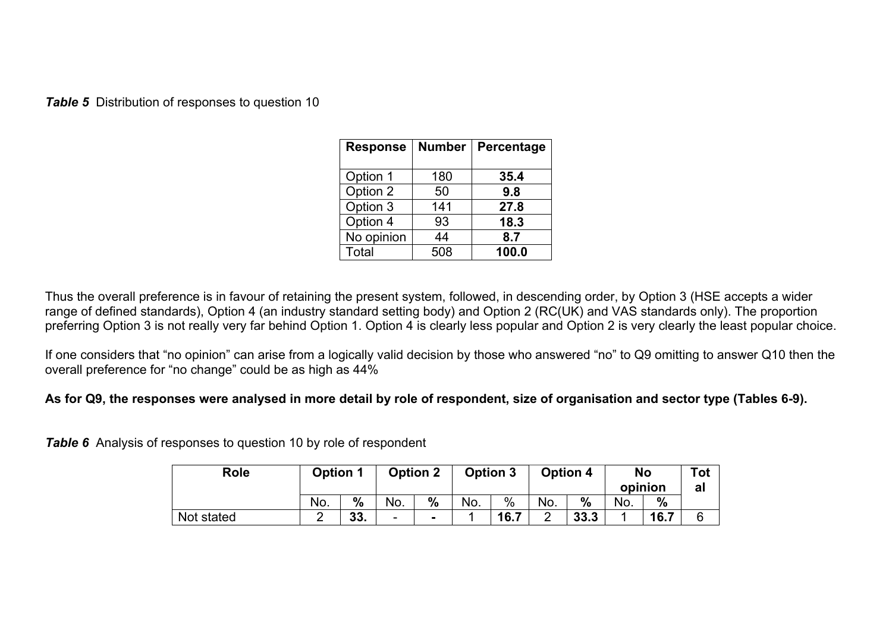**Table 5** Distribution of responses to question 10

| <b>Response</b> | <b>Number</b> | Percentage |
|-----------------|---------------|------------|
| Option 1        | 180           | 35.4       |
| Option 2        | 50            | 9.8        |
| Option 3        | 141           | 27.8       |
| Option 4        | 93            | 18.3       |
| No opinion      | 44            | 8.7        |
| Total           | 508           | 100.0      |

Thus the overall preference is in favour of retaining the present system, followed, in descending order, by Option 3 (HSE accepts a wider range of defined standards), Option 4 (an industry standard setting body) and Option 2 (RC(UK) and VAS standards only). The proportion preferring Option 3 is not really very far behind Option 1. Option 4 is clearly less popular and Option 2 is very clearly the least popular choice.

If one considers that "no opinion" can arise from a logically valid decision by those who answered "no" to Q9 omitting to answer Q10 then the overall preference for "no change" could be as high as 44%

## **As for Q9, the responses were analysed in more detail by role of respondent, size of organisation and sector type (Tables 6-9).**

*Table 6* Analysis of responses to question 10 by role of respondent

| <b>Role</b> | <b>Option 1</b> |               |                          | <b>Option 2</b> | <b>Option 3</b> |      | <b>Option 4</b> |               | <b>No</b><br>opinion |               | <b>Tot</b><br>al |
|-------------|-----------------|---------------|--------------------------|-----------------|-----------------|------|-----------------|---------------|----------------------|---------------|------------------|
|             | No.             | $\frac{0}{0}$ | No.                      | $\frac{0}{0}$   | No.             | $\%$ | No.             | $\frac{0}{0}$ | No.                  | $\frac{0}{0}$ |                  |
| Not stated  |                 | 33.           | $\overline{\phantom{a}}$ | $\blacksquare$  |                 | 16.7 | ⌒<br>_          | 33.3          |                      | 16.7          |                  |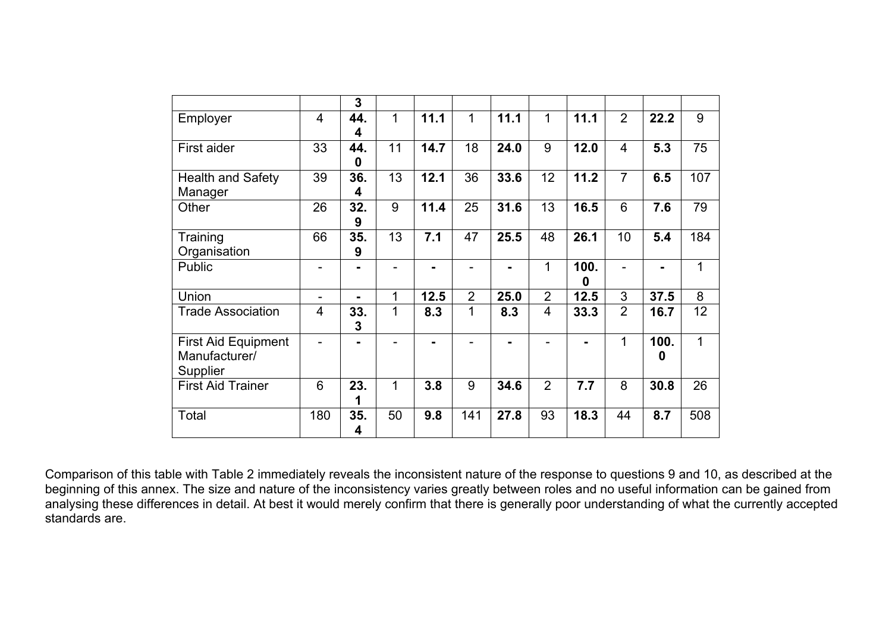|                            |                | 3              |    |      |                |      |                |      |                |      |              |
|----------------------------|----------------|----------------|----|------|----------------|------|----------------|------|----------------|------|--------------|
| Employer                   | 4              | 44.            | 1  | 11.1 | 1              | 11.1 | 1              | 11.1 | $\overline{2}$ | 22.2 | 9            |
|                            |                | 4              |    |      |                |      |                |      |                |      |              |
| First aider                | 33             | 44.            | 11 | 14.7 | 18             | 24.0 | 9              | 12.0 | $\overline{4}$ | 5.3  | 75           |
|                            |                | 0              |    |      |                |      |                |      |                |      |              |
| <b>Health and Safety</b>   | 39             | 36.            | 13 | 12.1 | 36             | 33.6 | 12             | 11.2 | $\overline{7}$ | 6.5  | 107          |
| Manager                    |                | 4              |    |      |                |      |                |      |                |      |              |
| Other                      | 26             | 32.            | 9  | 11.4 | 25             | 31.6 | 13             | 16.5 | 6              | 7.6  | 79           |
|                            |                | 9              |    |      |                |      |                |      |                |      |              |
| Training                   | 66             | 35.            | 13 | 7.1  | 47             | 25.5 | 48             | 26.1 | 10             | 5.4  | 184          |
| Organisation               |                | 9              |    |      |                |      |                |      |                |      |              |
| Public                     |                |                |    |      |                |      | 1              | 100. | ÷              |      | 1            |
|                            |                |                |    |      |                |      |                | 0    |                |      |              |
| Union                      | -              | $\blacksquare$ | 1  | 12.5 | $\overline{2}$ | 25.0 | $\overline{2}$ | 12.5 | 3              | 37.5 | 8            |
| <b>Trade Association</b>   | $\overline{4}$ | 33.            | 1  | 8.3  | 1              | 8.3  | 4              | 33.3 | $\overline{2}$ | 16.7 | 12           |
|                            |                | 3              |    |      |                |      |                |      |                |      |              |
| <b>First Aid Equipment</b> |                |                |    |      |                |      |                |      | 1              | 100. | $\mathbf{1}$ |
| Manufacturer/              |                |                |    |      |                |      |                |      |                | 0    |              |
| Supplier                   |                |                |    |      |                |      |                |      |                |      |              |
| <b>First Aid Trainer</b>   | 6              | 23.            | 1  | 3.8  | 9              | 34.6 | $\overline{2}$ | 7.7  | 8              | 30.8 | 26           |
|                            |                | 1              |    |      |                |      |                |      |                |      |              |
| Total                      | 180            | 35.            | 50 | 9.8  | 141            | 27.8 | 93             | 18.3 | 44             | 8.7  | 508          |
|                            |                | 4              |    |      |                |      |                |      |                |      |              |

Comparison of this table with Table 2 immediately reveals the inconsistent nature of the response to questions 9 and 10, as described at the beginning of this annex. The size and nature of the inconsistency varies greatly between roles and no useful information can be gained from analysing these differences in detail. At best it would merely confirm that there is generally poor understanding of what the currently accepted standards are.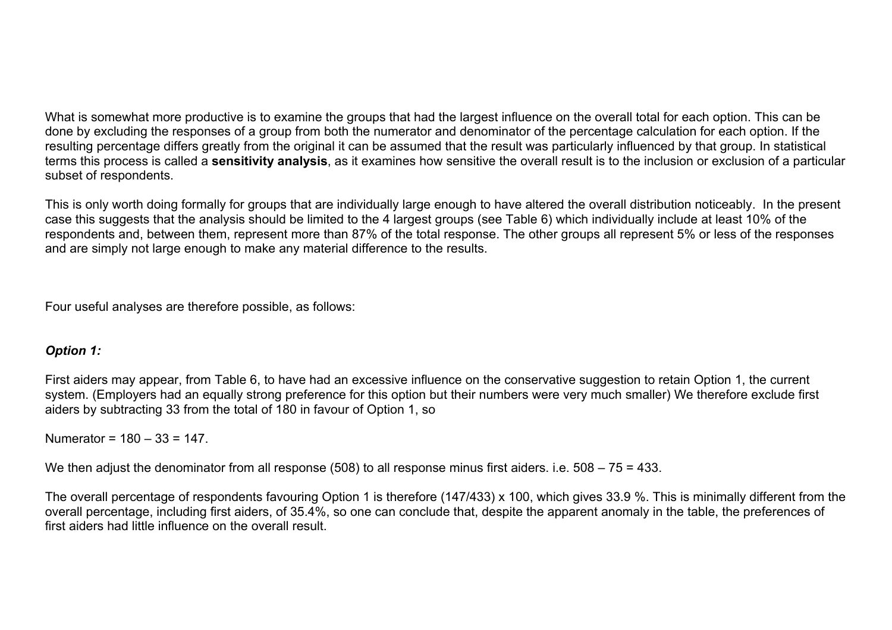What is somewhat more productive is to examine the groups that had the largest influence on the overall total for each option. This can be done by excluding the responses of a group from both the numerator and denominator of the percentage calculation for each option. If the resulting percentage differs greatly from the original it can be assumed that the result was particularly influenced by that group. In statistical terms this process is called a **sensitivity analysis**, as it examines how sensitive the overall result is to the inclusion or exclusion of a particular subset of respondents.

This is only worth doing formally for groups that are individually large enough to have altered the overall distribution noticeably. In the present case this suggests that the analysis should be limited to the 4 largest groups (see Table 6) which individually include at least 10% of the respondents and, between them, represent more than 87% of the total response. The other groups all represent 5% or less of the responses and are simply not large enough to make any material difference to the results.

Four useful analyses are therefore possible, as follows:

## *Option 1:*

First aiders may appear, from Table 6, to have had an excessive influence on the conservative suggestion to retain Option 1, the current system. (Employers had an equally strong preference for this option but their numbers were very much smaller) We therefore exclude first aiders by subtracting 33 from the total of 180 in favour of Option 1, so

Numerator =  $180 - 33 = 147$ .

We then adjust the denominator from all response (508) to all response minus first aiders. i.e. 508 – 75 = 433.

The overall percentage of respondents favouring Option 1 is therefore (147/433) x 100, which gives 33.9 %. This is minimally different from the overall percentage, including first aiders, of 35.4%, so one can conclude that, despite the apparent anomaly in the table, the preferences of first aiders had little influence on the overall result.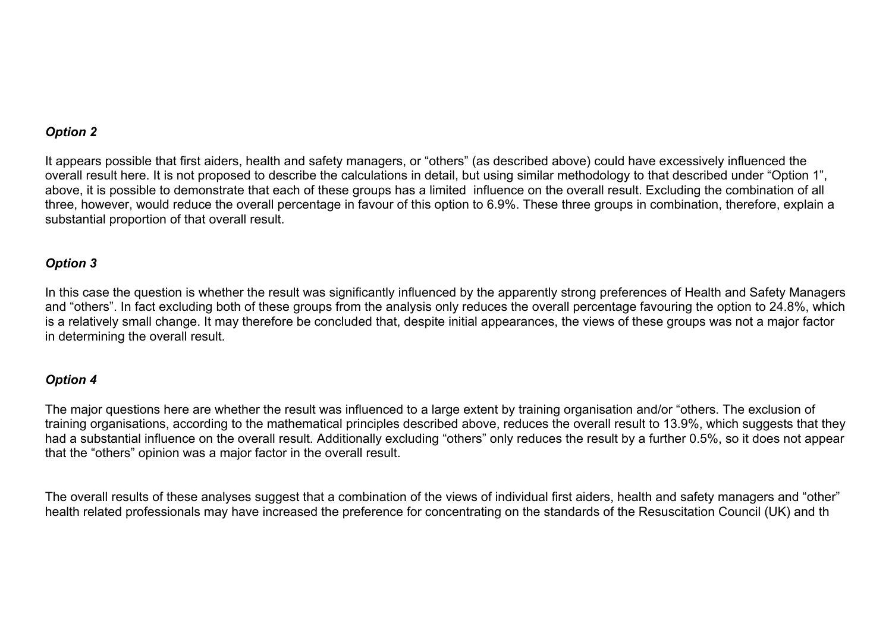## *Option 2*

It appears possible that first aiders, health and safety managers, or "others" (as described above) could have excessively influenced the overall result here. It is not proposed to describe the calculations in detail, but using similar methodology to that described under "Option 1", above, it is possible to demonstrate that each of these groups has a limited influence on the overall result. Excluding the combination of all three, however, would reduce the overall percentage in favour of this option to 6.9%. These three groups in combination, therefore, explain a substantial proportion of that overall result.

## *Option 3*

In this case the question is whether the result was significantly influenced by the apparently strong preferences of Health and Safety Managers and "others". In fact excluding both of these groups from the analysis only reduces the overall percentage favouring the option to 24.8%, which is a relatively small change. It may therefore be concluded that, despite initial appearances, the views of these groups was not a major factor in determining the overall result.

#### *Option 4*

The major questions here are whether the result was influenced to a large extent by training organisation and/or "others. The exclusion of training organisations, according to the mathematical principles described above, reduces the overall result to 13.9%, which suggests that they had a substantial influence on the overall result. Additionally excluding "others" only reduces the result by a further 0.5%, so it does not appear that the "others" opinion was a major factor in the overall result.

The overall results of these analyses suggest that a combination of the views of individual first aiders, health and safety managers and "other" health related professionals may have increased the preference for concentrating on the standards of the Resuscitation Council (UK) and th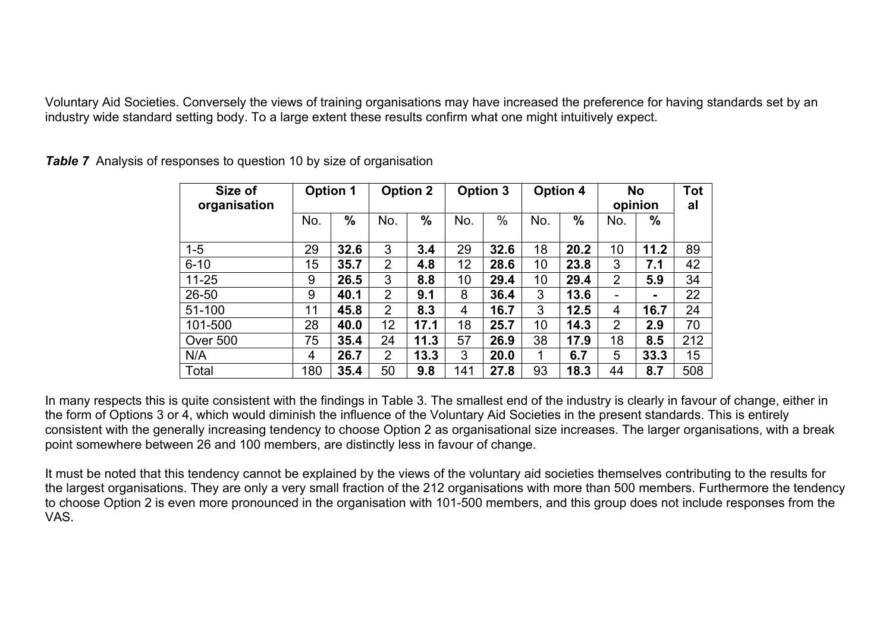Voluntary Aid Societies. Conversely the views of training organisations may have increased the preference for having standards set by an industry wide standard setting body. To a large extent these results confirm what one might intuitively expect.

| Size of<br>organisation |                  | <b>Option 1</b> |                | <b>Option 2</b> |     | <b>Option 3</b> |     | <b>Option 4</b> |                | <b>No</b><br>opinion |     |  |
|-------------------------|------------------|-----------------|----------------|-----------------|-----|-----------------|-----|-----------------|----------------|----------------------|-----|--|
|                         | No.              | $\frac{0}{0}$   | No.            | $\frac{0}{0}$   | No. | $\%$            | No. | $\frac{0}{0}$   | No.            | %                    |     |  |
| $1 - 5$                 | 29               | 32.6            | 3              | 3.4             | 29  | 32.6            | 18  | 20.2            | 10             | 11.2                 | 89  |  |
| $6 - 10$                | 15 <sub>15</sub> | 35.7            | $\overline{2}$ | 4.8             | 12  | 28.6            | 10  | 23.8            | 3              | 7.1                  | 42  |  |
| $11 - 25$               | 9                | 26.5            | 3              | 8.8             | 10  | 29.4            | 10  | 29.4            | $\overline{2}$ | 5.9                  | 34  |  |
| $26 - 50$               | 9                | 40.1            | $\overline{2}$ | 9.1             | 8   | 36.4            | 3   | 13.6            |                | -                    | 22  |  |
| 51-100                  | 11               | 45.8            | $\overline{2}$ | 8.3             | 4   | 16.7            | 3   | 12.5            | 4              | 16.7                 | 24  |  |
| 101-500                 | 28               | 40.0            | 12             | 17.1            | 18  | 25.7            | 10  | 14.3            | $\overline{2}$ | 2.9                  | 70  |  |
| Over 500                | 75               | 35.4            | 24             | 11.3            | 57  | 26.9            | 38  | 17.9            | 18             | 8.5                  | 212 |  |
| N/A                     | 4                | 26.7            | $\overline{2}$ | 13.3            | 3   | 20.0            | 1   | 6.7             | 5              | 33.3                 | 15  |  |
| Total                   | 180              | 35.4            | 50             | 9.8             | 141 | 27.8            | 93  | 18.3            | 44             | 8.7                  | 508 |  |

*Table 7* Analysis of responses to question 10 by size of organisation

In many respects this is quite consistent with the findings in Table 3. The smallest end of the industry is clearly in favour of change, either in the form of Options 3 or 4, which would diminish the influence of the Voluntary Aid Societies in the present standards. This is entirely consistent with the generally increasing tendency to choose Option 2 as organisational size increases. The larger organisations, with a break point somewhere between 26 and 100 members, are distinctly less in favour of change.

It must be noted that this tendency cannot be explained by the views of the voluntary aid societies themselves contributing to the results for the largest organisations. They are only a very small fraction of the 212 organisations with more than 500 members. Furthermore the tendency to choose Option 2 is even more pronounced in the organisation with 101-500 members, and this group does not include responses from the VAS.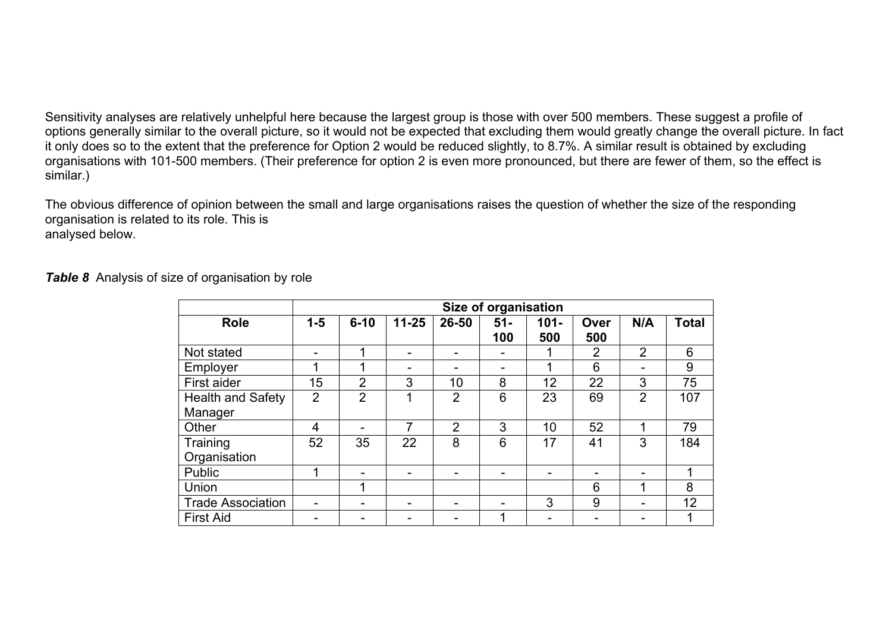Sensitivity analyses are relatively unhelpful here because the largest group is those with over 500 members. These suggest a profile of options generally similar to the overall picture, so it would not be expected that excluding them would greatly change the overall picture. In fact it only does so to the extent that the preference for Option 2 would be reduced slightly, to 8.7%. A similar result is obtained by excluding organisations with 101-500 members. (Their preference for option 2 is even more pronounced, but there are fewer of them, so the effect is similar.)

The obvious difference of opinion between the small and large organisations raises the question of whether the size of the responding organisation is related to its role. This is analysed below.

*Table 8* Analysis of size of organisation by role

|                              |                |                |           |                | Size of organisation |                |             |                |              |
|------------------------------|----------------|----------------|-----------|----------------|----------------------|----------------|-------------|----------------|--------------|
| <b>Role</b>                  | $1 - 5$        | $6 - 10$       | $11 - 25$ | 26-50          | $51 -$<br>100        | $101 -$<br>500 | Over<br>500 | N/A            | <b>Total</b> |
| Not stated                   |                |                |           |                |                      |                | 2           | $\overline{2}$ | 6            |
| Employer                     | ◢              |                | -         |                |                      | 4              | 6           |                | 9            |
| First aider                  | 15             | $\overline{2}$ | 3         | 10             | 8                    | 12             | 22          | 3              | 75           |
| Health and Safety<br>Manager | $\overline{2}$ | $\overline{2}$ | 1         | $\overline{2}$ | 6                    | 23             | 69          | $\overline{2}$ | 107          |
| Other                        | 4              |                | 7         | $\overline{2}$ | 3                    | 10             | 52          |                | 79           |
| Training<br>Organisation     | 52             | 35             | 22        | 8              | 6                    | 17             | 41          | 3              | 184          |
| Public                       |                |                |           |                |                      |                |             |                |              |
| Union                        |                |                |           |                |                      |                | 6           |                | 8            |
| <b>Trade Association</b>     |                |                |           |                |                      | 3              | 9           |                | 12           |
| <b>First Aid</b>             |                |                |           |                |                      |                |             |                |              |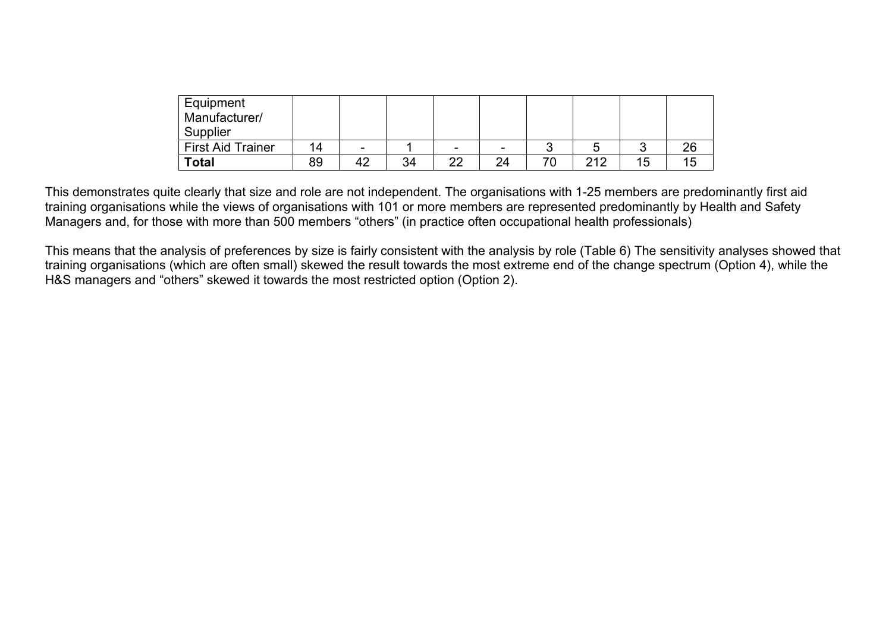| Equipment<br>Manufacturer/<br>Supplier |     |    |    |                          |    |    |     |    |    |
|----------------------------------------|-----|----|----|--------------------------|----|----|-----|----|----|
| <b>First Aid Trainer</b>               | 14. | -  |    | $\overline{\phantom{0}}$ | -  |    | ∽   |    | 26 |
| Total                                  | 89  | 42 | 34 | nn.                      | 24 | 70 | 212 | 15 | Ð  |

This demonstrates quite clearly that size and role are not independent. The organisations with 1-25 members are predominantly first aid training organisations while the views of organisations with 101 or more members are represented predominantly by Health and Safety Managers and, for those with more than 500 members "others" (in practice often occupational health professionals)

This means that the analysis of preferences by size is fairly consistent with the analysis by role (Table 6) The sensitivity analyses showed that training organisations (which are often small) skewed the result towards the most extreme end of the change spectrum (Option 4), while the H&S managers and "others" skewed it towards the most restricted option (Option 2).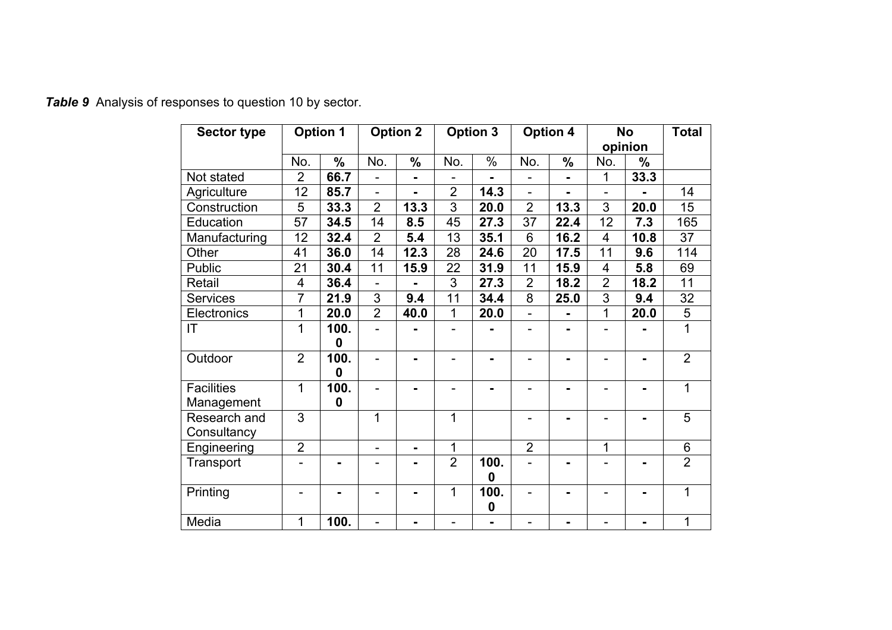| <b>Sector type</b> |                 | <b>Option 1</b>  |                | <b>Option 2</b> |                | <b>Option 3</b>          |                 | <b>Option 4</b> |                         | <b>No</b><br>opinion | <b>Total</b>   |
|--------------------|-----------------|------------------|----------------|-----------------|----------------|--------------------------|-----------------|-----------------|-------------------------|----------------------|----------------|
|                    | No.             | $\%$             | No.            | $\frac{0}{0}$   | No.            | $\%$                     | No.             | $\%$            | No.                     | ℅                    |                |
| Not stated         | $\overline{2}$  | 66.7             | L,             | $\blacksquare$  |                | $\blacksquare$           | -               | $\blacksquare$  | 1                       | 33.3                 |                |
| Agriculture        | 12              | 85.7             | $\blacksquare$ | $\blacksquare$  | $\overline{2}$ | 14.3                     | $\overline{a}$  |                 | $\overline{a}$          |                      | 14             |
| Construction       | 5               | 33.3             | $\overline{2}$ | 13.3            | 3              | 20.0                     | $\overline{2}$  | 13.3            | 3                       | 20.0                 | 15             |
| Education          | $\overline{57}$ | 34.5             | 14             | 8.5             | 45             | 27.3                     | $\overline{37}$ | 22.4            | 12                      | 7.3                  | 165            |
| Manufacturing      | 12              | 32.4             | $\overline{2}$ | 5.4             | 13             | 35.1                     | 6               | 16.2            | $\overline{4}$          | 10.8                 | 37             |
| Other              | 41              | 36.0             | 14             | 12.3            | 28             | 24.6                     | 20              | 17.5            | 11                      | 9.6                  | 114            |
| <b>Public</b>      | 21              | 30.4             | 11             | 15.9            | 22             | 31.9                     | 11              | 15.9            | $\overline{\mathbf{4}}$ | 5.8                  | 69             |
| Retail             | $\overline{4}$  | 36.4             |                |                 | 3              | 27.3                     | $\overline{2}$  | 18.2            | $\overline{2}$          | 18.2                 | 11             |
| <b>Services</b>    | $\overline{7}$  | 21.9             | 3              | 9.4             | 11             | 34.4                     | $\overline{8}$  | 25.0            | $\overline{3}$          | 9.4                  | 32             |
| Electronics        | 1               | 20.0             | $\overline{2}$ | 40.0            | 1              | 20.0                     | $\blacksquare$  |                 | 1                       | 20.0                 | 5              |
| IT                 | 1               | 100.<br>$\bf{0}$ |                |                 |                |                          |                 |                 |                         |                      | 1              |
| Outdoor            | $\overline{2}$  | 100.<br>$\bf{0}$ |                |                 |                |                          |                 |                 |                         |                      | $\overline{2}$ |
| <b>Facilities</b>  | 1               | 100.             | $\blacksquare$ | $\blacksquare$  |                |                          | -               |                 |                         | Ξ.                   | 1              |
| Management         |                 | $\bf{0}$         |                |                 |                |                          |                 |                 |                         |                      |                |
| Research and       | 3               |                  | 1              |                 | 1              |                          |                 |                 |                         |                      | 5              |
| Consultancy        |                 |                  |                |                 |                |                          |                 |                 |                         |                      |                |
| Engineering        | $\overline{2}$  |                  | -              | $\blacksquare$  | 1              |                          | $\overline{2}$  |                 | 1                       |                      | 6              |
| Transport          |                 | $\blacksquare$   | $\overline{a}$ | $\blacksquare$  | $\overline{2}$ | 100.<br>0                |                 | $\blacksquare$  |                         |                      | $\overline{2}$ |
| Printing           |                 |                  |                |                 | 1              | 100.<br>$\boldsymbol{0}$ |                 |                 |                         |                      | 1              |
| Media              | 1               | 100.             |                |                 |                | $\blacksquare$           |                 |                 |                         |                      | 1              |

*Table 9* Analysis of responses to question 10 by sector.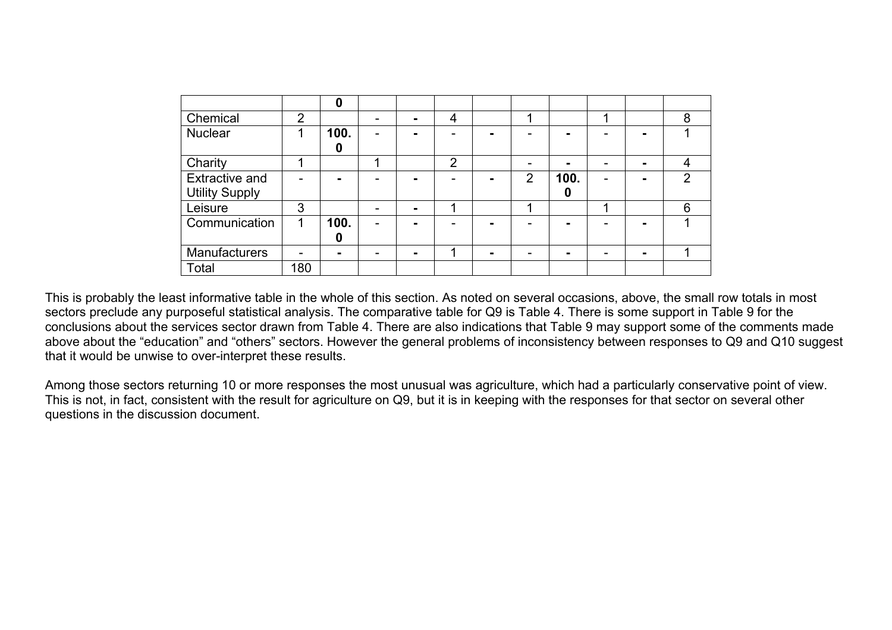|                       |                | $\boldsymbol{0}$ |                |                |   |   |      |   |   |
|-----------------------|----------------|------------------|----------------|----------------|---|---|------|---|---|
| Chemical              | $\overline{2}$ |                  | $\blacksquare$ | 4              |   |   |      |   | 8 |
| <b>Nuclear</b>        |                | 100.             |                | ۰              |   |   | -    |   |   |
|                       |                | 0                |                |                |   |   |      |   |   |
| Charity               |                |                  |                | $\overline{2}$ |   |   |      |   | 4 |
| <b>Extractive and</b> |                |                  |                |                |   | 2 | 100. |   | 2 |
| <b>Utility Supply</b> |                |                  |                |                |   |   | 0    |   |   |
| Leisure               | 3              |                  |                | ◢              |   |   |      |   | 6 |
| Communication         | 1              | 100.             |                |                |   |   |      |   |   |
|                       |                | 0                |                |                |   |   |      |   |   |
| Manufacturers         |                | $\blacksquare$   | -              | ٠              | - |   |      | - |   |
| Total                 | 180            |                  |                |                |   |   |      |   |   |

This is probably the least informative table in the whole of this section. As noted on several occasions, above, the small row totals in most sectors preclude any purposeful statistical analysis. The comparative table for Q9 is Table 4. There is some support in Table 9 for the conclusions about the services sector drawn from Table 4. There are also indications that Table 9 may support some of the comments made above about the "education" and "others" sectors. However the general problems of inconsistency between responses to Q9 and Q10 suggest that it would be unwise to over-interpret these results.

Among those sectors returning 10 or more responses the most unusual was agriculture, which had a particularly conservative point of view. This is not, in fact, consistent with the result for agriculture on Q9, but it is in keeping with the responses for that sector on several other questions in the discussion document.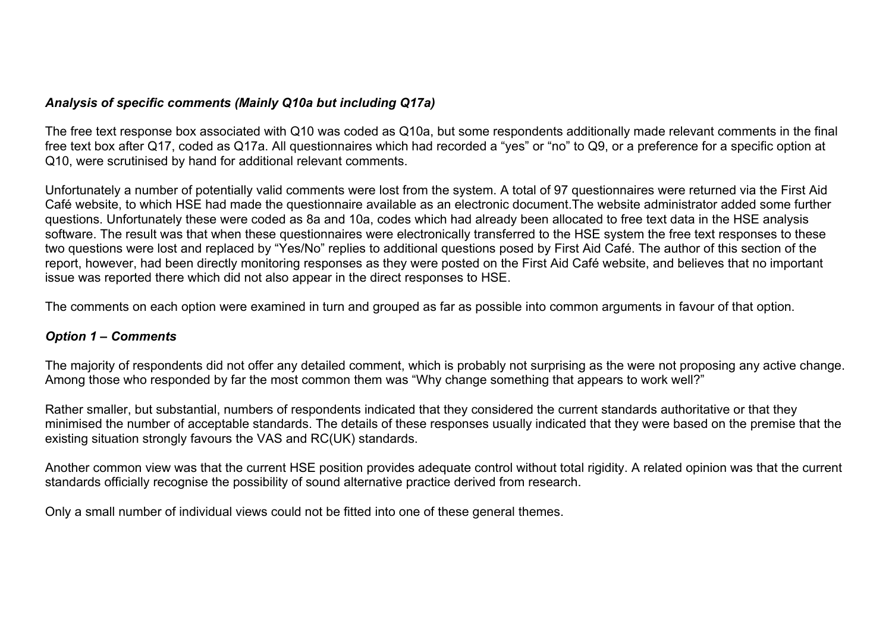#### *Analysis of specific comments (Mainly Q10a but including Q17a)*

The free text response box associated with Q10 was coded as Q10a, but some respondents additionally made relevant comments in the final free text box after Q17, coded as Q17a. All questionnaires which had recorded a "yes" or "no" to Q9, or a preference for a specific option at Q10, were scrutinised by hand for additional relevant comments.

Unfortunately a number of potentially valid comments were lost from the system. A total of 97 questionnaires were returned via the First Aid Café website, to which HSE had made the questionnaire available as an electronic document.The website administrator added some further questions. Unfortunately these were coded as 8a and 10a, codes which had already been allocated to free text data in the HSE analysis software. The result was that when these questionnaires were electronically transferred to the HSE system the free text responses to these two questions were lost and replaced by "Yes/No" replies to additional questions posed by First Aid Café. The author of this section of the report, however, had been directly monitoring responses as they were posted on the First Aid Café website, and believes that no important issue was reported there which did not also appear in the direct responses to HSE.

The comments on each option were examined in turn and grouped as far as possible into common arguments in favour of that option.

#### *Option 1 – Comments*

The majority of respondents did not offer any detailed comment, which is probably not surprising as the were not proposing any active change. Among those who responded by far the most common them was "Why change something that appears to work well?"

Rather smaller, but substantial, numbers of respondents indicated that they considered the current standards authoritative or that they minimised the number of acceptable standards. The details of these responses usually indicated that they were based on the premise that the existing situation strongly favours the VAS and RC(UK) standards.

Another common view was that the current HSE position provides adequate control without total rigidity. A related opinion was that the current standards officially recognise the possibility of sound alternative practice derived from research.

Only a small number of individual views could not be fitted into one of these general themes.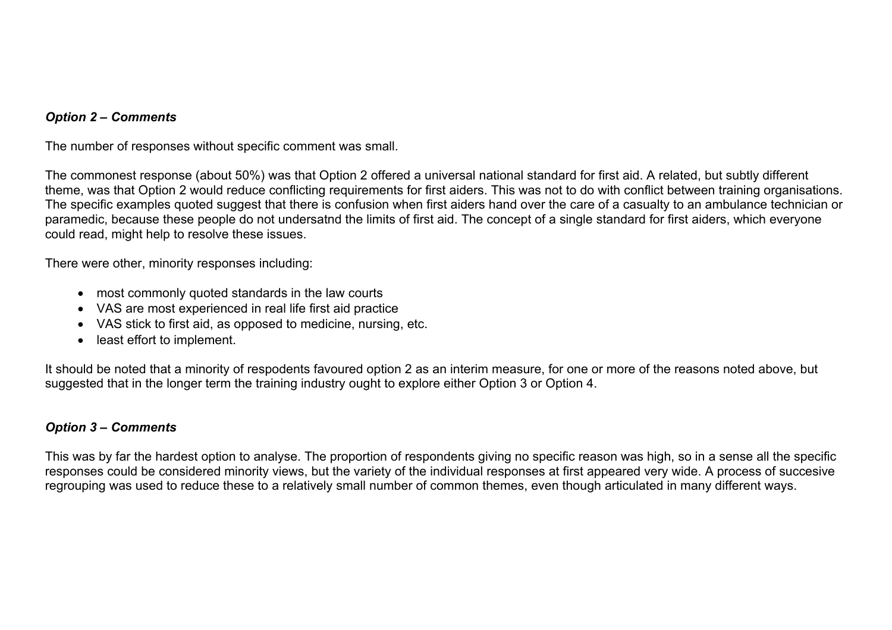#### *Option 2 – Comments*

The number of responses without specific comment was small.

The commonest response (about 50%) was that Option 2 offered a universal national standard for first aid. A related, but subtly different theme, was that Option 2 would reduce conflicting requirements for first aiders. This was not to do with conflict between training organisations. The specific examples quoted suggest that there is confusion when first aiders hand over the care of a casualty to an ambulance technician or paramedic, because these people do not undersatnd the limits of first aid. The concept of a single standard for first aiders, which everyone could read, might help to resolve these issues.

There were other, minority responses including:

- most commonly quoted standards in the law courts
- VAS are most experienced in real life first aid practice
- VAS stick to first aid, as opposed to medicine, nursing, etc.
- least effort to implement.

It should be noted that a minority of respodents favoured option 2 as an interim measure, for one or more of the reasons noted above, but suggested that in the longer term the training industry ought to explore either Option 3 or Option 4.

#### *Option 3 – Comments*

This was by far the hardest option to analyse. The proportion of respondents giving no specific reason was high, so in a sense all the specific responses could be considered minority views, but the variety of the individual responses at first appeared very wide. A process of succesive regrouping was used to reduce these to a relatively small number of common themes, even though articulated in many different ways.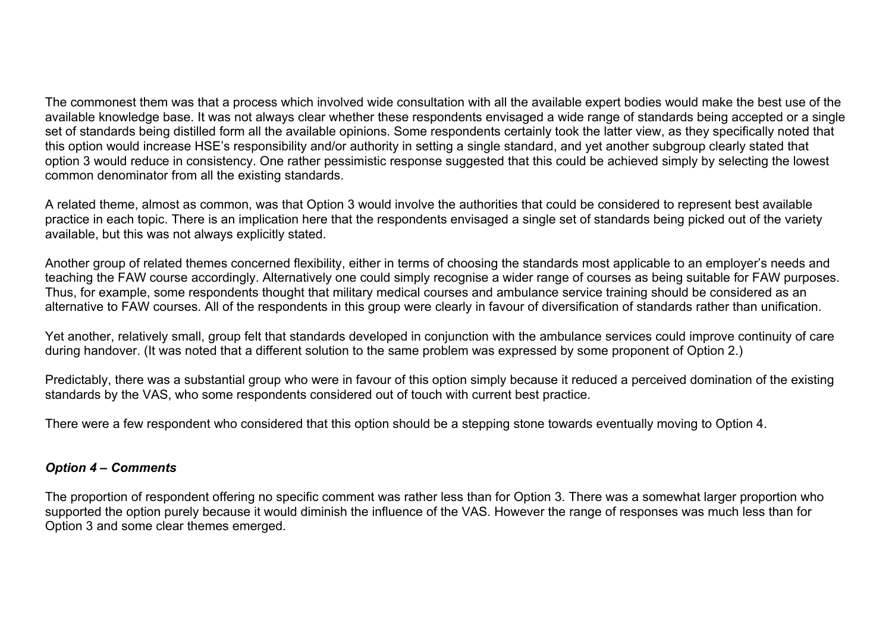The commonest them was that a process which involved wide consultation with all the available expert bodies would make the best use of the available knowledge base. It was not always clear whether these respondents envisaged a wide range of standards being accepted or a single set of standards being distilled form all the available opinions. Some respondents certainly took the latter view, as they specifically noted that this option would increase HSE's responsibility and/or authority in setting a single standard, and yet another subgroup clearly stated that option 3 would reduce in consistency. One rather pessimistic response suggested that this could be achieved simply by selecting the lowest common denominator from all the existing standards.

A related theme, almost as common, was that Option 3 would involve the authorities that could be considered to represent best available practice in each topic. There is an implication here that the respondents envisaged a single set of standards being picked out of the variety available, but this was not always explicitly stated.

Another group of related themes concerned flexibility, either in terms of choosing the standards most applicable to an employer's needs and teaching the FAW course accordingly. Alternatively one could simply recognise a wider range of courses as being suitable for FAW purposes. Thus, for example, some respondents thought that military medical courses and ambulance service training should be considered as an alternative to FAW courses. All of the respondents in this group were clearly in favour of diversification of standards rather than unification.

Yet another, relatively small, group felt that standards developed in conjunction with the ambulance services could improve continuity of care during handover. (It was noted that a different solution to the same problem was expressed by some proponent of Option 2.)

Predictably, there was a substantial group who were in favour of this option simply because it reduced a perceived domination of the existing standards by the VAS, who some respondents considered out of touch with current best practice.

There were a few respondent who considered that this option should be a stepping stone towards eventually moving to Option 4.

#### *Option 4 – Comments*

The proportion of respondent offering no specific comment was rather less than for Option 3. There was a somewhat larger proportion who supported the option purely because it would diminish the influence of the VAS. However the range of responses was much less than for Option 3 and some clear themes emerged.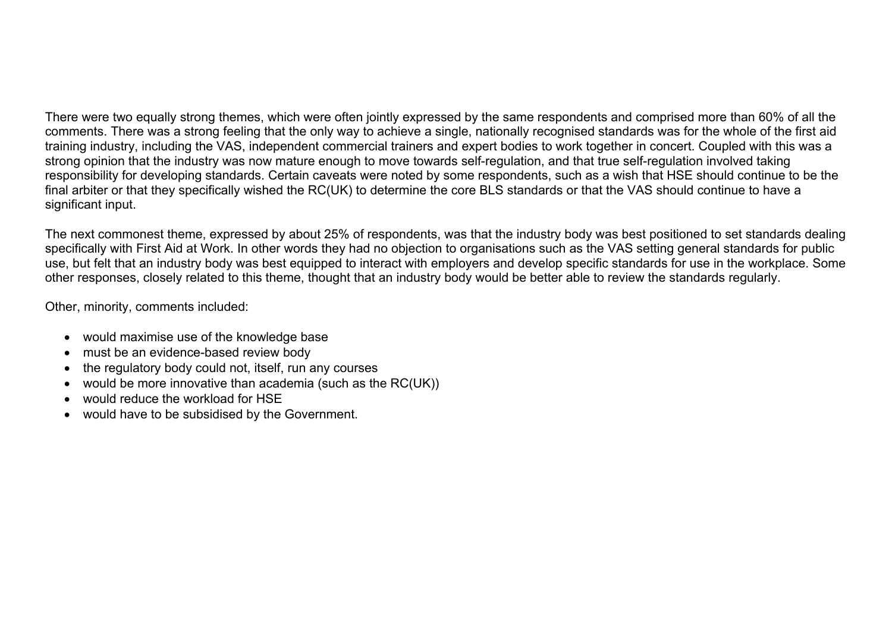There were two equally strong themes, which were often jointly expressed by the same respondents and comprised more than 60% of all the comments. There was a strong feeling that the only way to achieve a single, nationally recognised standards was for the whole of the first aid training industry, including the VAS, independent commercial trainers and expert bodies to work together in concert. Coupled with this was a strong opinion that the industry was now mature enough to move towards self-regulation, and that true self-regulation involved taking responsibility for developing standards. Certain caveats were noted by some respondents, such as a wish that HSE should continue to be the final arbiter or that they specifically wished the RC(UK) to determine the core BLS standards or that the VAS should continue to have a significant input.

The next commonest theme, expressed by about 25% of respondents, was that the industry body was best positioned to set standards dealing specifically with First Aid at Work. In other words they had no objection to organisations such as the VAS setting general standards for public use, but felt that an industry body was best equipped to interact with employers and develop specific standards for use in the workplace. Some other responses, closely related to this theme, thought that an industry body would be better able to review the standards regularly.

Other, minority, comments included:

- would maximise use of the knowledge base
- must be an evidence-based review body
- the regulatory body could not, itself, run any courses
- would be more innovative than academia (such as the RC(UK))
- would reduce the workload for HSE
- would have to be subsidised by the Government.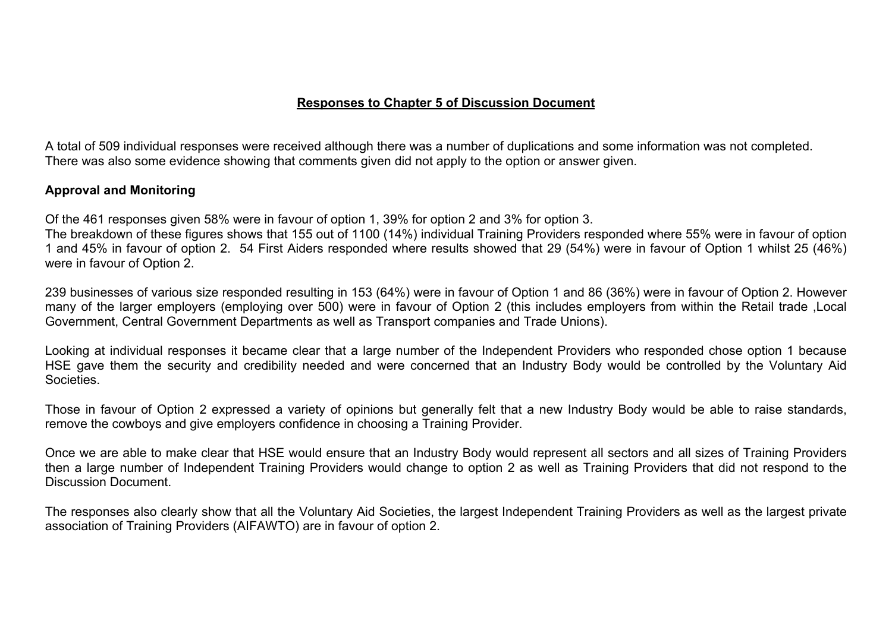#### **Responses to Chapter 5 of Discussion Document**

A total of 509 individual responses were received although there was a number of duplications and some information was not completed. There was also some evidence showing that comments given did not apply to the option or answer given.

## **Approval and Monitoring**

Of the 461 responses given 58% were in favour of option 1, 39% for option 2 and 3% for option 3.

The breakdown of these figures shows that 155 out of 1100 (14%) individual Training Providers responded where 55% were in favour of option 1 and 45% in favour of option 2. 54 First Aiders responded where results showed that 29 (54%) were in favour of Option 1 whilst 25 (46%) were in favour of Option 2.

239 businesses of various size responded resulting in 153 (64%) were in favour of Option 1 and 86 (36%) were in favour of Option 2. However many of the larger employers (employing over 500) were in favour of Option 2 (this includes employers from within the Retail trade ,Local Government, Central Government Departments as well as Transport companies and Trade Unions).

Looking at individual responses it became clear that a large number of the Independent Providers who responded chose option 1 because HSE gave them the security and credibility needed and were concerned that an Industry Body would be controlled by the Voluntary Aid Societies.

Those in favour of Option 2 expressed a variety of opinions but generally felt that a new Industry Body would be able to raise standards, remove the cowboys and give employers confidence in choosing a Training Provider.

Once we are able to make clear that HSE would ensure that an Industry Body would represent all sectors and all sizes of Training Providers then a large number of Independent Training Providers would change to option 2 as well as Training Providers that did not respond to the Discussion Document.

The responses also clearly show that all the Voluntary Aid Societies, the largest Independent Training Providers as well as the largest private association of Training Providers (AIFAWTO) are in favour of option 2.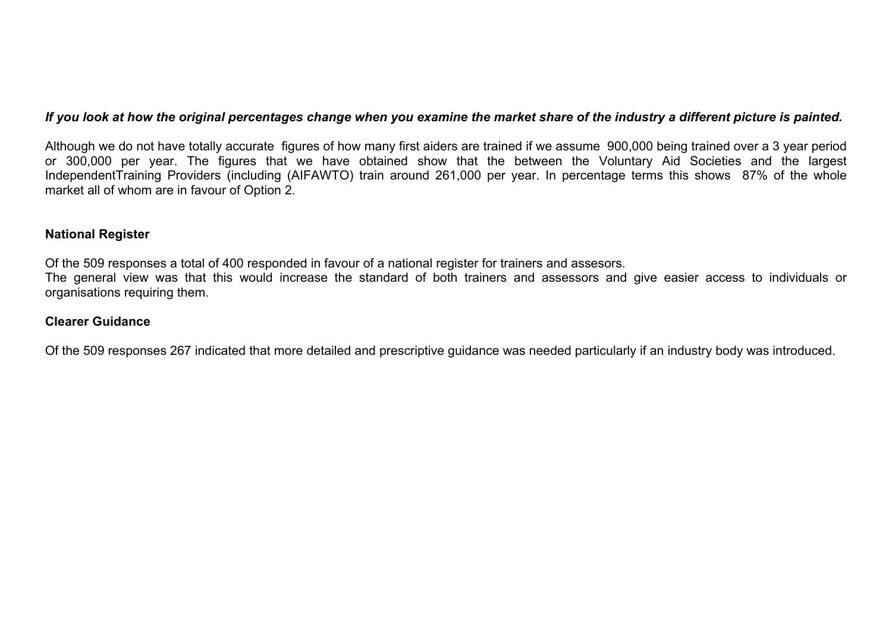#### *If you look at how the original percentages change when you examine the market share of the industry a different picture is painted.*

Although we do not have totally accurate figures of how many first aiders are trained if we assume 900,000 being trained over a 3 year period or 300,000 per year. The figures that we have obtained show that the between the Voluntary Aid Societies and the largest IndependentTraining Providers (including (AIFAWTO) train around 261,000 per year. In percentage terms this shows 87% of the whole market all of whom are in favour of Option 2.

#### **National Register**

Of the 509 responses a total of 400 responded in favour of a national register for trainers and assesors.

The general view was that this would increase the standard of both trainers and assessors and give easier access to individuals or organisations requiring them.

### **Clearer Guidance**

Of the 509 responses 267 indicated that more detailed and prescriptive guidance was needed particularly if an industry body was introduced.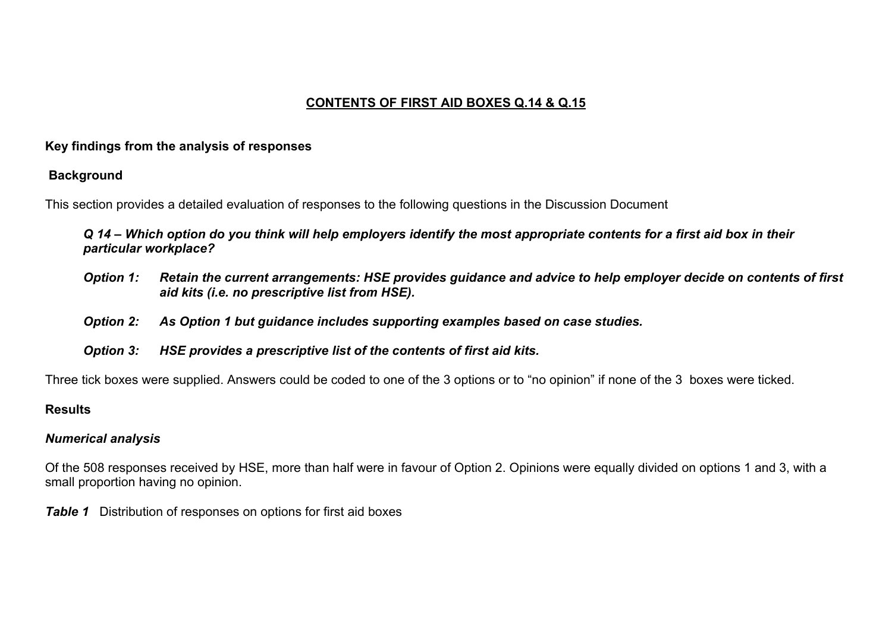## **CONTENTS OF FIRST AID BOXES Q.14 & Q.15**

## **Key findings from the analysis of responses**

## **Background**

This section provides a detailed evaluation of responses to the following questions in the Discussion Document

*Q 14 – Which option do you think will help employers identify the most appropriate contents for a first aid box in their particular workplace?* 

- *Option 1: Retain the current arrangements: HSE provides guidance and advice to help employer decide on contents of first aid kits (i.e. no prescriptive list from HSE).*
- *Option 2: As Option 1 but guidance includes supporting examples based on case studies.*
- *Option 3: HSE provides a prescriptive list of the contents of first aid kits.*

Three tick boxes were supplied. Answers could be coded to one of the 3 options or to "no opinion" if none of the 3 boxes were ticked.

## **Results**

## *Numerical analysis*

Of the 508 responses received by HSE, more than half were in favour of Option 2. Opinions were equally divided on options 1 and 3, with a small proportion having no opinion.

*Table 1* Distribution of responses on options for first aid boxes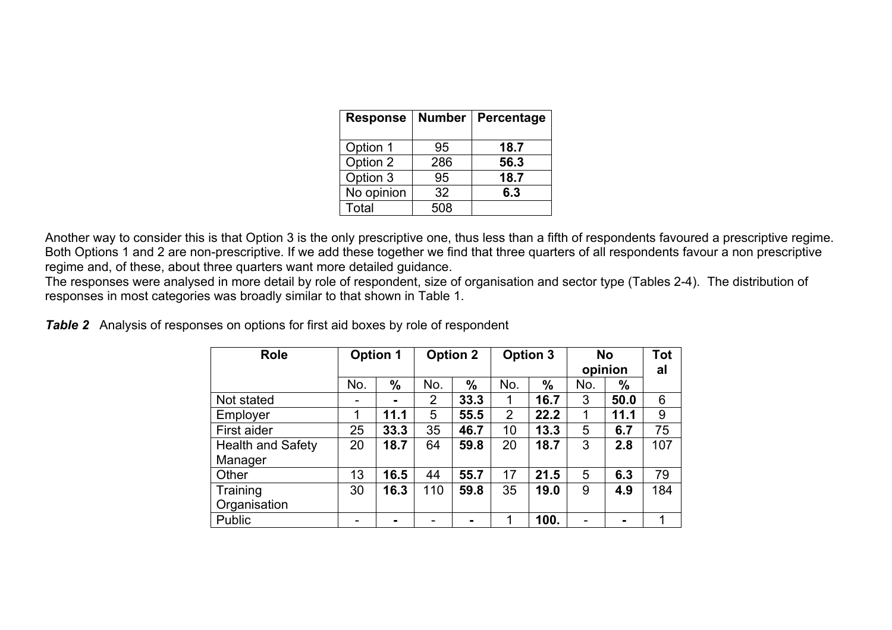| <b>Response</b> | <b>Number</b> | Percentage |
|-----------------|---------------|------------|
| Option 1        | 95            | 18.7       |
| Option 2        | 286           | 56.3       |
| Option 3        | 95            | 18.7       |
| No opinion      | 32            | 6.3        |
| Total           | 508           |            |

Another way to consider this is that Option 3 is the only prescriptive one, thus less than a fifth of respondents favoured a prescriptive regime. Both Options 1 and 2 are non-prescriptive. If we add these together we find that three quarters of all respondents favour a non prescriptive regime and, of these, about three quarters want more detailed guidance.

The responses were analysed in more detail by role of respondent, size of organisation and sector type (Tables 2-4). The distribution of responses in most categories was broadly similar to that shown in Table 1.

|  |  |  |  |  |  | <b>Table 2</b> Analysis of responses on options for first aid boxes by role of respondent |
|--|--|--|--|--|--|-------------------------------------------------------------------------------------------|
|--|--|--|--|--|--|-------------------------------------------------------------------------------------------|

| <b>Role</b>              | <b>Option 1</b> |      | <b>Option 2</b> |      |                | <b>Option 3</b> | <b>No</b><br>opinion |               | Tot<br>al   |
|--------------------------|-----------------|------|-----------------|------|----------------|-----------------|----------------------|---------------|-------------|
|                          | No.             | $\%$ | No.             | $\%$ | No.            | $\%$            | No.                  | $\frac{0}{0}$ |             |
| Not stated               |                 | ۰.   | 2               | 33.3 |                | 16.7            | 3                    | 50.0          | 6           |
| Employer                 | 1               | 11.1 | 5               | 55.5 | $\overline{2}$ | 22.2            |                      | 11.1          | 9           |
| First aider              | 25              | 33.3 | 35              | 46.7 | 10             | 13.3            | 5                    | 6.7           | 75          |
| <b>Health and Safety</b> | 20              | 18.7 | 64              | 59.8 | 20             | 18.7            | 3                    | 2.8           | 107         |
| Manager                  |                 |      |                 |      |                |                 |                      |               |             |
| Other                    | 13              | 16.5 | 44              | 55.7 | 17             | 21.5            | 5                    | 6.3           | 79          |
| Training                 | 30              | 16.3 | 110             | 59.8 | 35             | 19.0            | 9                    | 4.9           | 184         |
| Organisation             |                 |      |                 |      |                |                 |                      |               |             |
| Public                   |                 |      |                 |      |                | 100.            |                      |               | $\mathbf 1$ |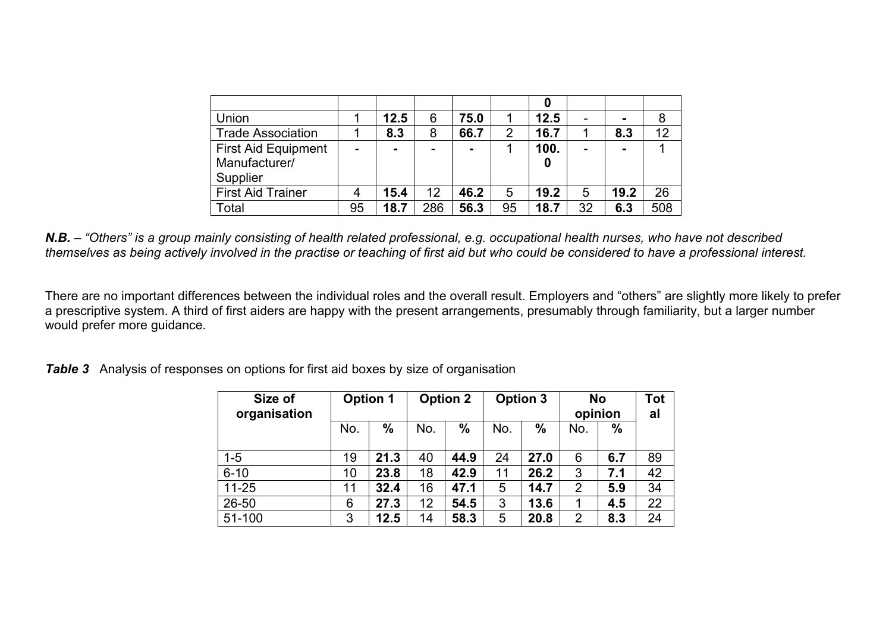| Union                      |    | 12.5 | 6   | 75.0 |    | 12.5 |    |      |     |
|----------------------------|----|------|-----|------|----|------|----|------|-----|
| <b>Trade Association</b>   |    | 8.3  | 8   | 66.7 | 2  | 16.7 |    | 8.3  | 12  |
| <b>First Aid Equipment</b> |    |      |     | -    |    | 100. |    |      |     |
| Manufacturer/              |    |      |     |      |    |      |    |      |     |
| Supplier                   |    |      |     |      |    |      |    |      |     |
| <b>First Aid Trainer</b>   |    | 15.4 | 12  | 46.2 | 5  | 19.2 | 5  | 19.2 | 26  |
| Total                      | 95 | 18.7 | 286 | 56.3 | 95 | 18.7 | 32 | 6.3  | 508 |

*N.B. – "Others" is a group mainly consisting of health related professional, e.g. occupational health nurses, who have not described themselves as being actively involved in the practise or teaching of first aid but who could be considered to have a professional interest.* 

There are no important differences between the individual roles and the overall result. Employers and "others" are slightly more likely to prefer a prescriptive system. A third of first aiders are happy with the present arrangements, presumably through familiarity, but a larger number would prefer more guidance.

*Table 3* Analysis of responses on options for first aid boxes by size of organisation

| Size of<br>organisation |     | <b>Option 1</b> |     | <b>Option 2</b> | <b>Option 3</b> |               | <b>No</b><br>opinion |               | <b>Tot</b><br>al |
|-------------------------|-----|-----------------|-----|-----------------|-----------------|---------------|----------------------|---------------|------------------|
|                         | No. | $\frac{0}{0}$   | No. | $\%$            | No.             | $\frac{0}{0}$ | No.                  | $\frac{0}{0}$ |                  |
| $1 - 5$                 | 19  | 21.3            | 40  | 44.9            | 24              | 27.0          | 6                    | 6.7           | 89               |
| $6 - 10$                | 10  | 23.8            | 18  | 42.9            | 11              | 26.2          | 3                    | 7.1           | 42               |
| $11 - 25$               | 11  | 32.4            | 16  | 47.1            | 5               | 14.7          | $\overline{2}$       | 5.9           | 34               |
| 26-50                   | 6   | 27.3            | 12  | 54.5            | 3               | 13.6          | 1                    | 4.5           | 22               |
| 51-100                  | 3   | 12.5            | 14  | 58.3            | 5               | 20.8          | $\overline{2}$       | 8.3           | 24               |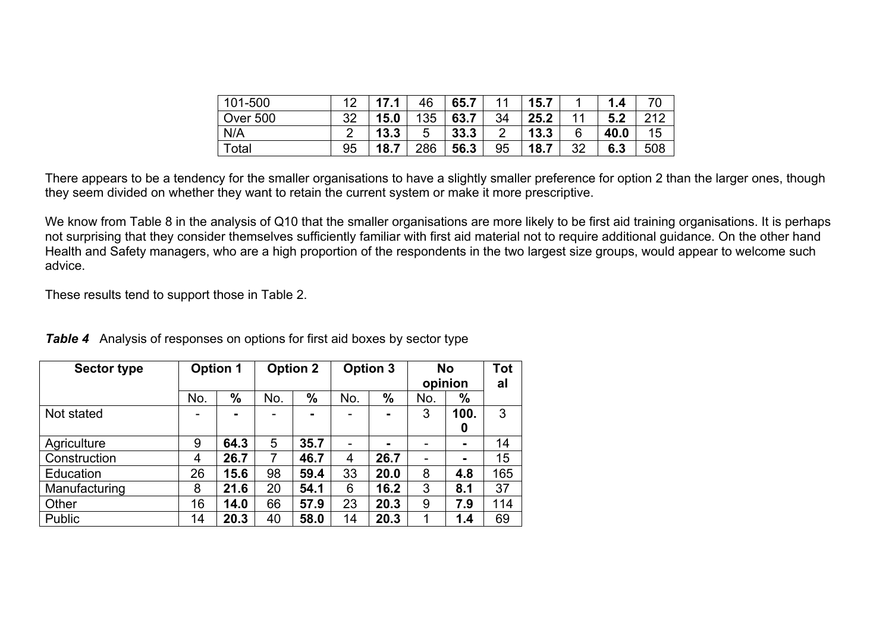| 101-500         | ィク | 17.1 | 46  | 65.7 | 11             | 15.7 |    | 1.4  | 70  |
|-----------------|----|------|-----|------|----------------|------|----|------|-----|
| <b>Over 500</b> | 32 | 15.0 | 135 | 63.7 | 34             | 25.2 | 11 | 5.2  | 212 |
| N/A             |    | 13.3 | 5   | 33.3 | $\overline{2}$ | 13.3 | 6  | 40.0 | 15  |
| Total           | 95 | 18.7 | 286 | 56.3 | 95             | 18.7 | 32 | 6.3  | 508 |

There appears to be a tendency for the smaller organisations to have a slightly smaller preference for option 2 than the larger ones, though they seem divided on whether they want to retain the current system or make it more prescriptive.

We know from Table 8 in the analysis of Q10 that the smaller organisations are more likely to be first aid training organisations. It is perhaps not surprising that they consider themselves sufficiently familiar with first aid material not to require additional guidance. On the other hand Health and Safety managers, who are a high proportion of the respondents in the two largest size groups, would appear to welcome such advice.

These results tend to support those in Table 2.

| <b>Sector type</b> |                | <b>Option 1</b> |     | <b>Option 2</b> |     | <b>Option 3</b> |     | <b>No</b><br>opinion |     |
|--------------------|----------------|-----------------|-----|-----------------|-----|-----------------|-----|----------------------|-----|
|                    | No.            | %               | No. | $\frac{0}{0}$   | No. | $\frac{0}{0}$   | No. | %                    |     |
| Not stated         |                | $\blacksquare$  |     | $\blacksquare$  |     |                 | 3   | 100.                 | 3   |
|                    |                |                 |     |                 |     |                 |     | 0                    |     |
| Agriculture        | 9              | 64.3            | 5   | 35.7            |     | ۰.              |     | ۰.                   | 14  |
| Construction       | $\overline{4}$ | 26.7            | 7   | 46.7            | 4   | 26.7            |     |                      | 15  |
| Education          | 26             | 15.6            | 98  | 59.4            | 33  | 20.0            | 8   | 4.8                  | 165 |
| Manufacturing      | 8              | 21.6            | 20  | 54.1            | 6   | 16.2            | 3   | 8.1                  | 37  |
| Other              | 16             | 14.0            | 66  | 57.9            | 23  | 20.3            | 9   | 7.9                  | 114 |
| <b>Public</b>      | 14             | 20.3            | 40  | 58.0            | 14  | 20.3            | 1   | 1.4                  | 69  |

*Table 4* Analysis of responses on options for first aid boxes by sector type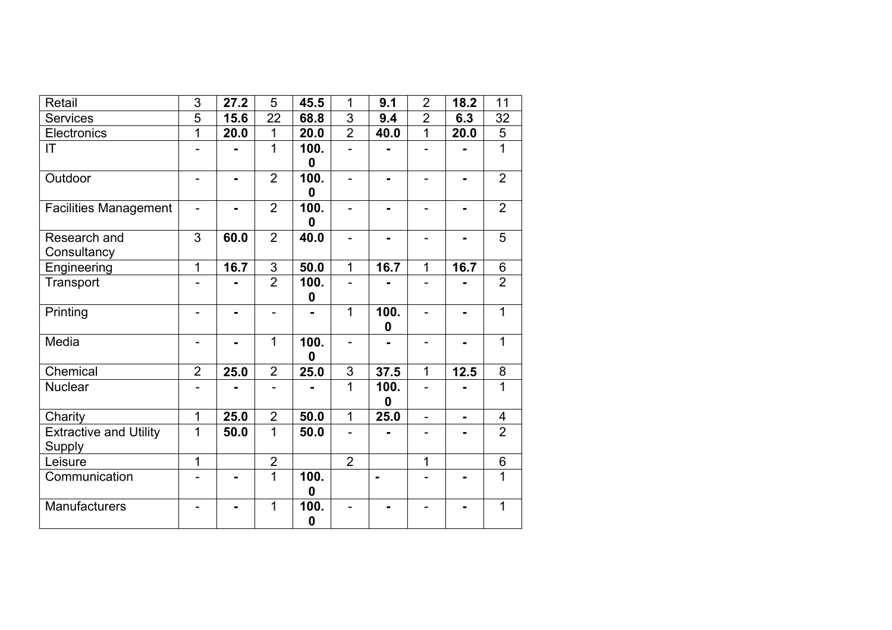| Retail                                         | 3              | 27.2           | 5              | 45.5                     | 1                        | 9.1              | $\overline{2}$ | 18.2 | 11                      |
|------------------------------------------------|----------------|----------------|----------------|--------------------------|--------------------------|------------------|----------------|------|-------------------------|
| <b>Services</b>                                | 5              | 15.6           | 22             | 68.8                     | 3                        | 9.4              | $\overline{2}$ | 6.3  | 32                      |
| Electronics                                    | 1              | 20.0           | 1              | 20.0                     | $\overline{2}$           | 40.0             | $\overline{1}$ | 20.0 | $\overline{5}$          |
| IT                                             | $\overline{a}$ |                | $\overline{1}$ | 100.<br>$\mathbf 0$      | $\overline{a}$           |                  | $\overline{a}$ |      | $\mathbf{1}$            |
| Outdoor                                        | -              | $\blacksquare$ | $\overline{2}$ | 100.<br>0                | $\overline{\phantom{0}}$ |                  |                |      | $\overline{2}$          |
| <b>Facilities Management</b>                   | $\blacksquare$ |                | $\overline{2}$ | 100.<br>$\mathbf 0$      |                          |                  |                |      | $\overline{2}$          |
| Research and<br>Consultancy                    | 3              | 60.0           | $\overline{2}$ | 40.0                     | $\overline{a}$           |                  |                |      | 5                       |
| Engineering                                    | 1              | 16.7           | $\mathsf 3$    | 50.0                     | $\overline{1}$           | 16.7             | 1              | 16.7 | 6                       |
| Transport                                      |                |                | $\overline{2}$ | 100.<br>$\boldsymbol{0}$ |                          |                  |                |      | $\overline{2}$          |
| Printing                                       |                | $\blacksquare$ |                |                          | $\overline{1}$           | 100.<br>$\bf{0}$ |                |      | $\mathbf{1}$            |
| Media                                          |                |                | 1              | 100.<br>$\mathbf 0$      | $\overline{a}$           |                  |                |      | 1                       |
| Chemical                                       | $\overline{2}$ | 25.0           | $\overline{2}$ | 25.0                     | $\frac{3}{1}$            | 37.5             | $\overline{1}$ | 12.5 | 8                       |
| <b>Nuclear</b>                                 |                |                | $\overline{a}$ |                          |                          | 100.<br>0        | $\overline{a}$ |      | $\overline{1}$          |
| Charity                                        | 1              | 25.0           | $\overline{2}$ | 50.0                     | $\overline{1}$           | 25.0             |                |      | $\overline{\mathbf{4}}$ |
| <b>Extractive and Utility</b><br><b>Supply</b> | 1              | 50.0           | 1              | 50.0                     | $\overline{\phantom{0}}$ |                  |                |      | $\overline{2}$          |
| Leisure                                        | 1              |                | $\overline{2}$ |                          | $\overline{2}$           |                  | 1              |      | 6                       |
| Communication                                  | ÷.             |                | $\overline{1}$ | 100.<br>0                |                          | $\blacksquare$   |                |      | $\overline{1}$          |
| Manufacturers                                  |                |                | 1              | 100.<br>$\bf{0}$         |                          |                  |                |      | 1                       |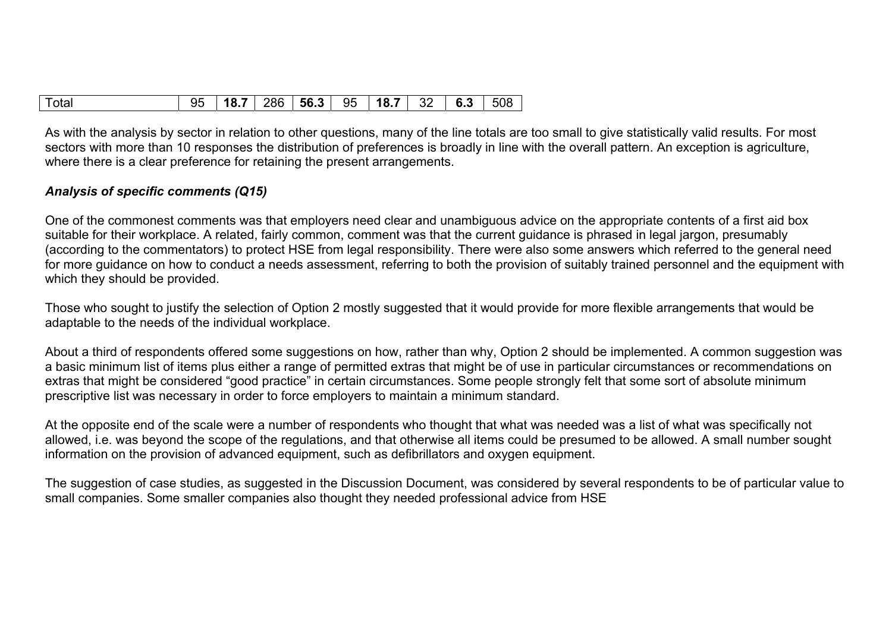| 18.7 <br>$286$   56.3  <br>95<br>$32 \mid 6.3$<br>18.7<br>Total<br> 508<br>95 |
|-------------------------------------------------------------------------------|
|-------------------------------------------------------------------------------|

As with the analysis by sector in relation to other questions, many of the line totals are too small to give statistically valid results. For most sectors with more than 10 responses the distribution of preferences is broadly in line with the overall pattern. An exception is agriculture, where there is a clear preference for retaining the present arrangements.

## *Analysis of specific comments (Q15)*

One of the commonest comments was that employers need clear and unambiguous advice on the appropriate contents of a first aid box suitable for their workplace. A related, fairly common, comment was that the current guidance is phrased in legal jargon, presumably (according to the commentators) to protect HSE from legal responsibility. There were also some answers which referred to the general need for more guidance on how to conduct a needs assessment, referring to both the provision of suitably trained personnel and the equipment with which they should be provided.

Those who sought to justify the selection of Option 2 mostly suggested that it would provide for more flexible arrangements that would be adaptable to the needs of the individual workplace.

About a third of respondents offered some suggestions on how, rather than why, Option 2 should be implemented. A common suggestion was a basic minimum list of items plus either a range of permitted extras that might be of use in particular circumstances or recommendations on extras that might be considered "good practice" in certain circumstances. Some people strongly felt that some sort of absolute minimum prescriptive list was necessary in order to force employers to maintain a minimum standard.

At the opposite end of the scale were a number of respondents who thought that what was needed was a list of what was specifically not allowed, i.e. was beyond the scope of the regulations, and that otherwise all items could be presumed to be allowed. A small number sought information on the provision of advanced equipment, such as defibrillators and oxygen equipment.

The suggestion of case studies, as suggested in the Discussion Document, was considered by several respondents to be of particular value to small companies. Some smaller companies also thought they needed professional advice from HSE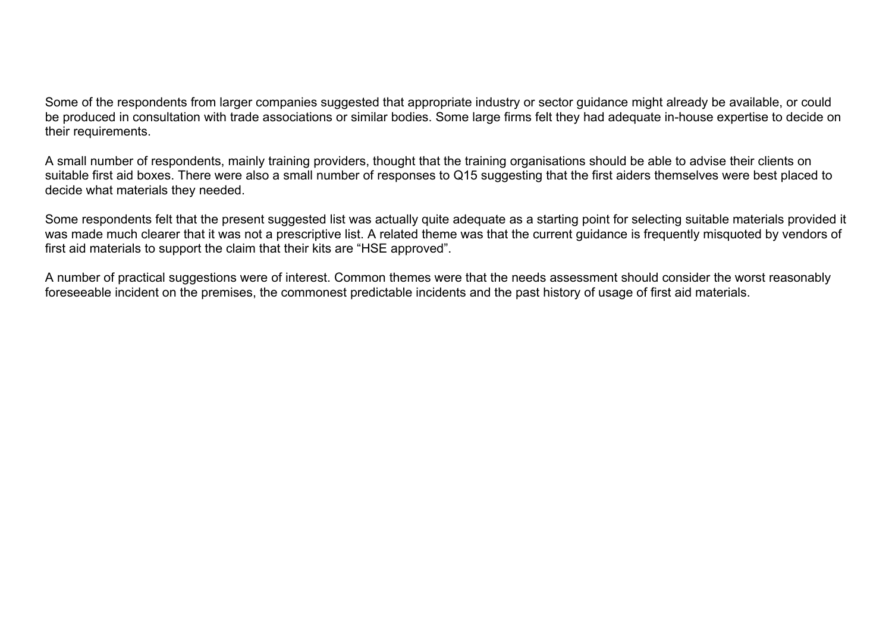Some of the respondents from larger companies suggested that appropriate industry or sector guidance might already be available, or could be produced in consultation with trade associations or similar bodies. Some large firms felt they had adequate in-house expertise to decide on their requirements.

A small number of respondents, mainly training providers, thought that the training organisations should be able to advise their clients on suitable first aid boxes. There were also a small number of responses to Q15 suggesting that the first aiders themselves were best placed to decide what materials they needed.

Some respondents felt that the present suggested list was actually quite adequate as a starting point for selecting suitable materials provided it was made much clearer that it was not a prescriptive list. A related theme was that the current guidance is frequently misquoted by vendors of first aid materials to support the claim that their kits are "HSE approved".

A number of practical suggestions were of interest. Common themes were that the needs assessment should consider the worst reasonably foreseeable incident on the premises, the commonest predictable incidents and the past history of usage of first aid materials.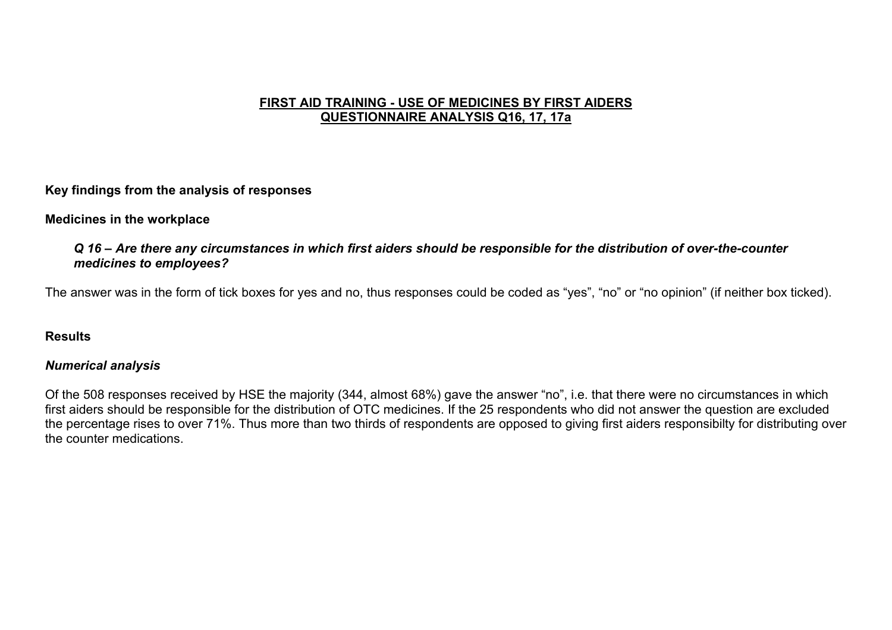#### **FIRST AID TRAINING - USE OF MEDICINES BY FIRST AIDERS QUESTIONNAIRE ANALYSIS Q16, 17, 17a**

**Key findings from the analysis of responses** 

#### **Medicines in the workplace**

#### *Q 16 – Are there any circumstances in which first aiders should be responsible for the distribution of over-the-counter medicines to employees?*

The answer was in the form of tick boxes for yes and no, thus responses could be coded as "yes", "no" or "no opinion" (if neither box ticked).

#### **Results**

#### *Numerical analysis*

Of the 508 responses received by HSE the majority (344, almost 68%) gave the answer "no", i.e. that there were no circumstances in which first aiders should be responsible for the distribution of OTC medicines. If the 25 respondents who did not answer the question are excluded the percentage rises to over 71%. Thus more than two thirds of respondents are opposed to giving first aiders responsibilty for distributing over the counter medications.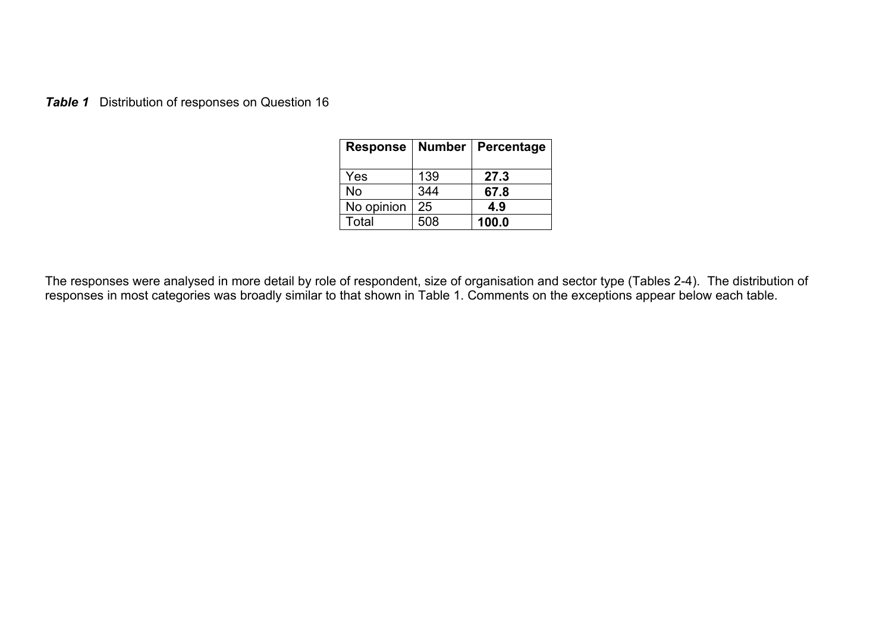*Table 1* Distribution of responses on Question 16

| <b>Response</b> | <b>Number</b> | Percentage |
|-----------------|---------------|------------|
| Yes             | 139           | 27.3       |
| No              | 344           | 67.8       |
| No opinion      | 25            | 4.9        |
| Total           | 508           | 100.0      |

The responses were analysed in more detail by role of respondent, size of organisation and sector type (Tables 2-4). The distribution of responses in most categories was broadly similar to that shown in Table 1. Comments on the exceptions appear below each table.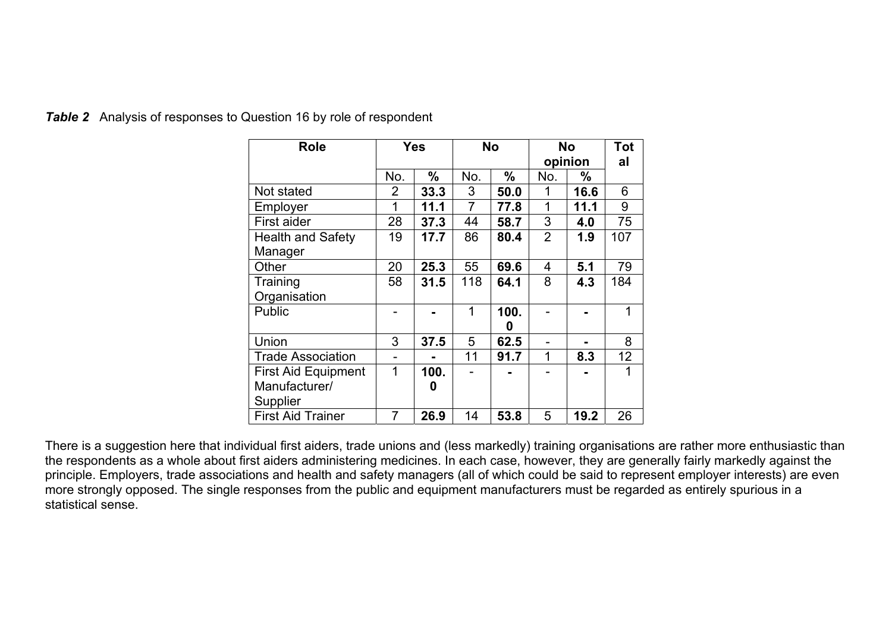| <b>Role</b>                | <b>Yes</b> |               | No  |               | <b>No</b><br>opinion |      | <b>Tot</b><br>al |
|----------------------------|------------|---------------|-----|---------------|----------------------|------|------------------|
|                            | No.        | $\frac{0}{0}$ | No. | $\frac{0}{0}$ | No.                  | $\%$ |                  |
| Not stated                 | 2          | 33.3          | 3   | 50.0          | 1                    | 16.6 | 6                |
| Employer                   | 1          | 11.1          | 7   | 77.8          | 1                    | 11.1 | 9                |
| First aider                | 28         | 37.3          | 44  | 58.7          | 3                    | 4.0  | 75               |
| <b>Health and Safety</b>   | 19         | 17.7          | 86  | 80.4          | $\overline{2}$       | 1.9  | 107              |
| Manager                    |            |               |     |               |                      |      |                  |
| Other                      | 20         | 25.3          | 55  | 69.6          | 4                    | 5.1  | 79               |
| Training                   | 58         | 31.5          | 118 | 64.1          | 8                    | 4.3  | 184              |
| Organisation               |            |               |     |               |                      |      |                  |
| <b>Public</b>              |            |               | 1   | 100.          |                      |      | 1                |
|                            |            |               |     | O             |                      |      |                  |
| Union                      | 3          | 37.5          | 5   | 62.5          |                      |      | 8                |
| <b>Trade Association</b>   |            |               | 11  | 91.7          | 1                    | 8.3  | 12               |
| <b>First Aid Equipment</b> | 1          | 100.          |     |               |                      |      | 1                |
| Manufacturer/              |            | O             |     |               |                      |      |                  |
| Supplier                   |            |               |     |               |                      |      |                  |
| <b>First Aid Trainer</b>   | 7          | 26.9          | 14  | 53.8          | 5                    | 19.2 | 26               |

**Table 2** Analysis of responses to Question 16 by role of respondent

There is a suggestion here that individual first aiders, trade unions and (less markedly) training organisations are rather more enthusiastic than the respondents as a whole about first aiders administering medicines. In each case, however, they are generally fairly markedly against the principle. Employers, trade associations and health and safety managers (all of which could be said to represent employer interests) are even more strongly opposed. The single responses from the public and equipment manufacturers must be regarded as entirely spurious in a statistical sense.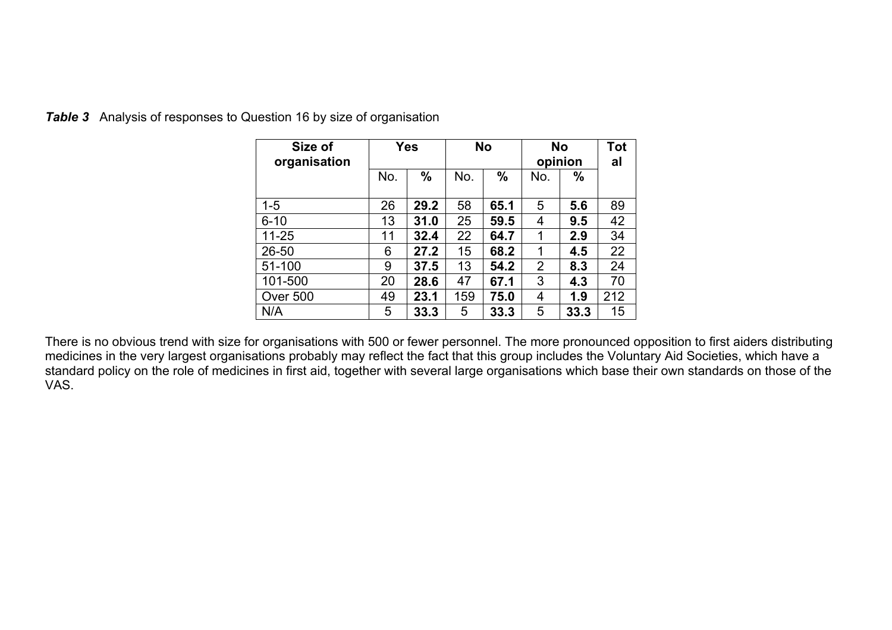| Size of<br>organisation | <b>Yes</b> |               | <b>No</b> |               | <b>No</b><br>opinion |      | <b>Tot</b><br>al |
|-------------------------|------------|---------------|-----------|---------------|----------------------|------|------------------|
|                         | No.        | $\frac{0}{0}$ | No.       | $\frac{0}{0}$ | No.                  | $\%$ |                  |
| $1 - 5$                 | 26         | 29.2          | 58        | 65.1          | 5                    | 5.6  | 89               |
| $6 - 10$                | 13         | 31.0          | 25        | 59.5          | 4                    | 9.5  | 42               |
| $11 - 25$               | 11         | 32.4          | 22        | 64.7          | 1                    | 2.9  | 34               |
| $26 - 50$               | 6          | 27.2          | 15        | 68.2          | 1                    | 4.5  | 22               |
| 51-100                  | 9          | 37.5          | 13        | 54.2          | $\overline{2}$       | 8.3  | 24               |
| 101-500                 | 20         | 28.6          | 47        | 67.1          | 3                    | 4.3  | 70               |
| Over 500                | 49         | 23.1          | 159       | 75.0          | 4                    | 1.9  | 212              |
| N/A                     | 5          | 33.3          | 5         | 33.3          | 5                    | 33.3 | 15               |

**Table 3** Analysis of responses to Question 16 by size of organisation

There is no obvious trend with size for organisations with 500 or fewer personnel. The more pronounced opposition to first aiders distributing medicines in the very largest organisations probably may reflect the fact that this group includes the Voluntary Aid Societies, which have a standard policy on the role of medicines in first aid, together with several large organisations which base their own standards on those of the VAS.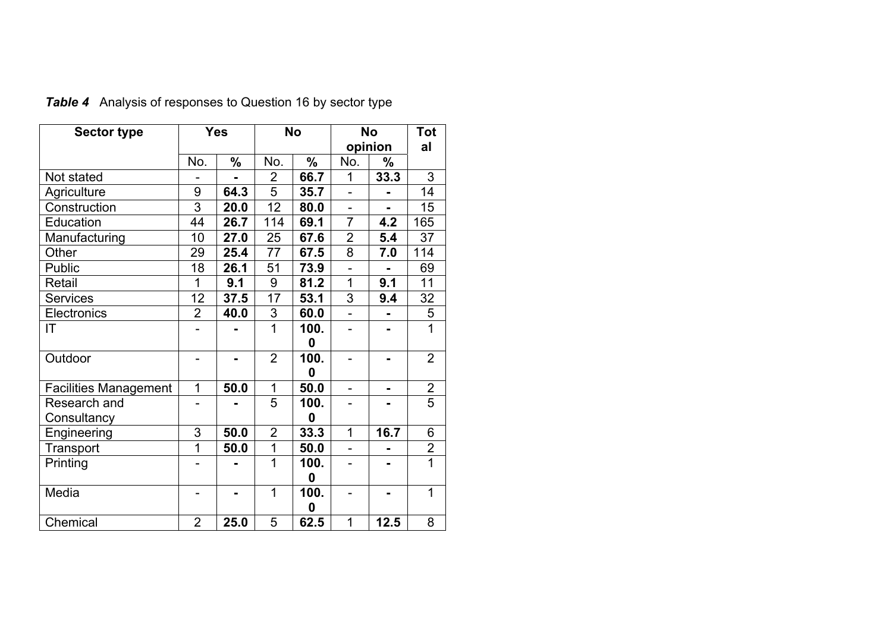| <b>Sector type</b>           | <b>Yes</b>     |      | <b>No</b>       |               | <b>No</b>      |                | Tot            |
|------------------------------|----------------|------|-----------------|---------------|----------------|----------------|----------------|
|                              |                |      |                 |               | opinion        |                | al             |
|                              | No.            | $\%$ | No.             | $\frac{0}{0}$ | No.            | %              |                |
| Not stated                   |                |      | $\overline{2}$  | 66.7          | 1              | 33.3           | 3              |
| Agriculture                  | 9              | 64.3 | $\overline{5}$  | 35.7          | $\overline{a}$ | $\blacksquare$ | 14             |
| Construction                 | 3              | 20.0 | 12              | 80.0          | $\overline{a}$ |                | 15             |
| Education                    | 44             | 26.7 | 114             | 69.1          | $\overline{7}$ | 4.2            | 165            |
| Manufacturing                | 10             | 27.0 | 25              | 67.6          | $\overline{2}$ | 5.4            | 37             |
| Other                        | 29             | 25.4 | 77              | 67.5          | 8              | 7.0            | 114            |
| Public                       | 18             | 26.1 | 51              | 73.9          | $\overline{a}$ | $\blacksquare$ | 69             |
| Retail                       | 1              | 9.1  | 9               | 81.2          | $\overline{1}$ | 9.1            | 11             |
| <b>Services</b>              | 12             | 37.5 | $\overline{17}$ | 53.1          | 3              | 9.4            | 32             |
| Electronics                  | $\overline{2}$ | 40.0 | $\overline{3}$  | 60.0          | $\overline{a}$ |                | 5              |
| IT                           |                |      | 1               | 100.          |                |                | $\overline{1}$ |
|                              |                |      |                 | 0             |                |                |                |
| Outdoor                      | -              |      | $\overline{2}$  | 100.          | -              |                | $\overline{2}$ |
|                              |                |      |                 | 0             |                |                |                |
| <b>Facilities Management</b> | 1              | 50.0 | 1               | 50.0          | ÷              |                | $\overline{2}$ |
| Research and                 |                |      | 5               | 100.          |                |                | $\overline{5}$ |
| Consultancy                  |                |      |                 | 0             |                |                |                |
| Engineering                  | 3              | 50.0 | $\overline{2}$  | 33.3          | 1              | 16.7           | 6              |
| Transport                    | 1              | 50.0 | $\mathbf 1$     | 50.0          |                |                | $\frac{2}{1}$  |
| Printing                     |                |      | 1               | 100.          |                |                |                |
|                              |                |      |                 | 0             |                |                |                |
| Media                        |                |      | 1               | 100.          |                |                | $\overline{1}$ |
|                              |                |      |                 | 0             |                |                |                |
| Chemical                     | $\overline{2}$ | 25.0 | 5               | 62.5          | 1              | 12.5           | 8              |

*Table 4* Analysis of responses to Question 16 by sector type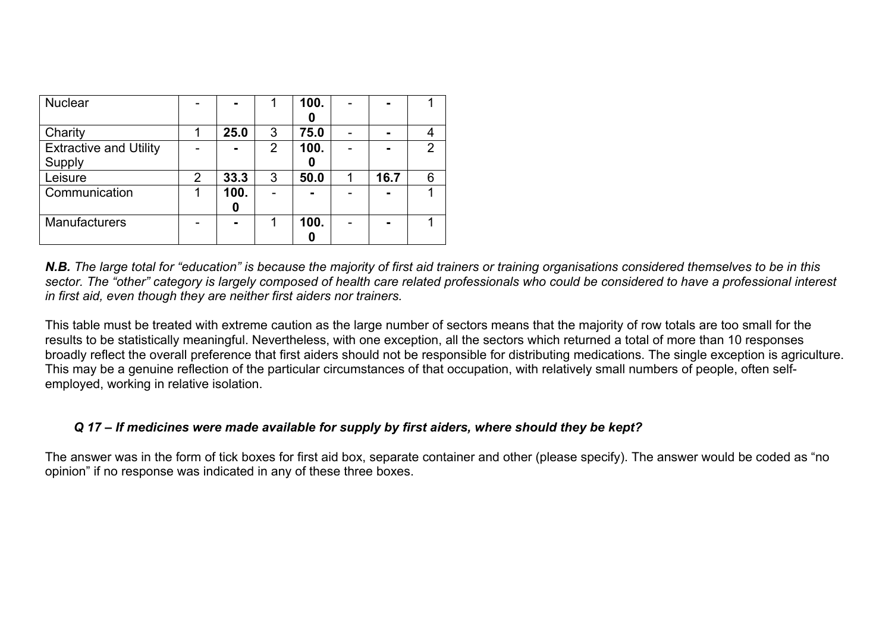| <b>Nuclear</b>                |   | ٠    |   | 100. |      |   |
|-------------------------------|---|------|---|------|------|---|
|                               |   |      |   | O    |      |   |
| Charity                       |   | 25.0 | 3 | 75.0 |      |   |
| <b>Extractive and Utility</b> |   |      | 2 | 100. |      | 2 |
| Supply                        |   |      |   | 0    |      |   |
| Leisure                       | 2 | 33.3 | 3 | 50.0 | 16.7 | 6 |
| Communication                 |   | 100. |   |      |      |   |
|                               |   | 0    |   |      |      |   |
| <b>Manufacturers</b>          |   |      |   | 100. |      |   |
|                               |   |      |   |      |      |   |

**N.B.** The large total for "education" is because the majority of first aid trainers or training organisations considered themselves to be in this *sector. The "other" category is largely composed of health care related professionals who could be considered to have a professional interest in first aid, even though they are neither first aiders nor trainers.*

This table must be treated with extreme caution as the large number of sectors means that the majority of row totals are too small for the results to be statistically meaningful. Nevertheless, with one exception, all the sectors which returned a total of more than 10 responses broadly reflect the overall preference that first aiders should not be responsible for distributing medications. The single exception is agriculture. This may be a genuine reflection of the particular circumstances of that occupation, with relatively small numbers of people, often selfemployed, working in relative isolation.

## *Q 17 – If medicines were made available for supply by first aiders, where should they be kept?*

The answer was in the form of tick boxes for first aid box, separate container and other (please specify). The answer would be coded as "no opinion" if no response was indicated in any of these three boxes.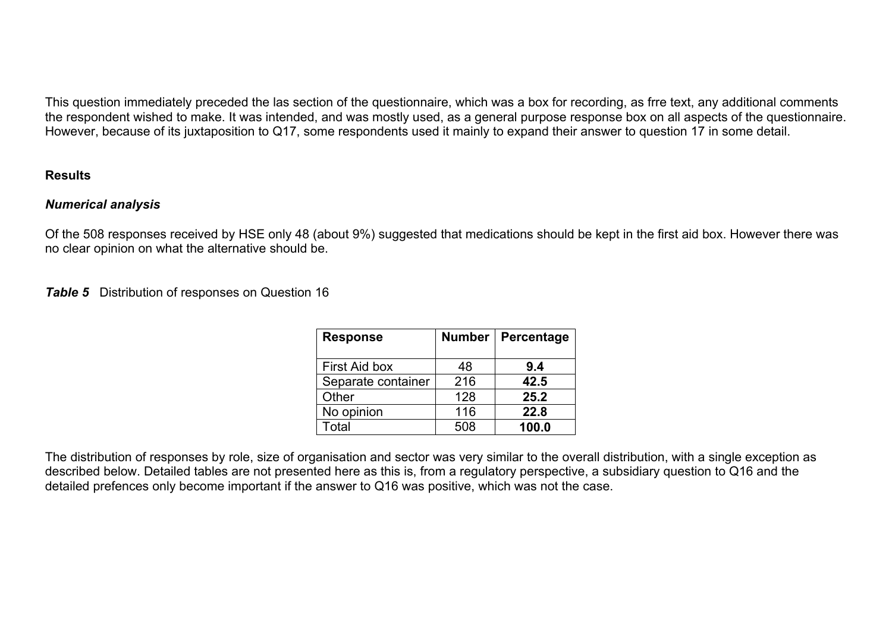This question immediately preceded the las section of the questionnaire, which was a box for recording, as frre text, any additional comments the respondent wished to make. It was intended, and was mostly used, as a general purpose response box on all aspects of the questionnaire. However, because of its juxtaposition to Q17, some respondents used it mainly to expand their answer to question 17 in some detail.

#### **Results**

## *Numerical analysis*

Of the 508 responses received by HSE only 48 (about 9%) suggested that medications should be kept in the first aid box. However there was no clear opinion on what the alternative should be.

## **Table 5** Distribution of responses on Question 16

| <b>Response</b>    | <b>Number</b> | Percentage |
|--------------------|---------------|------------|
| First Aid box      | 48            | 9.4        |
| Separate container | 216           | 42.5       |
| Other              | 128           | 25.2       |
| No opinion         | 116           | 22.8       |
| Total              | 508           | 100.0      |

The distribution of responses by role, size of organisation and sector was very similar to the overall distribution, with a single exception as described below. Detailed tables are not presented here as this is, from a regulatory perspective, a subsidiary question to Q16 and the detailed prefences only become important if the answer to Q16 was positive, which was not the case.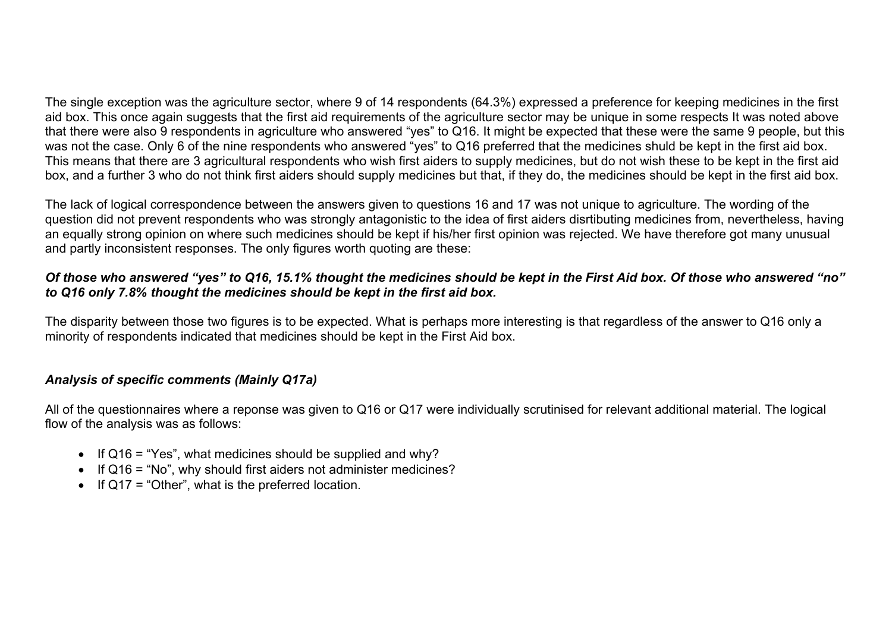The single exception was the agriculture sector, where 9 of 14 respondents (64.3%) expressed a preference for keeping medicines in the first aid box. This once again suggests that the first aid requirements of the agriculture sector may be unique in some respects It was noted above that there were also 9 respondents in agriculture who answered "yes" to Q16. It might be expected that these were the same 9 people, but this was not the case. Only 6 of the nine respondents who answered "yes" to Q16 preferred that the medicines shuld be kept in the first aid box. This means that there are 3 agricultural respondents who wish first aiders to supply medicines, but do not wish these to be kept in the first aid box, and a further 3 who do not think first aiders should supply medicines but that, if they do, the medicines should be kept in the first aid box.

The lack of logical correspondence between the answers given to questions 16 and 17 was not unique to agriculture. The wording of the question did not prevent respondents who was strongly antagonistic to the idea of first aiders disrtibuting medicines from, nevertheless, having an equally strong opinion on where such medicines should be kept if his/her first opinion was rejected. We have therefore got many unusual and partly inconsistent responses. The only figures worth quoting are these:

## *Of those who answered "yes" to Q16, 15.1% thought the medicines should be kept in the First Aid box. Of those who answered "no" to Q16 only 7.8% thought the medicines should be kept in the first aid box.*

The disparity between those two figures is to be expected. What is perhaps more interesting is that regardless of the answer to Q16 only a minority of respondents indicated that medicines should be kept in the First Aid box.

## *Analysis of specific comments (Mainly Q17a)*

All of the questionnaires where a reponse was given to Q16 or Q17 were individually scrutinised for relevant additional material. The logical flow of the analysis was as follows:

- If  $Q16 = "Yes", what medicine should be supplied and why?$
- If Q16 = "No", why should first aiders not administer medicines?
- If Q17 = "Other", what is the preferred location.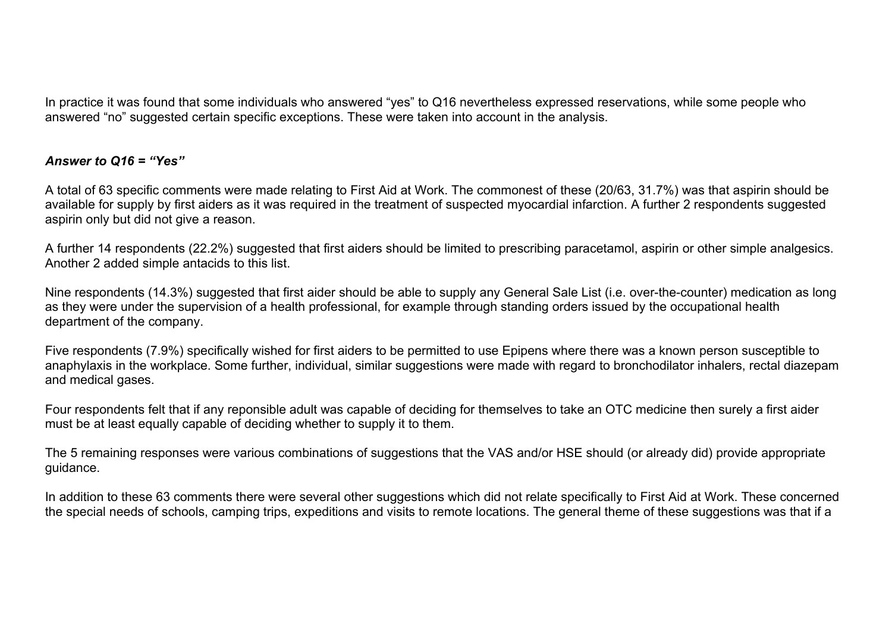In practice it was found that some individuals who answered "yes" to Q16 nevertheless expressed reservations, while some people who answered "no" suggested certain specific exceptions. These were taken into account in the analysis.

## *Answer to Q16 = "Yes"*

A total of 63 specific comments were made relating to First Aid at Work. The commonest of these (20/63, 31.7%) was that aspirin should be available for supply by first aiders as it was required in the treatment of suspected myocardial infarction. A further 2 respondents suggested aspirin only but did not give a reason.

A further 14 respondents (22.2%) suggested that first aiders should be limited to prescribing paracetamol, aspirin or other simple analgesics. Another 2 added simple antacids to this list.

Nine respondents (14.3%) suggested that first aider should be able to supply any General Sale List (i.e. over-the-counter) medication as long as they were under the supervision of a health professional, for example through standing orders issued by the occupational health department of the company.

Five respondents (7.9%) specifically wished for first aiders to be permitted to use Epipens where there was a known person susceptible to anaphylaxis in the workplace. Some further, individual, similar suggestions were made with regard to bronchodilator inhalers, rectal diazepam and medical gases.

Four respondents felt that if any reponsible adult was capable of deciding for themselves to take an OTC medicine then surely a first aider must be at least equally capable of deciding whether to supply it to them.

The 5 remaining responses were various combinations of suggestions that the VAS and/or HSE should (or already did) provide appropriate guidance.

In addition to these 63 comments there were several other suggestions which did not relate specifically to First Aid at Work. These concerned the special needs of schools, camping trips, expeditions and visits to remote locations. The general theme of these suggestions was that if a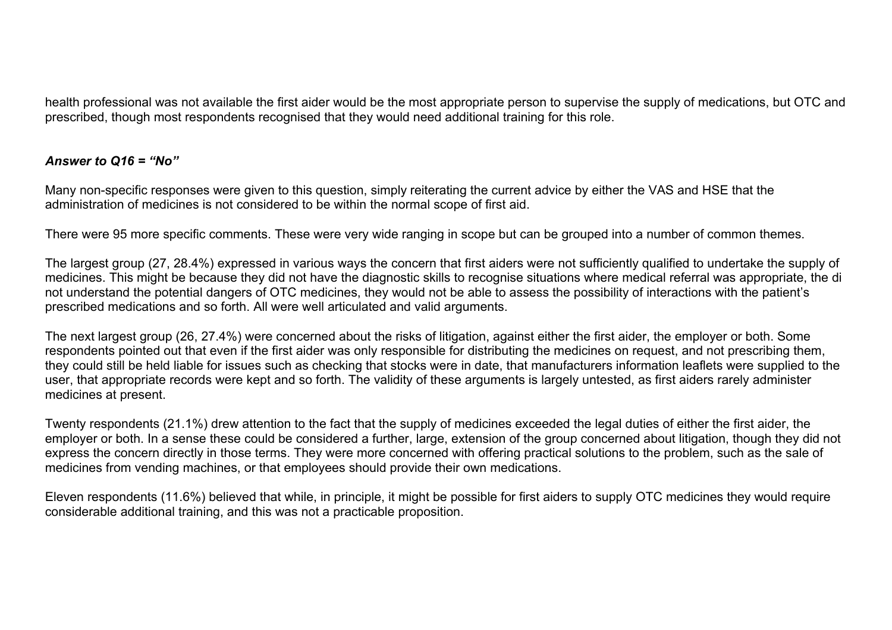health professional was not available the first aider would be the most appropriate person to supervise the supply of medications, but OTC and prescribed, though most respondents recognised that they would need additional training for this role.

## *Answer to Q16 = "No"*

Many non-specific responses were given to this question, simply reiterating the current advice by either the VAS and HSE that the administration of medicines is not considered to be within the normal scope of first aid.

There were 95 more specific comments. These were very wide ranging in scope but can be grouped into a number of common themes.

The largest group (27, 28.4%) expressed in various ways the concern that first aiders were not sufficiently qualified to undertake the supply of medicines. This might be because they did not have the diagnostic skills to recognise situations where medical referral was appropriate, the di not understand the potential dangers of OTC medicines, they would not be able to assess the possibility of interactions with the patient's prescribed medications and so forth. All were well articulated and valid arguments.

The next largest group (26, 27.4%) were concerned about the risks of litigation, against either the first aider, the employer or both. Some respondents pointed out that even if the first aider was only responsible for distributing the medicines on request, and not prescribing them, they could still be held liable for issues such as checking that stocks were in date, that manufacturers information leaflets were supplied to the user, that appropriate records were kept and so forth. The validity of these arguments is largely untested, as first aiders rarely administer medicines at present.

Twenty respondents (21.1%) drew attention to the fact that the supply of medicines exceeded the legal duties of either the first aider, the employer or both. In a sense these could be considered a further, large, extension of the group concerned about litigation, though they did not express the concern directly in those terms. They were more concerned with offering practical solutions to the problem, such as the sale of medicines from vending machines, or that employees should provide their own medications.

Eleven respondents (11.6%) believed that while, in principle, it might be possible for first aiders to supply OTC medicines they would require considerable additional training, and this was not a practicable proposition.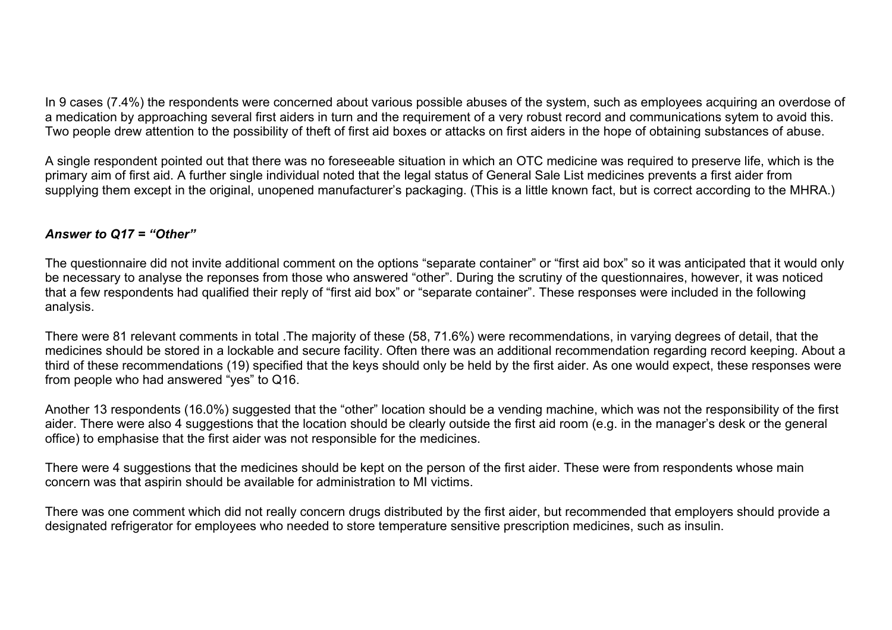In 9 cases (7.4%) the respondents were concerned about various possible abuses of the system, such as employees acquiring an overdose of a medication by approaching several first aiders in turn and the requirement of a very robust record and communications sytem to avoid this. Two people drew attention to the possibility of theft of first aid boxes or attacks on first aiders in the hope of obtaining substances of abuse.

A single respondent pointed out that there was no foreseeable situation in which an OTC medicine was required to preserve life, which is the primary aim of first aid. A further single individual noted that the legal status of General Sale List medicines prevents a first aider from supplying them except in the original, unopened manufacturer's packaging. (This is a little known fact, but is correct according to the MHRA.)

#### *Answer to Q17 = "Other"*

The questionnaire did not invite additional comment on the options "separate container" or "first aid box" so it was anticipated that it would only be necessary to analyse the reponses from those who answered "other". During the scrutiny of the questionnaires, however, it was noticed that a few respondents had qualified their reply of "first aid box" or "separate container". These responses were included in the following analysis.

There were 81 relevant comments in total .The majority of these (58, 71.6%) were recommendations, in varying degrees of detail, that the medicines should be stored in a lockable and secure facility. Often there was an additional recommendation regarding record keeping. About a third of these recommendations (19) specified that the keys should only be held by the first aider. As one would expect, these responses were from people who had answered "yes" to Q16.

Another 13 respondents (16.0%) suggested that the "other" location should be a vending machine, which was not the responsibility of the first aider. There were also 4 suggestions that the location should be clearly outside the first aid room (e.g. in the manager's desk or the general office) to emphasise that the first aider was not responsible for the medicines.

There were 4 suggestions that the medicines should be kept on the person of the first aider. These were from respondents whose main concern was that aspirin should be available for administration to MI victims.

There was one comment which did not really concern drugs distributed by the first aider, but recommended that employers should provide a designated refrigerator for employees who needed to store temperature sensitive prescription medicines, such as insulin.